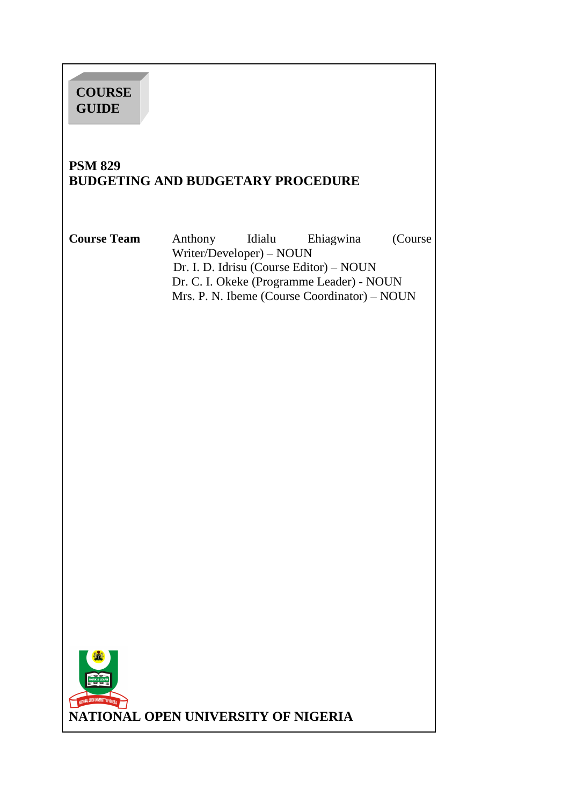# **PSM 829 BUDGETING AND BUDGETARY PROCEDURE Course Team** Anthony Idialu Ehiagwina (Course Writer/Developer) – NOUN Dr. I. D. Idrisu (Course Editor) – NOUN Dr. C. I. Okeke (Programme Leader) - NOUN Mrs. P. N. Ibeme (Course Coordinator) – NOUN i, **NATIONAL OPEN UNIVERSITY OF NIGERIA COURSE GUIDE**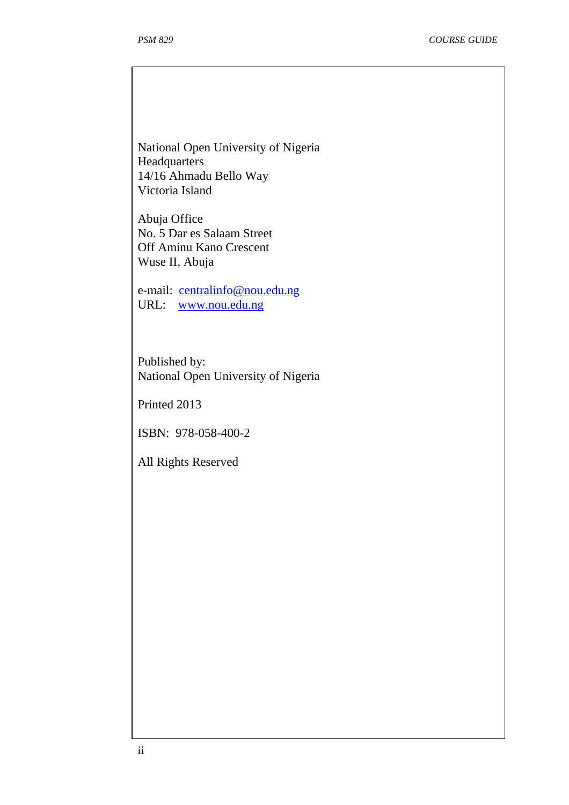National Open University of Nigeria **Headquarters** 14/16 Ahmadu Bello Way Victoria Island

Abuja Office No. 5 Dar es Salaam Street Off Aminu Kano Crescent Wuse II, Abuja

e-mail: centralinfo@nou.edu.ng URL: www.nou.edu.ng

Published by: National Open University of Nigeria

Printed 2013

ISBN: 978-058-400-2

All Rights Reserved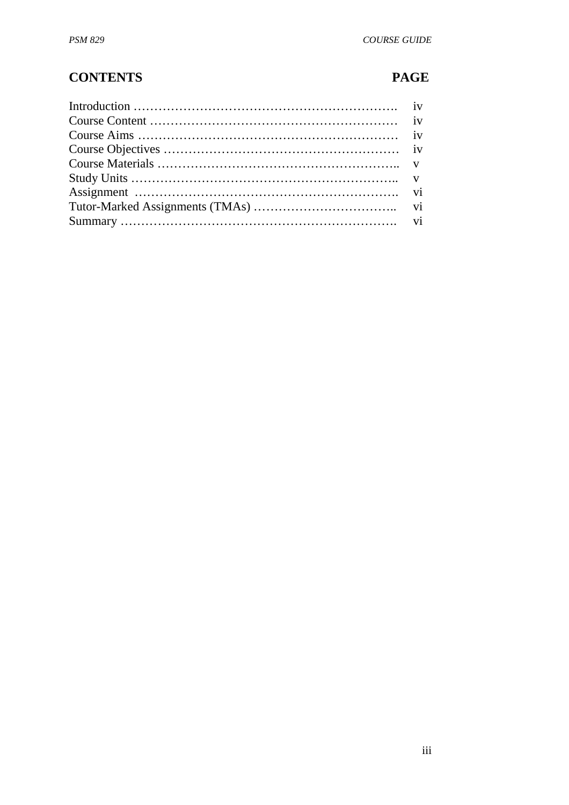# **CONTENTS PAGE**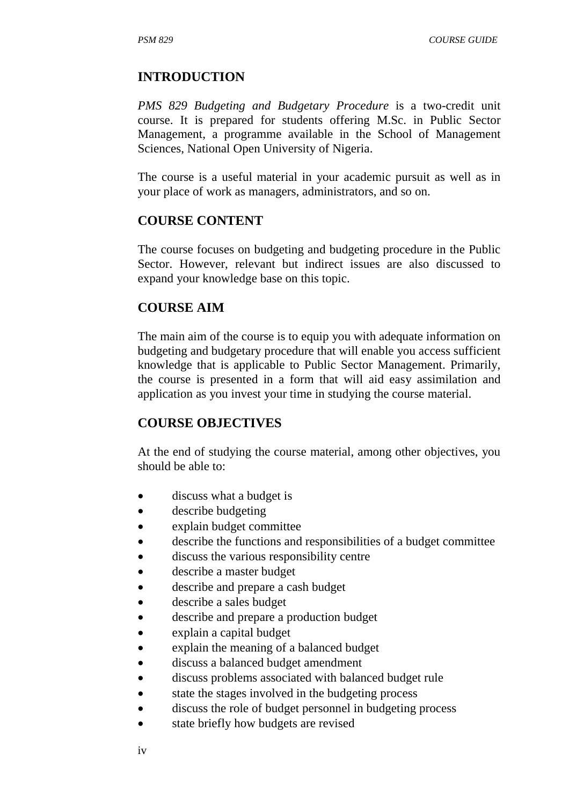#### **INTRODUCTION**

*PMS 829 Budgeting and Budgetary Procedure* is a two-credit unit course. It is prepared for students offering M.Sc. in Public Sector Management, a programme available in the School of Management Sciences, National Open University of Nigeria.

The course is a useful material in your academic pursuit as well as in your place of work as managers, administrators, and so on.

#### **COURSE CONTENT**

The course focuses on budgeting and budgeting procedure in the Public Sector. However, relevant but indirect issues are also discussed to expand your knowledge base on this topic.

#### **COURSE AIM**

The main aim of the course is to equip you with adequate information on budgeting and budgetary procedure that will enable you access sufficient knowledge that is applicable to Public Sector Management. Primarily, the course is presented in a form that will aid easy assimilation and application as you invest your time in studying the course material.

#### **COURSE OBJECTIVES**

At the end of studying the course material, among other objectives, you should be able to:

- discuss what a budget is
- describe budgeting
- explain budget committee
- describe the functions and responsibilities of a budget committee
- discuss the various responsibility centre
- describe a master budget
- describe and prepare a cash budget
- describe a sales budget
- describe and prepare a production budget
- explain a capital budget
- explain the meaning of a balanced budget
- discuss a balanced budget amendment
- discuss problems associated with balanced budget rule
- state the stages involved in the budgeting process
- discuss the role of budget personnel in budgeting process
- state briefly how budgets are revised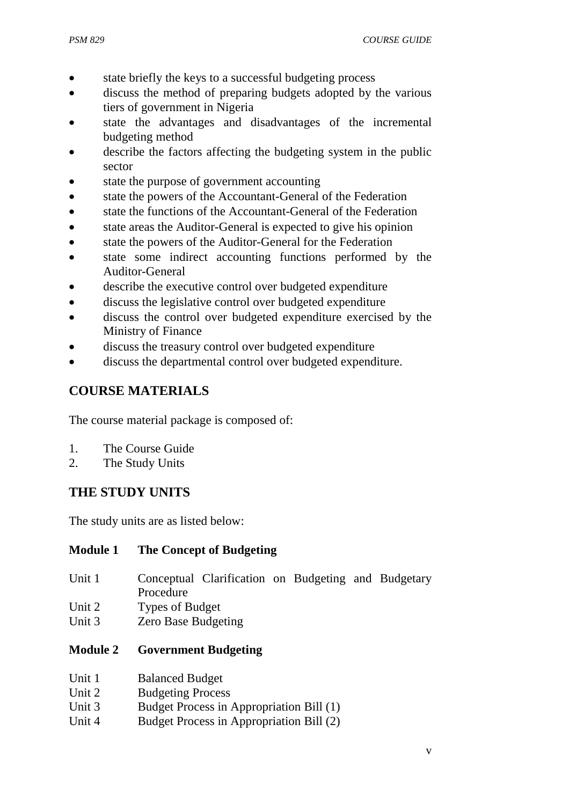- state briefly the keys to a successful budgeting process
- discuss the method of preparing budgets adopted by the various tiers of government in Nigeria
- state the advantages and disadvantages of the incremental budgeting method
- describe the factors affecting the budgeting system in the public sector
- state the purpose of government accounting
- state the powers of the Accountant-General of the Federation
- state the functions of the Accountant-General of the Federation
- state areas the Auditor-General is expected to give his opinion
- state the powers of the Auditor-General for the Federation
- state some indirect accounting functions performed by the Auditor-General
- describe the executive control over budgeted expenditure
- discuss the legislative control over budgeted expenditure
- discuss the control over budgeted expenditure exercised by the Ministry of Finance
- discuss the treasury control over budgeted expenditure
- discuss the departmental control over budgeted expenditure.

## **COURSE MATERIALS**

The course material package is composed of:

- 1. The Course Guide
- 2. The Study Units

## **THE STUDY UNITS**

The study units are as listed below:

#### **Module 1 The Concept of Budgeting**

- Unit 1 Conceptual Clarification on Budgeting and Budgetary Procedure
- Unit 2 Types of Budget
- Unit 3 Zero Base Budgeting

#### **Module 2 Government Budgeting**

- Unit 1 Balanced Budget
- Unit 2 Budgeting Process
- Unit 3 Budget Process in Appropriation Bill (1)
- Unit 4 Budget Process in Appropriation Bill (2)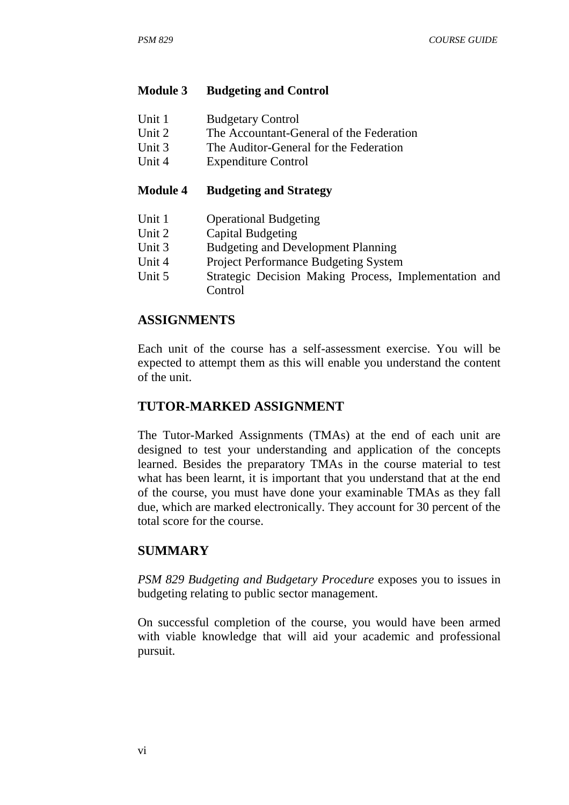#### **Module 3 Budgeting and Control**

- Unit 1 Budgetary Control
- Unit 2 The Accountant-General of the Federation
- Unit 3 The Auditor-General for the Federation
- Unit 4 Expenditure Control

#### **Module 4 Budgeting and Strategy**

- Unit 1 Operational Budgeting
- Unit 2 Capital Budgeting
- Unit 3 Budgeting and Development Planning
- Unit 4 Project Performance Budgeting System
- Unit 5 Strategic Decision Making Process, Implementation and Control

#### **ASSIGNMENTS**

Each unit of the course has a self-assessment exercise. You will be expected to attempt them as this will enable you understand the content of the unit.

#### **TUTOR-MARKED ASSIGNMENT**

The Tutor-Marked Assignments (TMAs) at the end of each unit are designed to test your understanding and application of the concepts learned. Besides the preparatory TMAs in the course material to test what has been learnt, it is important that you understand that at the end of the course, you must have done your examinable TMAs as they fall due, which are marked electronically. They account for 30 percent of the total score for the course.

#### **SUMMARY**

*PSM 829 Budgeting and Budgetary Procedure* exposes you to issues in budgeting relating to public sector management.

On successful completion of the course, you would have been armed with viable knowledge that will aid your academic and professional pursuit.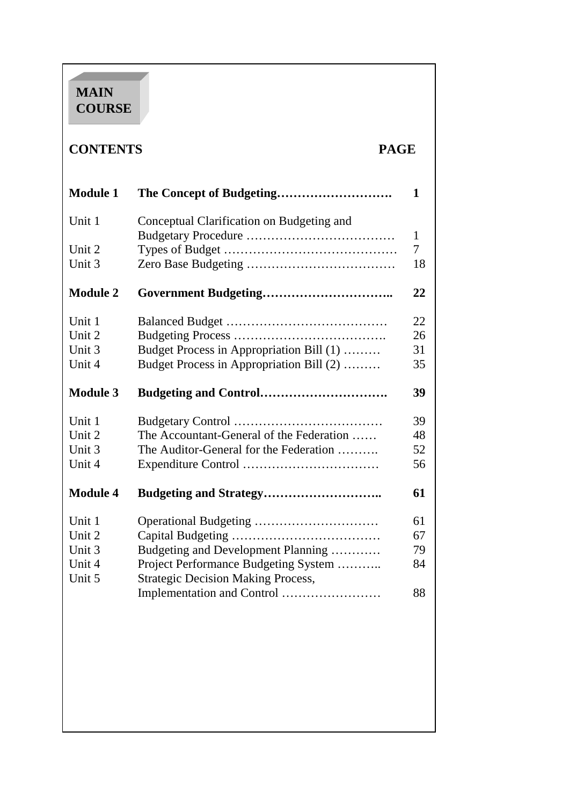# **MAIN COURSE**

# **CONTENTS PAGE**

| <b>Module 1</b>  |                                                                                   | 1            |
|------------------|-----------------------------------------------------------------------------------|--------------|
| Unit 1           | Conceptual Clarification on Budgeting and                                         |              |
|                  |                                                                                   | $\mathbf{1}$ |
| Unit 2           |                                                                                   | 7            |
| Unit 3           |                                                                                   | 18           |
| <b>Module 2</b>  |                                                                                   | 22           |
| Unit 1           |                                                                                   | 22           |
| Unit 2           |                                                                                   | 26           |
| Unit 3           | Budget Process in Appropriation Bill (1)                                          | 31           |
| Unit 4           | Budget Process in Appropriation Bill (2)                                          | 35           |
| <b>Module 3</b>  |                                                                                   | 39           |
| Unit 1           |                                                                                   | 39           |
| Unit 2           | The Accountant-General of the Federation                                          | 48           |
| Unit 3           | The Auditor-General for the Federation                                            | 52           |
| Unit 4           |                                                                                   | 56           |
| <b>Module 4</b>  |                                                                                   | 61           |
| Unit 1           |                                                                                   | 61           |
| Unit 2           |                                                                                   | 67           |
| Unit 3           | Budgeting and Development Planning                                                | 79           |
| Unit 4<br>Unit 5 | Project Performance Budgeting System<br><b>Strategic Decision Making Process,</b> | 84           |
|                  |                                                                                   | 88           |
|                  |                                                                                   |              |
|                  |                                                                                   |              |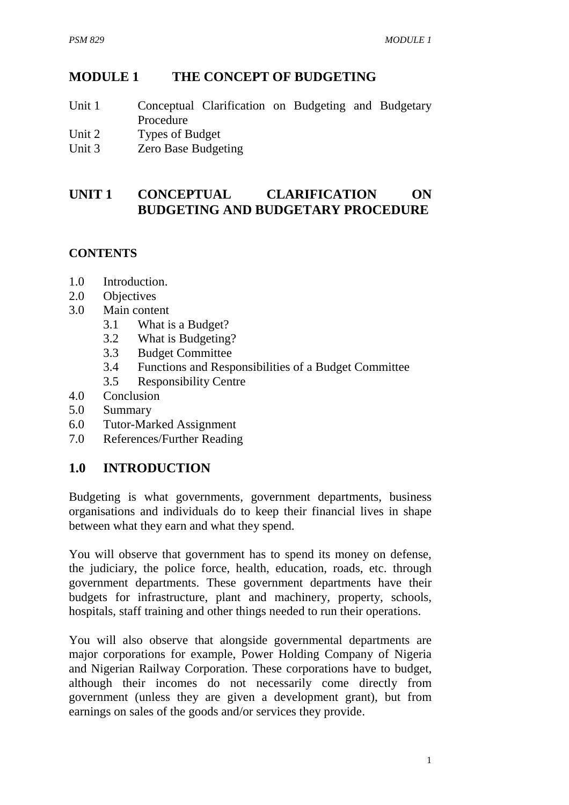# **MODULE 1 THE CONCEPT OF BUDGETING**

- Unit 1 Conceptual Clarification on Budgeting and Budgetary Procedure
- Unit 2 Types of Budget
- Unit 3 Zero Base Budgeting

# **UNIT 1 CONCEPTUAL CLARIFICATION ON BUDGETING AND BUDGETARY PROCEDURE**

#### **CONTENTS**

- 1.0 Introduction.
- 2.0 Objectives
- 3.0 Main content
	- 3.1 What is a Budget?
	- 3.2 What is Budgeting?
	- 3.3 Budget Committee
	- 3.4 Functions and Responsibilities of a Budget Committee
	- 3.5 Responsibility Centre
- 4.0 Conclusion
- 5.0 Summary
- 6.0 Tutor-Marked Assignment
- 7.0 References/Further Reading

#### **1.0 INTRODUCTION**

Budgeting is what governments, government departments, business organisations and individuals do to keep their financial lives in shape between what they earn and what they spend.

You will observe that government has to spend its money on defense, the judiciary, the police force, health, education, roads, etc. through government departments. These government departments have their budgets for infrastructure, plant and machinery, property, schools, hospitals, staff training and other things needed to run their operations.

You will also observe that alongside governmental departments are major corporations for example, Power Holding Company of Nigeria and Nigerian Railway Corporation. These corporations have to budget, although their incomes do not necessarily come directly from government (unless they are given a development grant), but from earnings on sales of the goods and/or services they provide.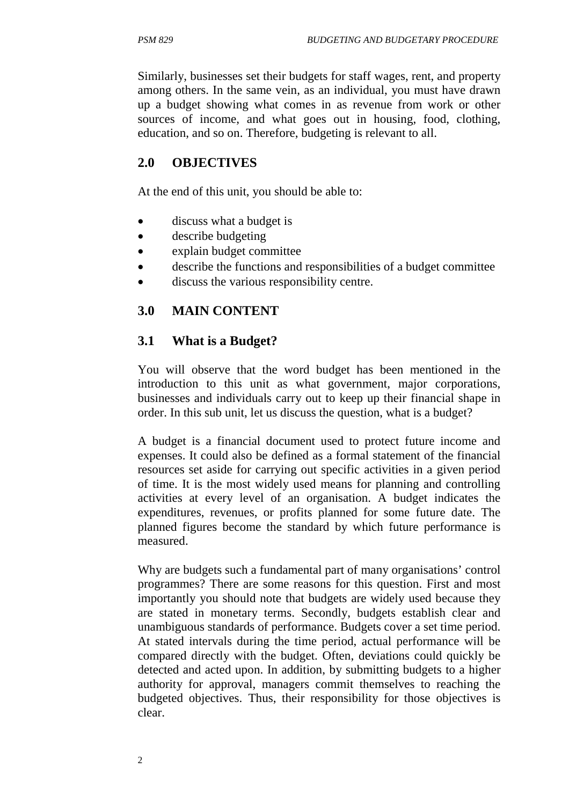Similarly, businesses set their budgets for staff wages, rent, and property among others. In the same vein, as an individual, you must have drawn up a budget showing what comes in as revenue from work or other sources of income, and what goes out in housing, food, clothing, education, and so on. Therefore, budgeting is relevant to all.

# **2.0 OBJECTIVES**

At the end of this unit, you should be able to:

- discuss what a budget is
- describe budgeting
- explain budget committee
- describe the functions and responsibilities of a budget committee
- discuss the various responsibility centre.

# **3.0 MAIN CONTENT**

## **3.1 What is a Budget?**

You will observe that the word budget has been mentioned in the introduction to this unit as what government, major corporations, businesses and individuals carry out to keep up their financial shape in order. In this sub unit, let us discuss the question, what is a budget?

A budget is a financial document used to protect future income and expenses. It could also be defined as a formal statement of the financial resources set aside for carrying out specific activities in a given period of time. It is the most widely used means for planning and controlling activities at every level of an organisation. A budget indicates the expenditures, revenues, or profits planned for some future date. The planned figures become the standard by which future performance is measured.

Why are budgets such a fundamental part of many organisations' control programmes? There are some reasons for this question. First and most importantly you should note that budgets are widely used because they are stated in monetary terms. Secondly, budgets establish clear and unambiguous standards of performance. Budgets cover a set time period. At stated intervals during the time period, actual performance will be compared directly with the budget. Often, deviations could quickly be detected and acted upon. In addition, by submitting budgets to a higher authority for approval, managers commit themselves to reaching the budgeted objectives. Thus, their responsibility for those objectives is clear.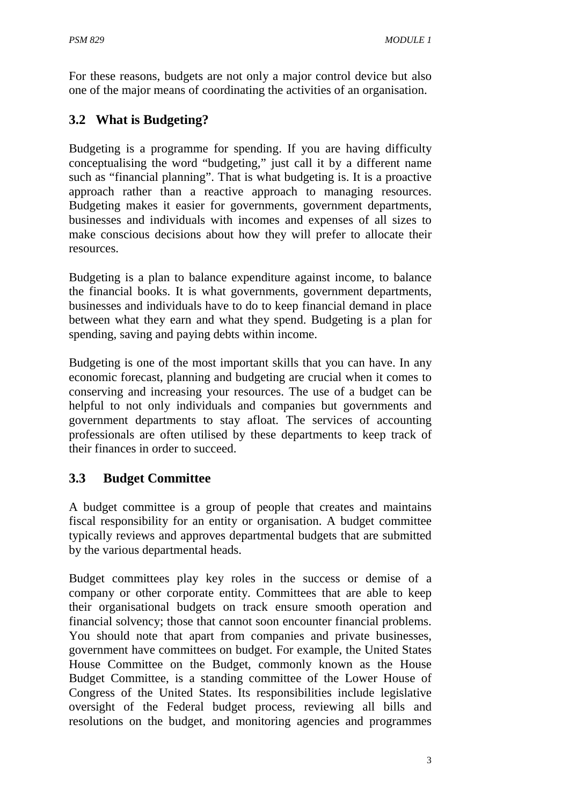For these reasons, budgets are not only a major control device but also one of the major means of coordinating the activities of an organisation.

# **3.2 What is Budgeting?**

Budgeting is a programme for spending. If you are having difficulty conceptualising the word "budgeting," just call it by a different name such as "financial planning". That is what budgeting is. It is a proactive approach rather than a reactive approach to managing resources. Budgeting makes it easier for governments, government departments, businesses and individuals with incomes and expenses of all sizes to make conscious decisions about how they will prefer to allocate their resources.

Budgeting is a plan to balance expenditure against income, to balance the financial books. It is what governments, government departments, businesses and individuals have to do to keep financial demand in place between what they earn and what they spend. Budgeting is a plan for spending, saving and paying debts within income.

Budgeting is one of the most important skills that you can have. In any economic forecast, planning and budgeting are crucial when it comes to conserving and increasing your resources. The use of a budget can be helpful to not only individuals and companies but governments and government departments to stay afloat. The services of accounting professionals are often utilised by these departments to keep track of their finances in order to succeed.

# **3.3 Budget Committee**

A budget committee is a group of people that creates and maintains fiscal responsibility for an entity or organisation. A budget committee typically reviews and approves departmental budgets that are submitted by the various departmental heads.

Budget committees play key roles in the success or demise of a company or other corporate entity. Committees that are able to keep their organisational budgets on track ensure smooth operation and financial solvency; those that cannot soon encounter financial problems. You should note that apart from companies and private businesses, government have committees on budget. For example, the United States House Committee on the Budget, commonly known as the House Budget Committee, is a standing committee of the Lower House of Congress of the United States. Its responsibilities include legislative oversight of the Federal budget process, reviewing all bills and resolutions on the budget, and monitoring agencies and programmes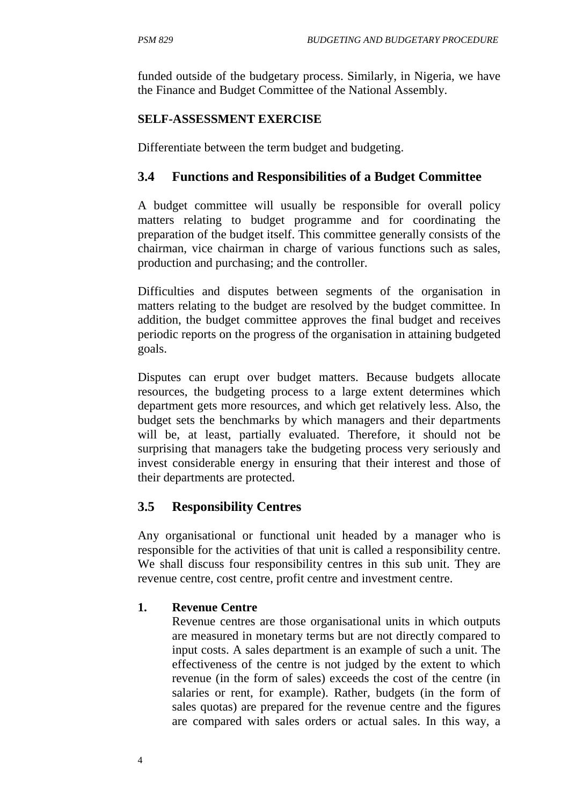funded outside of the budgetary process. Similarly, in Nigeria, we have the Finance and Budget Committee of the National Assembly.

#### **SELF-ASSESSMENT EXERCISE**

Differentiate between the term budget and budgeting.

# **3.4 Functions and Responsibilities of a Budget Committee**

A budget committee will usually be responsible for overall policy matters relating to budget programme and for coordinating the preparation of the budget itself. This committee generally consists of the chairman, vice chairman in charge of various functions such as sales, production and purchasing; and the controller.

Difficulties and disputes between segments of the organisation in matters relating to the budget are resolved by the budget committee. In addition, the budget committee approves the final budget and receives periodic reports on the progress of the organisation in attaining budgeted goals.

Disputes can erupt over budget matters. Because budgets allocate resources, the budgeting process to a large extent determines which department gets more resources, and which get relatively less. Also, the budget sets the benchmarks by which managers and their departments will be, at least, partially evaluated. Therefore, it should not be surprising that managers take the budgeting process very seriously and invest considerable energy in ensuring that their interest and those of their departments are protected.

# **3.5 Responsibility Centres**

Any organisational or functional unit headed by a manager who is responsible for the activities of that unit is called a responsibility centre. We shall discuss four responsibility centres in this sub unit. They are revenue centre, cost centre, profit centre and investment centre.

## **1. Revenue Centre**

Revenue centres are those organisational units in which outputs are measured in monetary terms but are not directly compared to input costs. A sales department is an example of such a unit. The effectiveness of the centre is not judged by the extent to which revenue (in the form of sales) exceeds the cost of the centre (in salaries or rent, for example). Rather, budgets (in the form of sales quotas) are prepared for the revenue centre and the figures are compared with sales orders or actual sales. In this way, a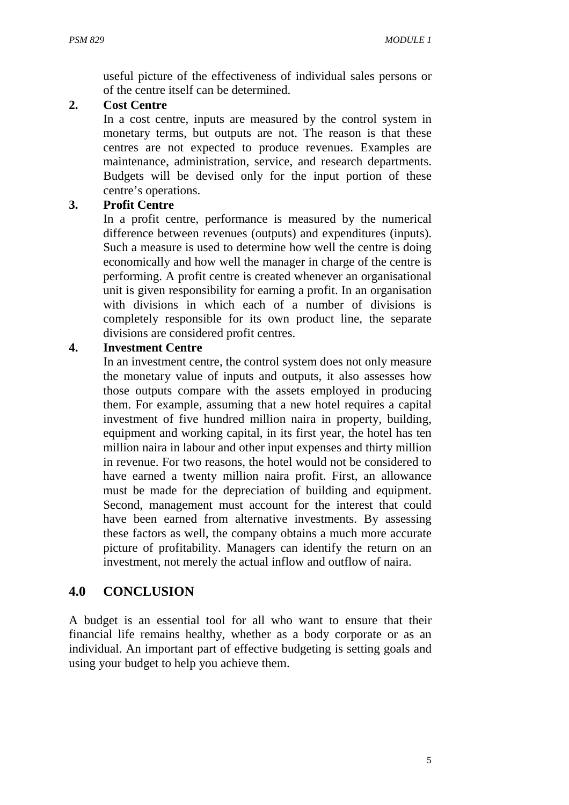useful picture of the effectiveness of individual sales persons or of the centre itself can be determined.

#### **2. Cost Centre**

In a cost centre, inputs are measured by the control system in monetary terms, but outputs are not. The reason is that these centres are not expected to produce revenues. Examples are maintenance, administration, service, and research departments. Budgets will be devised only for the input portion of these centre's operations.

#### **3. Profit Centre**

In a profit centre, performance is measured by the numerical difference between revenues (outputs) and expenditures (inputs). Such a measure is used to determine how well the centre is doing economically and how well the manager in charge of the centre is performing. A profit centre is created whenever an organisational unit is given responsibility for earning a profit. In an organisation with divisions in which each of a number of divisions is completely responsible for its own product line, the separate divisions are considered profit centres.

#### **4. Investment Centre**

In an investment centre, the control system does not only measure the monetary value of inputs and outputs, it also assesses how those outputs compare with the assets employed in producing them. For example, assuming that a new hotel requires a capital investment of five hundred million naira in property, building, equipment and working capital, in its first year, the hotel has ten million naira in labour and other input expenses and thirty million in revenue. For two reasons, the hotel would not be considered to have earned a twenty million naira profit. First, an allowance must be made for the depreciation of building and equipment. Second, management must account for the interest that could have been earned from alternative investments. By assessing these factors as well, the company obtains a much more accurate picture of profitability. Managers can identify the return on an investment, not merely the actual inflow and outflow of naira.

## **4.0 CONCLUSION**

A budget is an essential tool for all who want to ensure that their financial life remains healthy, whether as a body corporate or as an individual. An important part of effective budgeting is setting goals and using your budget to help you achieve them.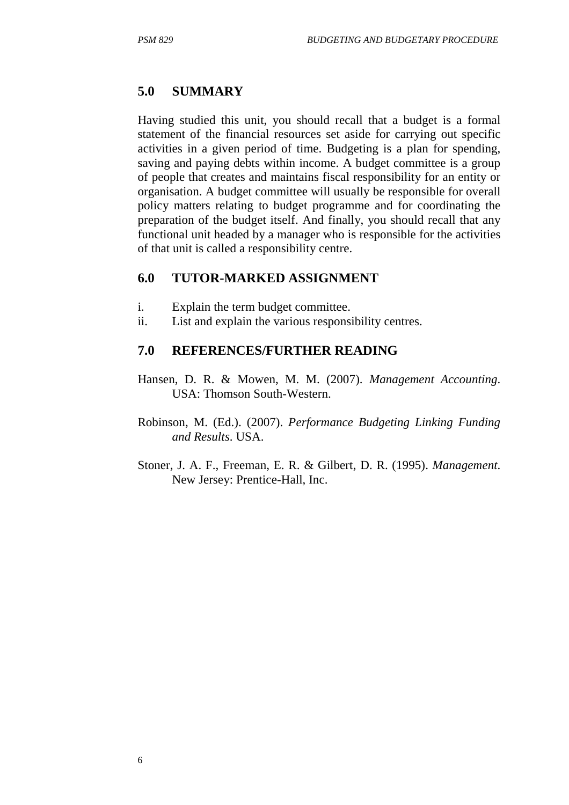## **5.0 SUMMARY**

Having studied this unit, you should recall that a budget is a formal statement of the financial resources set aside for carrying out specific activities in a given period of time. Budgeting is a plan for spending, saving and paying debts within income. A budget committee is a group of people that creates and maintains fiscal responsibility for an entity or organisation. A budget committee will usually be responsible for overall policy matters relating to budget programme and for coordinating the preparation of the budget itself. And finally, you should recall that any functional unit headed by a manager who is responsible for the activities of that unit is called a responsibility centre.

#### **6.0 TUTOR-MARKED ASSIGNMENT**

- i. Explain the term budget committee.
- ii. List and explain the various responsibility centres.

## **7.0 REFERENCES/FURTHER READING**

- Hansen, D. R. & Mowen, M. M. (2007). *Management Accounting*. USA: Thomson South-Western.
- Robinson, M. (Ed.). (2007). *Performance Budgeting Linking Funding and Results*. USA.
- Stoner, J. A. F., Freeman, E. R. & Gilbert, D. R. (1995). *Management*. New Jersey: Prentice-Hall, Inc.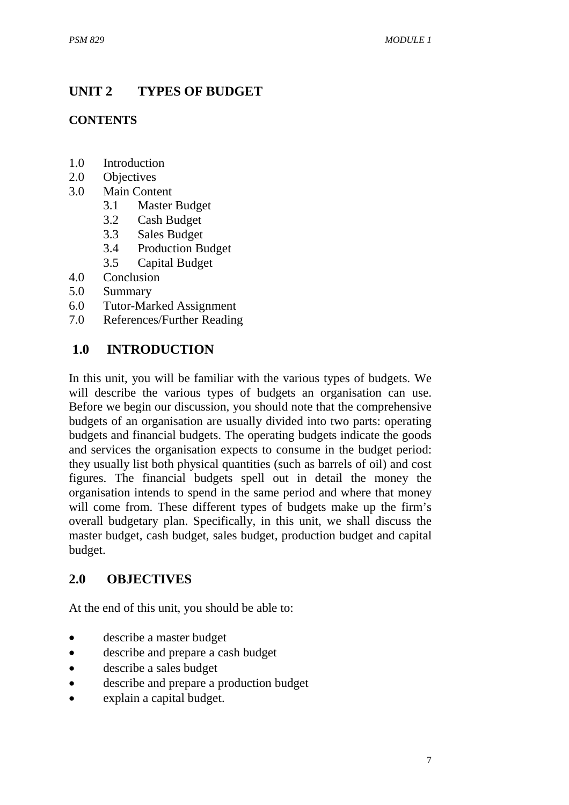# **UNIT 2 TYPES OF BUDGET**

#### **CONTENTS**

- 1.0 Introduction
- 2.0 Objectives
- 3.0 Main Content
	- 3.1 Master Budget
	- 3.2 Cash Budget
	- 3.3 Sales Budget
	- 3.4 Production Budget
	- 3.5 Capital Budget
- 4.0 Conclusion
- 5.0 Summary
- 6.0 Tutor-Marked Assignment
- 7.0 References/Further Reading

## **1.0 INTRODUCTION**

In this unit, you will be familiar with the various types of budgets. We will describe the various types of budgets an organisation can use. Before we begin our discussion, you should note that the comprehensive budgets of an organisation are usually divided into two parts: operating budgets and financial budgets. The operating budgets indicate the goods and services the organisation expects to consume in the budget period: they usually list both physical quantities (such as barrels of oil) and cost figures. The financial budgets spell out in detail the money the organisation intends to spend in the same period and where that money will come from. These different types of budgets make up the firm's overall budgetary plan. Specifically, in this unit, we shall discuss the master budget, cash budget, sales budget, production budget and capital budget.

## **2.0 OBJECTIVES**

At the end of this unit, you should be able to:

- describe a master budget
- describe and prepare a cash budget
- describe a sales budget
- describe and prepare a production budget
- explain a capital budget.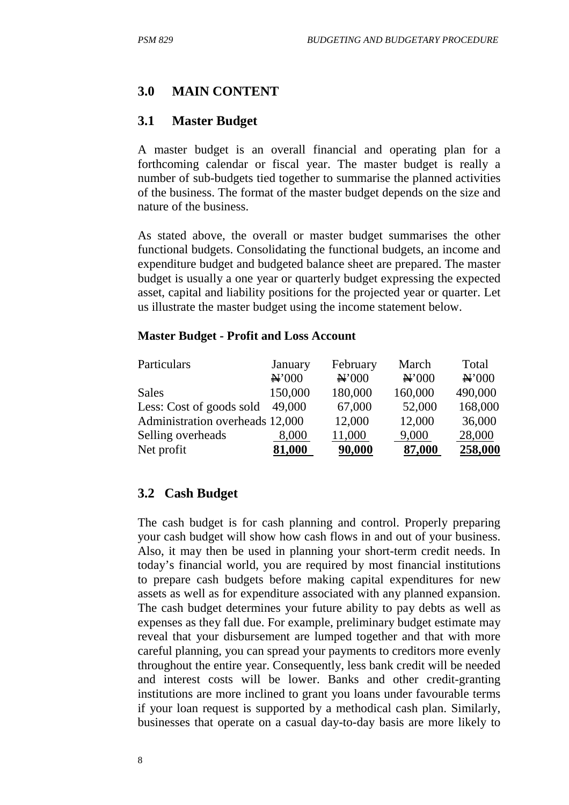# **3.0 MAIN CONTENT**

#### **3.1 Master Budget**

A master budget is an overall financial and operating plan for a forthcoming calendar or fiscal year. The master budget is really a number of sub-budgets tied together to summarise the planned activities of the business. The format of the master budget depends on the size and nature of the business.

As stated above, the overall or master budget summarises the other functional budgets. Consolidating the functional budgets, an income and expenditure budget and budgeted balance sheet are prepared. The master budget is usually a one year or quarterly budget expressing the expected asset, capital and liability positions for the projected year or quarter. Let us illustrate the master budget using the income statement below.

#### **Master Budget - Profit and Loss Account**

| Particulars                     | January | February          | March             | Total             |
|---------------------------------|---------|-------------------|-------------------|-------------------|
|                                 | N'000   | $\mathbf{N}$ '000 | $\mathbf{N}$ '000 | $\mathbf{H}^2000$ |
| Sales                           | 150,000 | 180,000           | 160,000           | 490,000           |
| Less: Cost of goods sold        | 49,000  | 67,000            | 52,000            | 168,000           |
| Administration overheads 12,000 |         | 12,000            | 12,000            | 36,000            |
| Selling overheads               | 8,000   | 11,000            | 9,000             | 28,000            |
| Net profit                      | 81,000  | 90,000            | 87,000            | 258,000           |

#### **3.2 Cash Budget**

The cash budget is for cash planning and control. Properly preparing your cash budget will show how cash flows in and out of your business. Also, it may then be used in planning your short-term credit needs. In today's financial world, you are required by most financial institutions to prepare cash budgets before making capital expenditures for new assets as well as for expenditure associated with any planned expansion. The cash budget determines your future ability to pay debts as well as expenses as they fall due. For example, preliminary budget estimate may reveal that your disbursement are lumped together and that with more careful planning, you can spread your payments to creditors more evenly throughout the entire year. Consequently, less bank credit will be needed and interest costs will be lower. Banks and other credit-granting institutions are more inclined to grant you loans under favourable terms if your loan request is supported by a methodical cash plan. Similarly, businesses that operate on a casual day-to-day basis are more likely to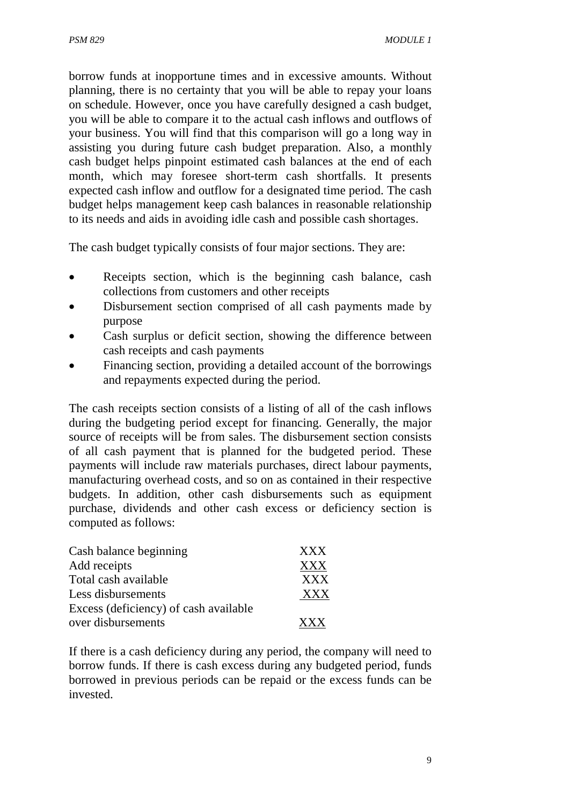borrow funds at inopportune times and in excessive amounts. Without planning, there is no certainty that you will be able to repay your loans on schedule. However, once you have carefully designed a cash budget, you will be able to compare it to the actual cash inflows and outflows of your business. You will find that this comparison will go a long way in assisting you during future cash budget preparation. Also, a monthly cash budget helps pinpoint estimated cash balances at the end of each month, which may foresee short-term cash shortfalls. It presents expected cash inflow and outflow for a designated time period. The cash budget helps management keep cash balances in reasonable relationship to its needs and aids in avoiding idle cash and possible cash shortages.

The cash budget typically consists of four major sections. They are:

- Receipts section, which is the beginning cash balance, cash collections from customers and other receipts
- Disbursement section comprised of all cash payments made by purpose
- Cash surplus or deficit section, showing the difference between cash receipts and cash payments
- Financing section, providing a detailed account of the borrowings and repayments expected during the period.

The cash receipts section consists of a listing of all of the cash inflows during the budgeting period except for financing. Generally, the major source of receipts will be from sales. The disbursement section consists of all cash payment that is planned for the budgeted period. These payments will include raw materials purchases, direct labour payments, manufacturing overhead costs, and so on as contained in their respective budgets. In addition, other cash disbursements such as equipment purchase, dividends and other cash excess or deficiency section is computed as follows:

| Cash balance beginning                | <b>XXX</b> |
|---------------------------------------|------------|
| Add receipts                          | <b>XXX</b> |
| Total cash available                  | XXX        |
| Less disbursements                    | <b>XXX</b> |
| Excess (deficiency) of cash available |            |
| over disbursements                    | x x x      |

If there is a cash deficiency during any period, the company will need to borrow funds. If there is cash excess during any budgeted period, funds borrowed in previous periods can be repaid or the excess funds can be invested.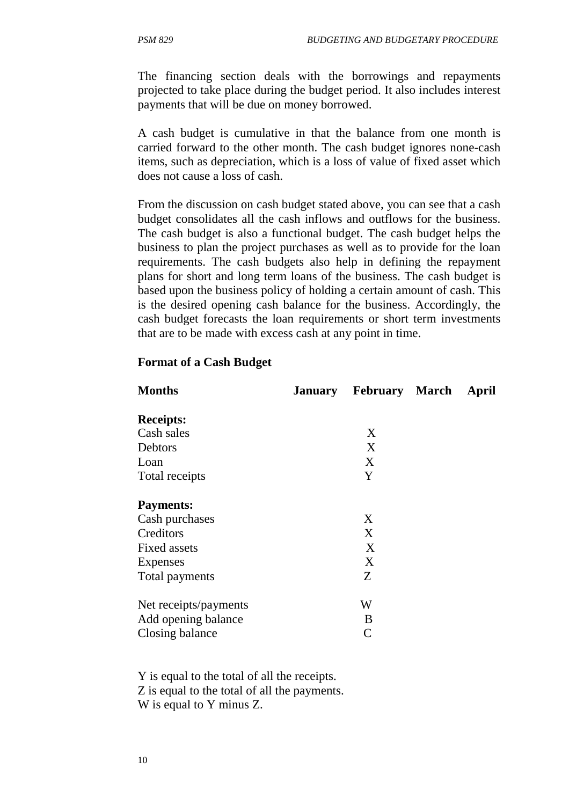The financing section deals with the borrowings and repayments projected to take place during the budget period. It also includes interest payments that will be due on money borrowed.

A cash budget is cumulative in that the balance from one month is carried forward to the other month. The cash budget ignores none-cash items, such as depreciation, which is a loss of value of fixed asset which does not cause a loss of cash.

From the discussion on cash budget stated above, you can see that a cash budget consolidates all the cash inflows and outflows for the business. The cash budget is also a functional budget. The cash budget helps the business to plan the project purchases as well as to provide for the loan requirements. The cash budgets also help in defining the repayment plans for short and long term loans of the business. The cash budget is based upon the business policy of holding a certain amount of cash. This is the desired opening cash balance for the business. Accordingly, the cash budget forecasts the loan requirements or short term investments that are to be made with excess cash at any point in time.

#### **Format of a Cash Budget**

| <b>Months</b>         | <b>January</b> | <b>February March</b> | April |
|-----------------------|----------------|-----------------------|-------|
| <b>Receipts:</b>      |                |                       |       |
| Cash sales            |                | X                     |       |
| Debtors               |                | X                     |       |
| Loan                  |                | X                     |       |
| Total receipts        |                | Y                     |       |
| <b>Payments:</b>      |                |                       |       |
| Cash purchases        |                | X                     |       |
| Creditors             |                | X                     |       |
| Fixed assets          |                | X                     |       |
| Expenses              |                | X                     |       |
| Total payments        |                | Z                     |       |
| Net receipts/payments |                | W                     |       |
| Add opening balance   |                | B                     |       |
| Closing balance       |                | C                     |       |

Y is equal to the total of all the receipts. Z is equal to the total of all the payments. W is equal to Y minus Z.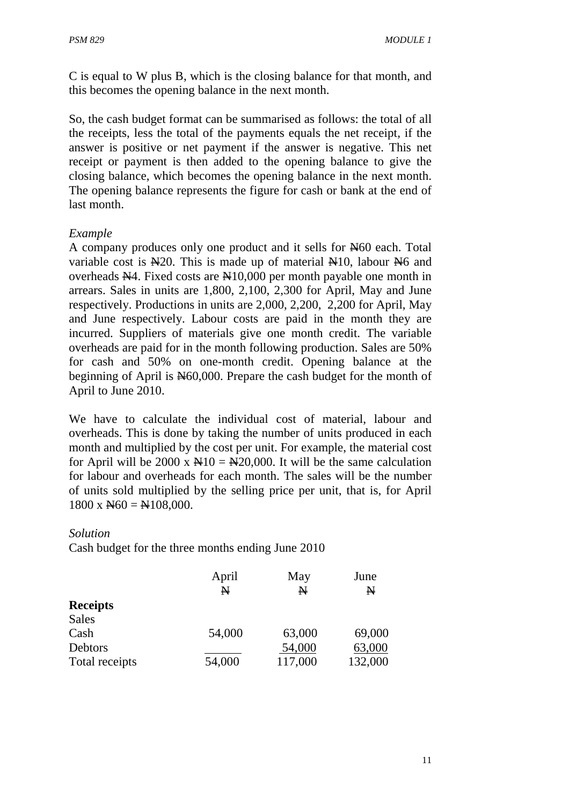C is equal to W plus B, which is the closing balance for that month, and this becomes the opening balance in the next month.

So, the cash budget format can be summarised as follows: the total of all the receipts, less the total of the payments equals the net receipt, if the answer is positive or net payment if the answer is negative. This net receipt or payment is then added to the opening balance to give the closing balance, which becomes the opening balance in the next month. The opening balance represents the figure for cash or bank at the end of last month.

#### *Example*

A company produces only one product and it sells for N60 each. Total variable cost is  $\mathbb{H}20$ . This is made up of material  $\mathbb{H}10$ , labour  $\mathbb{H}6$  and overheads N4. Fixed costs are N10,000 per month payable one month in arrears. Sales in units are 1,800, 2,100, 2,300 for April, May and June respectively. Productions in units are 2,000, 2,200, 2,200 for April, May and June respectively. Labour costs are paid in the month they are incurred. Suppliers of materials give one month credit. The variable overheads are paid for in the month following production. Sales are 50% for cash and 50% on one-month credit. Opening balance at the beginning of April is N60,000. Prepare the cash budget for the month of April to June 2010.

We have to calculate the individual cost of material, labour and overheads. This is done by taking the number of units produced in each month and multiplied by the cost per unit. For example, the material cost for April will be 2000 x  $\mathbb{H}10 = \mathbb{H}20,000$ . It will be the same calculation for labour and overheads for each month. The sales will be the number of units sold multiplied by the selling price per unit, that is, for April  $1800 \times$  N $60 =$  N $108,000$ .

#### *Solution*

Cash budget for the three months ending June 2010

|                 | April  | May          | June         |
|-----------------|--------|--------------|--------------|
|                 | N      | $\mathbf{N}$ | $\mathbf{N}$ |
| <b>Receipts</b> |        |              |              |
| <b>Sales</b>    |        |              |              |
| Cash            | 54,000 | 63,000       | 69,000       |
| Debtors         |        | 54,000       | 63,000       |
| Total receipts  | 54,000 | 117,000      | 132,000      |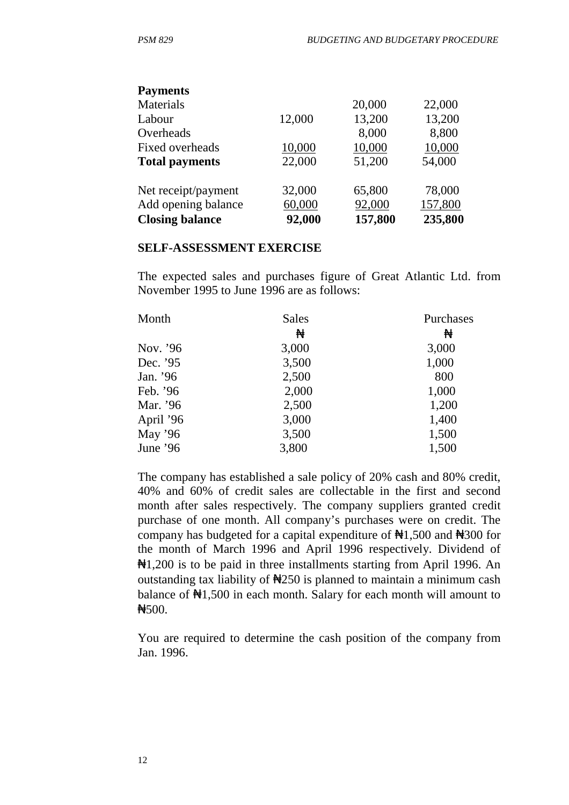| <b>Payments</b>        |        |         |         |
|------------------------|--------|---------|---------|
| Materials              |        | 20,000  | 22,000  |
| Labour                 | 12,000 | 13,200  | 13,200  |
| Overheads              |        | 8,000   | 8,800   |
| Fixed overheads        | 10,000 | 10,000  | 10,000  |
| <b>Total payments</b>  | 22,000 | 51,200  | 54,000  |
| Net receipt/payment    | 32,000 | 65,800  | 78,000  |
| Add opening balance    | 60,000 | 92,000  | 157,800 |
| <b>Closing balance</b> | 92,000 | 157,800 | 235,800 |

#### **SELF-ASSESSMENT EXERCISE**

The expected sales and purchases figure of Great Atlantic Ltd. from November 1995 to June 1996 are as follows:

| Month     | <b>Sales</b> | Purchases |
|-----------|--------------|-----------|
|           | ₩            | ₩         |
| Nov. '96  | 3,000        | 3,000     |
| Dec. '95  | 3,500        | 1,000     |
| Jan. '96  | 2,500        | 800       |
| Feb. '96  | 2,000        | 1,000     |
| Mar. '96  | 2,500        | 1,200     |
| April '96 | 3,000        | 1,400     |
| May $'96$ | 3,500        | 1,500     |
| June '96  | 3,800        | 1,500     |

The company has established a sale policy of 20% cash and 80% credit, 40% and 60% of credit sales are collectable in the first and second month after sales respectively. The company suppliers granted credit purchase of one month. All company's purchases were on credit. The company has budgeted for a capital expenditure of  $\frac{41}{500}$  and  $\frac{4300}{500}$  for the month of March 1996 and April 1996 respectively. Dividend of ₦1,200 is to be paid in three installments starting from April 1996. An outstanding tax liability of  $\frac{1}{250}$  is planned to maintain a minimum cash balance of  $\frac{1}{2}$ , 500 in each month. Salary for each month will amount to ₦500.

You are required to determine the cash position of the company from Jan. 1996.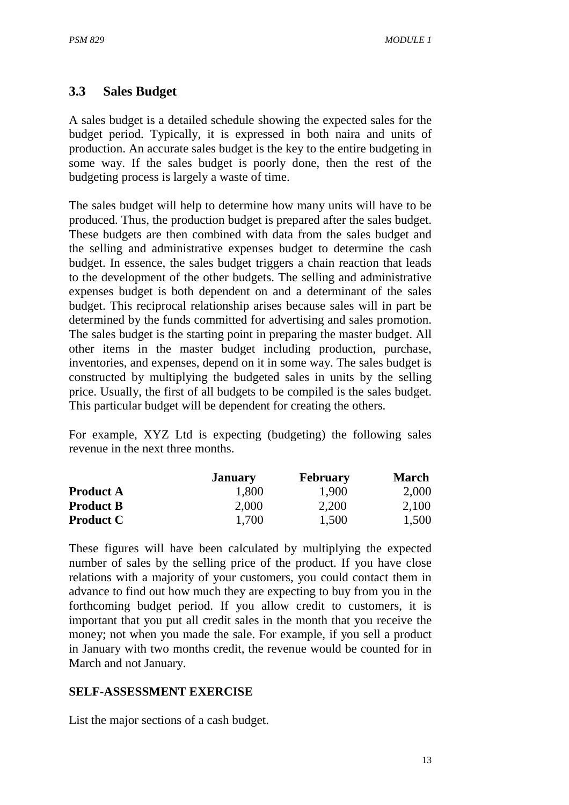# **3.3 Sales Budget**

A sales budget is a detailed schedule showing the expected sales for the budget period. Typically, it is expressed in both naira and units of production. An accurate sales budget is the key to the entire budgeting in some way. If the sales budget is poorly done, then the rest of the budgeting process is largely a waste of time.

The sales budget will help to determine how many units will have to be produced. Thus, the production budget is prepared after the sales budget. These budgets are then combined with data from the sales budget and the selling and administrative expenses budget to determine the cash budget. In essence, the sales budget triggers a chain reaction that leads to the development of the other budgets. The selling and administrative expenses budget is both dependent on and a determinant of the sales budget. This reciprocal relationship arises because sales will in part be determined by the funds committed for advertising and sales promotion. The sales budget is the starting point in preparing the master budget. All other items in the master budget including production, purchase, inventories, and expenses, depend on it in some way. The sales budget is constructed by multiplying the budgeted sales in units by the selling price. Usually, the first of all budgets to be compiled is the sales budget. This particular budget will be dependent for creating the others.

For example, XYZ Ltd is expecting (budgeting) the following sales revenue in the next three months.

|                  | <b>January</b> | <b>February</b> | <b>March</b> |
|------------------|----------------|-----------------|--------------|
| <b>Product A</b> | 1,800          | 1,900           | 2,000        |
| <b>Product B</b> | 2,000          | 2,200           | 2,100        |
| <b>Product C</b> | 1,700          | 1,500           | 1,500        |

These figures will have been calculated by multiplying the expected number of sales by the selling price of the product. If you have close relations with a majority of your customers, you could contact them in advance to find out how much they are expecting to buy from you in the forthcoming budget period. If you allow credit to customers, it is important that you put all credit sales in the month that you receive the money; not when you made the sale. For example, if you sell a product in January with two months credit, the revenue would be counted for in March and not January.

#### **SELF-ASSESSMENT EXERCISE**

List the major sections of a cash budget.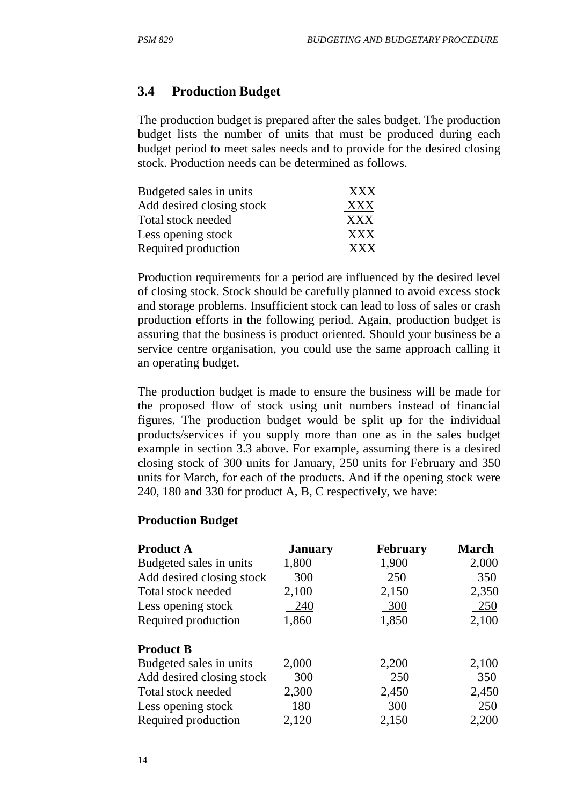# **3.4 Production Budget**

The production budget is prepared after the sales budget. The production budget lists the number of units that must be produced during each budget period to meet sales needs and to provide for the desired closing stock. Production needs can be determined as follows.

| Budgeted sales in units   | <b>XXX</b> |
|---------------------------|------------|
| Add desired closing stock | <b>XXX</b> |
| Total stock needed        | <b>XXX</b> |
| Less opening stock        | <b>XXX</b> |
| Required production       | <b>XXX</b> |

Production requirements for a period are influenced by the desired level of closing stock. Stock should be carefully planned to avoid excess stock and storage problems. Insufficient stock can lead to loss of sales or crash production efforts in the following period. Again, production budget is assuring that the business is product oriented. Should your business be a service centre organisation, you could use the same approach calling it an operating budget.

The production budget is made to ensure the business will be made for the proposed flow of stock using unit numbers instead of financial figures. The production budget would be split up for the individual products/services if you supply more than one as in the sales budget example in section 3.3 above. For example, assuming there is a desired closing stock of 300 units for January, 250 units for February and 350 units for March, for each of the products. And if the opening stock were 240, 180 and 330 for product A, B, C respectively, we have:

#### **Production Budget**

| <b>Product A</b>          | <b>January</b> | <b>February</b> | <b>March</b> |
|---------------------------|----------------|-----------------|--------------|
| Budgeted sales in units   | 1,800          | 1,900           | 2,000        |
| Add desired closing stock | 300            | 250             | 350          |
| Total stock needed        | 2,100          | 2,150           | 2,350        |
| Less opening stock        | 240            | 300             | 250          |
| Required production       | 1,860          | 1,850           | 2,100        |
| <b>Product B</b>          |                |                 |              |
| Budgeted sales in units   | 2,000          | 2,200           | 2,100        |
| Add desired closing stock | 300            | 250             | 350          |
| Total stock needed        | 2,300          | 2,450           | 2,450        |
| Less opening stock        | 180            | 300             | 250          |
| Required production       | 2,120          | 2,150           | 2,200        |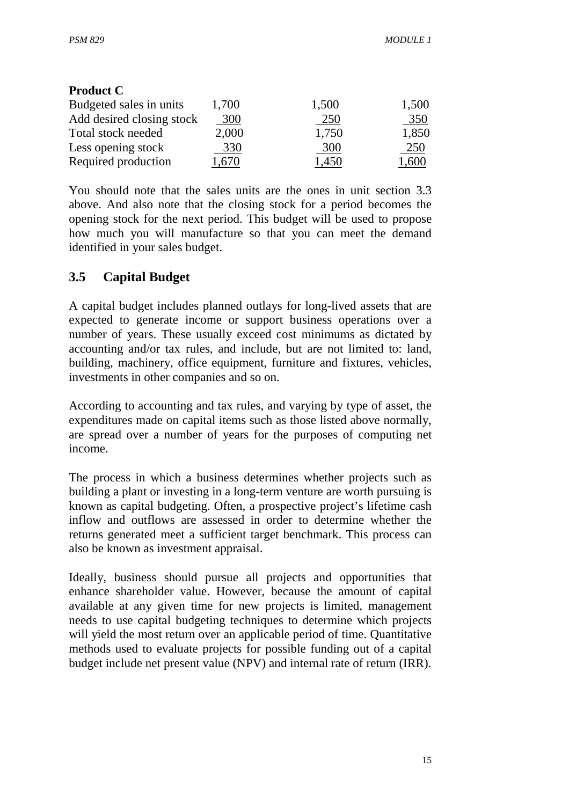| <b>Product C</b>          |       |       |       |
|---------------------------|-------|-------|-------|
| Budgeted sales in units   | 1,700 | 1,500 | 1,500 |
| Add desired closing stock | 300   | 250   | 350   |
| Total stock needed        | 2,000 | 1,750 | 1,850 |
| Less opening stock        | 330   | 300   | 250   |
| Required production       | .670  | 1,450 | 1.600 |

You should note that the sales units are the ones in unit section 3.3 above. And also note that the closing stock for a period becomes the opening stock for the next period. This budget will be used to propose how much you will manufacture so that you can meet the demand identified in your sales budget.

# **3.5 Capital Budget**

A capital budget includes planned outlays for long-lived assets that are expected to generate income or support business operations over a number of years. These usually exceed cost minimums as dictated by accounting and/or tax rules, and include, but are not limited to: land, building, machinery, office equipment, furniture and fixtures, vehicles, investments in other companies and so on.

According to accounting and tax rules, and varying by type of asset, the expenditures made on capital items such as those listed above normally, are spread over a number of years for the purposes of computing net income.

The process in which a business determines whether projects such as building a plant or investing in a long-term venture are worth pursuing is known as capital budgeting. Often, a prospective project's lifetime cash inflow and outflows are assessed in order to determine whether the returns generated meet a sufficient target benchmark. This process can also be known as investment appraisal.

Ideally, business should pursue all projects and opportunities that enhance shareholder value. However, because the amount of capital available at any given time for new projects is limited, management needs to use capital budgeting techniques to determine which projects will yield the most return over an applicable period of time. Quantitative methods used to evaluate projects for possible funding out of a capital budget include net present value (NPV) and internal rate of return (IRR).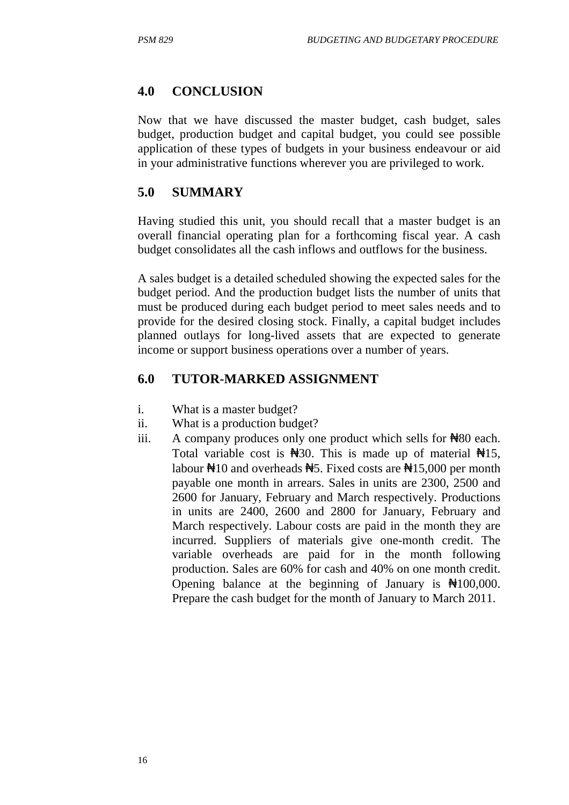## **4.0 CONCLUSION**

Now that we have discussed the master budget, cash budget, sales budget, production budget and capital budget, you could see possible application of these types of budgets in your business endeavour or aid in your administrative functions wherever you are privileged to work.

#### **5.0 SUMMARY**

Having studied this unit, you should recall that a master budget is an overall financial operating plan for a forthcoming fiscal year. A cash budget consolidates all the cash inflows and outflows for the business.

A sales budget is a detailed scheduled showing the expected sales for the budget period. And the production budget lists the number of units that must be produced during each budget period to meet sales needs and to provide for the desired closing stock. Finally, a capital budget includes planned outlays for long-lived assets that are expected to generate income or support business operations over a number of years.

#### **6.0 TUTOR-MARKED ASSIGNMENT**

- i. What is a master budget?
- ii. What is a production budget?
- iii. A company produces only one product which sells for ₦80 each. Total variable cost is  $\frac{120}{100}$ . This is made up of material  $\frac{120}{100}$ , labour  $\frac{1}{10}$  and overheads  $\frac{1}{5}$ . Fixed costs are  $\frac{1}{15}$ ,000 per month payable one month in arrears. Sales in units are 2300, 2500 and 2600 for January, February and March respectively. Productions in units are 2400, 2600 and 2800 for January, February and March respectively. Labour costs are paid in the month they are incurred. Suppliers of materials give one-month credit. The variable overheads are paid for in the month following production. Sales are 60% for cash and 40% on one month credit. Opening balance at the beginning of January is  $\frac{1}{2}100,000$ . Prepare the cash budget for the month of January to March 2011.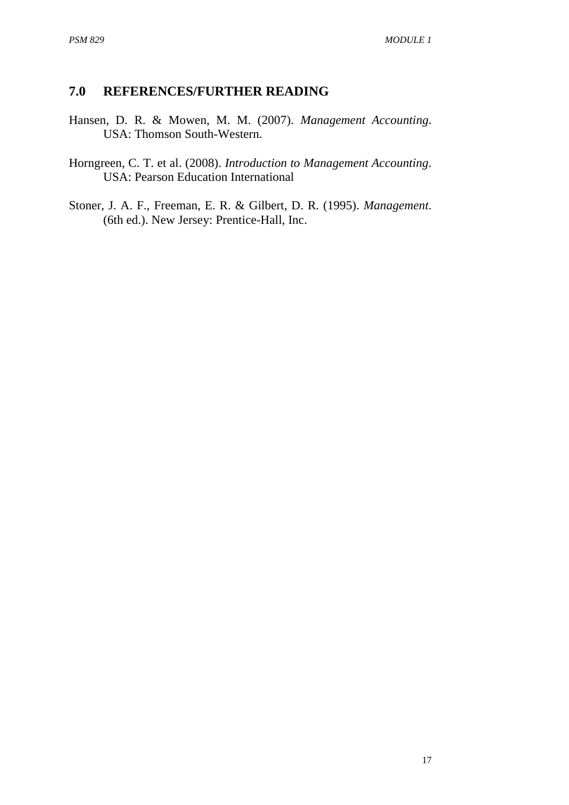# **7.0 REFERENCES/FURTHER READING**

- Hansen, D. R. & Mowen, M. M. (2007). *Management Accounting*. USA: Thomson South-Western.
- Horngreen, C. T. et al. (2008). *Introduction to Management Accounting*. USA: Pearson Education International
- Stoner, J. A. F., Freeman, E. R. & Gilbert, D. R. (1995). *Management*. (6th ed.). New Jersey: Prentice-Hall, Inc.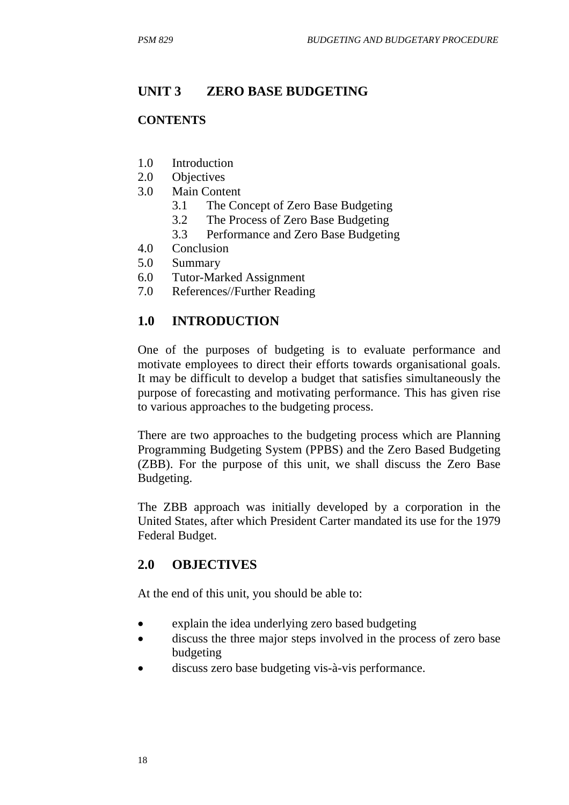# **UNIT 3 ZERO BASE BUDGETING**

#### **CONTENTS**

- 1.0 Introduction
- 2.0 Objectives
- 3.0 Main Content
	- 3.1 The Concept of Zero Base Budgeting
	- 3.2 The Process of Zero Base Budgeting
	- 3.3 Performance and Zero Base Budgeting
- 4.0 Conclusion
- 5.0 Summary
- 6.0 Tutor-Marked Assignment
- 7.0 References//Further Reading

#### **1.0 INTRODUCTION**

One of the purposes of budgeting is to evaluate performance and motivate employees to direct their efforts towards organisational goals. It may be difficult to develop a budget that satisfies simultaneously the purpose of forecasting and motivating performance. This has given rise to various approaches to the budgeting process.

There are two approaches to the budgeting process which are Planning Programming Budgeting System (PPBS) and the Zero Based Budgeting (ZBB). For the purpose of this unit, we shall discuss the Zero Base Budgeting.

The ZBB approach was initially developed by a corporation in the United States, after which President Carter mandated its use for the 1979 Federal Budget.

## **2.0 OBJECTIVES**

At the end of this unit, you should be able to:

- explain the idea underlying zero based budgeting
- discuss the three major steps involved in the process of zero base budgeting
- discuss zero base budgeting vis-à-vis performance.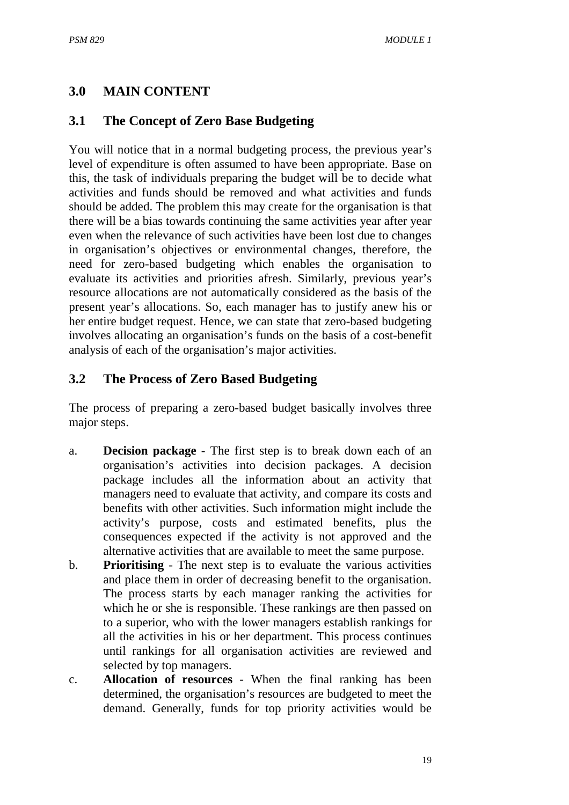# **3.0 MAIN CONTENT**

# **3.1 The Concept of Zero Base Budgeting**

You will notice that in a normal budgeting process, the previous year's level of expenditure is often assumed to have been appropriate. Base on this, the task of individuals preparing the budget will be to decide what activities and funds should be removed and what activities and funds should be added. The problem this may create for the organisation is that there will be a bias towards continuing the same activities year after year even when the relevance of such activities have been lost due to changes in organisation's objectives or environmental changes, therefore, the need for zero-based budgeting which enables the organisation to evaluate its activities and priorities afresh. Similarly, previous year's resource allocations are not automatically considered as the basis of the present year's allocations. So, each manager has to justify anew his or her entire budget request. Hence, we can state that zero-based budgeting involves allocating an organisation's funds on the basis of a cost-benefit analysis of each of the organisation's major activities.

# **3.2 The Process of Zero Based Budgeting**

The process of preparing a zero-based budget basically involves three major steps.

- a. **Decision package** The first step is to break down each of an organisation's activities into decision packages. A decision package includes all the information about an activity that managers need to evaluate that activity, and compare its costs and benefits with other activities. Such information might include the activity's purpose, costs and estimated benefits, plus the consequences expected if the activity is not approved and the alternative activities that are available to meet the same purpose.
- b. **Prioritising**  The next step is to evaluate the various activities and place them in order of decreasing benefit to the organisation. The process starts by each manager ranking the activities for which he or she is responsible. These rankings are then passed on to a superior, who with the lower managers establish rankings for all the activities in his or her department. This process continues until rankings for all organisation activities are reviewed and selected by top managers.
- c. **Allocation of resources** When the final ranking has been determined, the organisation's resources are budgeted to meet the demand. Generally, funds for top priority activities would be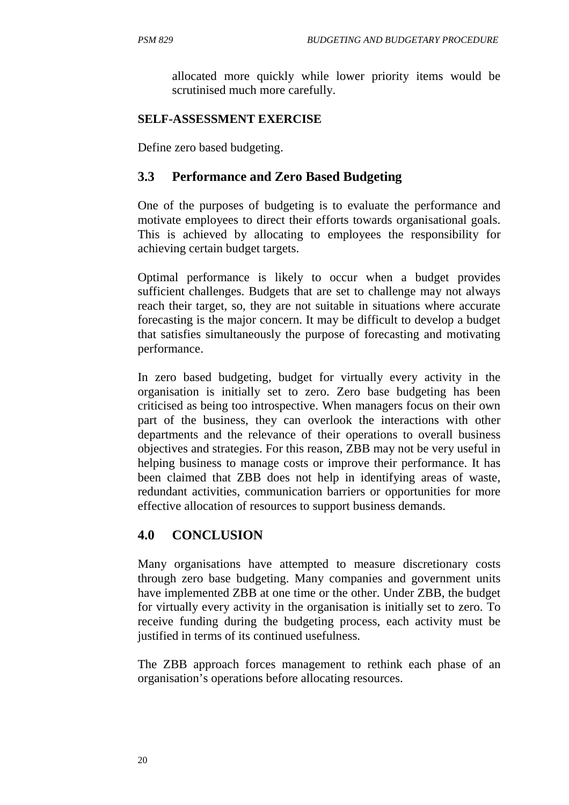allocated more quickly while lower priority items would be scrutinised much more carefully.

#### **SELF-ASSESSMENT EXERCISE**

Define zero based budgeting.

# **3.3 Performance and Zero Based Budgeting**

One of the purposes of budgeting is to evaluate the performance and motivate employees to direct their efforts towards organisational goals. This is achieved by allocating to employees the responsibility for achieving certain budget targets.

Optimal performance is likely to occur when a budget provides sufficient challenges. Budgets that are set to challenge may not always reach their target, so, they are not suitable in situations where accurate forecasting is the major concern. It may be difficult to develop a budget that satisfies simultaneously the purpose of forecasting and motivating performance.

In zero based budgeting, budget for virtually every activity in the organisation is initially set to zero. Zero base budgeting has been criticised as being too introspective. When managers focus on their own part of the business, they can overlook the interactions with other departments and the relevance of their operations to overall business objectives and strategies. For this reason, ZBB may not be very useful in helping business to manage costs or improve their performance. It has been claimed that ZBB does not help in identifying areas of waste, redundant activities, communication barriers or opportunities for more effective allocation of resources to support business demands.

## **4.0 CONCLUSION**

Many organisations have attempted to measure discretionary costs through zero base budgeting. Many companies and government units have implemented ZBB at one time or the other. Under ZBB, the budget for virtually every activity in the organisation is initially set to zero. To receive funding during the budgeting process, each activity must be justified in terms of its continued usefulness.

The ZBB approach forces management to rethink each phase of an organisation's operations before allocating resources.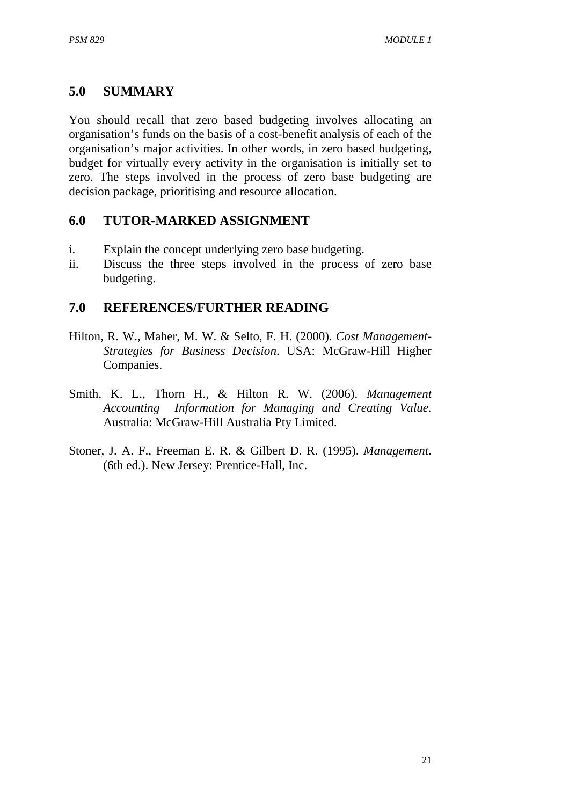# **5.0 SUMMARY**

You should recall that zero based budgeting involves allocating an organisation's funds on the basis of a cost-benefit analysis of each of the organisation's major activities. In other words, in zero based budgeting, budget for virtually every activity in the organisation is initially set to zero. The steps involved in the process of zero base budgeting are decision package, prioritising and resource allocation.

## **6.0 TUTOR-MARKED ASSIGNMENT**

- i. Explain the concept underlying zero base budgeting.
- ii. Discuss the three steps involved in the process of zero base budgeting.

## **7.0 REFERENCES/FURTHER READING**

- Hilton, R. W., Maher, M. W. & Selto, F. H. (2000). *Cost Management-Strategies for Business Decision*. USA: McGraw-Hill Higher Companies.
- Smith, K. L., Thorn H., & Hilton R. W. (2006). *Management Accounting Information for Managing and Creating Value.* Australia: McGraw-Hill Australia Pty Limited.
- Stoner, J. A. F., Freeman E. R. & Gilbert D. R. (1995). *Management*. (6th ed.). New Jersey: Prentice-Hall, Inc.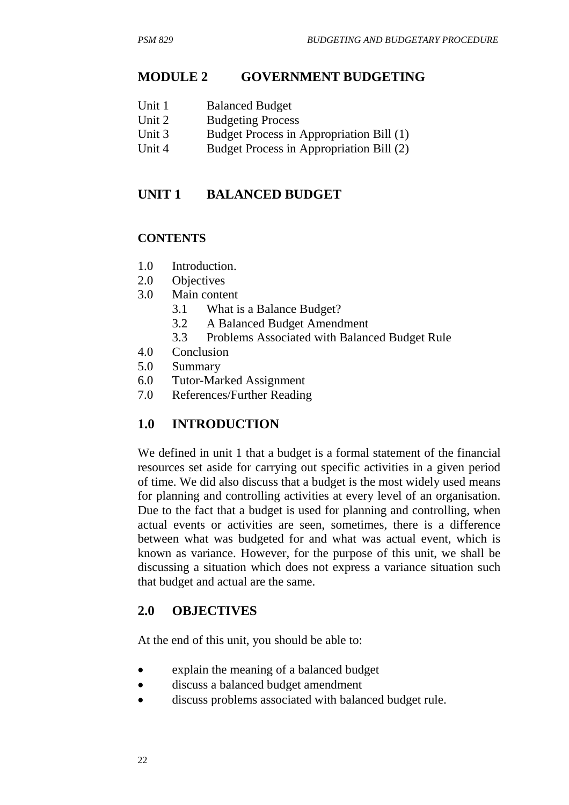### **MODULE 2 GOVERNMENT BUDGETING**

- Unit 2 Budgeting Process
- Unit 3 Budget Process in Appropriation Bill (1)
- Unit 4 Budget Process in Appropriation Bill (2)

## **UNIT 1 BALANCED BUDGET**

#### **CONTENTS**

- 1.0 Introduction.
- 2.0 Objectives
- 3.0 Main content
	- 3.1 What is a Balance Budget?
	- 3.2 A Balanced Budget Amendment
	- 3.3 Problems Associated with Balanced Budget Rule
- 4.0 Conclusion
- 5.0 Summary
- 6.0 Tutor-Marked Assignment
- 7.0 References/Further Reading

# **1.0 INTRODUCTION**

We defined in unit 1 that a budget is a formal statement of the financial resources set aside for carrying out specific activities in a given period of time. We did also discuss that a budget is the most widely used means for planning and controlling activities at every level of an organisation. Due to the fact that a budget is used for planning and controlling, when actual events or activities are seen, sometimes, there is a difference between what was budgeted for and what was actual event, which is known as variance. However, for the purpose of this unit, we shall be discussing a situation which does not express a variance situation such that budget and actual are the same.

## **2.0 OBJECTIVES**

At the end of this unit, you should be able to:

- explain the meaning of a balanced budget
- discuss a balanced budget amendment
- discuss problems associated with balanced budget rule.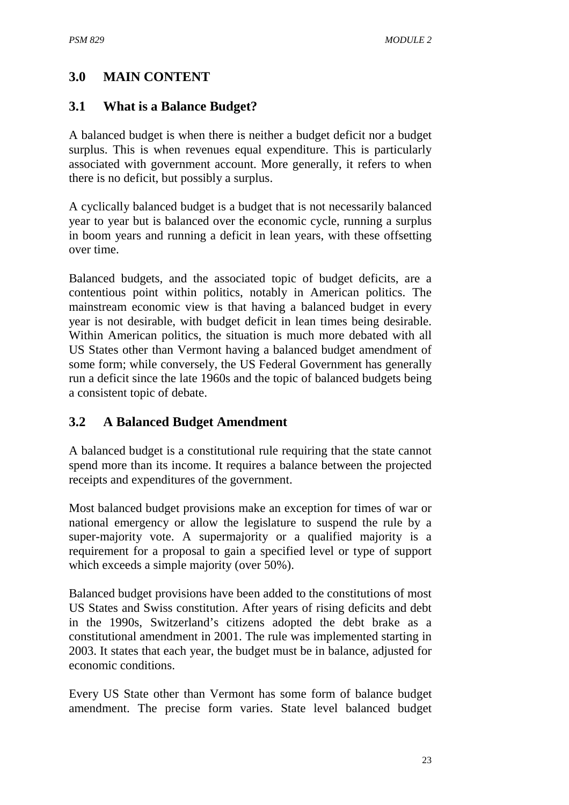# **3.0 MAIN CONTENT**

# **3.1 What is a Balance Budget?**

A balanced budget is when there is neither a budget deficit nor a budget surplus. This is when revenues equal expenditure. This is particularly associated with government account. More generally, it refers to when there is no deficit, but possibly a surplus.

A cyclically balanced budget is a budget that is not necessarily balanced year to year but is balanced over the economic cycle, running a surplus in boom years and running a deficit in lean years, with these offsetting over time.

Balanced budgets, and the associated topic of budget deficits, are a contentious point within politics, notably in American politics. The mainstream economic view is that having a balanced budget in every year is not desirable, with budget deficit in lean times being desirable. Within American politics, the situation is much more debated with all US States other than Vermont having a balanced budget amendment of some form; while conversely, the US Federal Government has generally run a deficit since the late 1960s and the topic of balanced budgets being a consistent topic of debate.

# **3.2 A Balanced Budget Amendment**

A balanced budget is a constitutional rule requiring that the state cannot spend more than its income. It requires a balance between the projected receipts and expenditures of the government.

Most balanced budget provisions make an exception for times of war or national emergency or allow the legislature to suspend the rule by a super-majority vote. A supermajority or a qualified majority is a requirement for a proposal to gain a specified level or type of support which exceeds a simple majority (over 50%).

Balanced budget provisions have been added to the constitutions of most US States and Swiss constitution. After years of rising deficits and debt in the 1990s, Switzerland's citizens adopted the debt brake as a constitutional amendment in 2001. The rule was implemented starting in 2003. It states that each year, the budget must be in balance, adjusted for economic conditions.

Every US State other than Vermont has some form of balance budget amendment. The precise form varies. State level balanced budget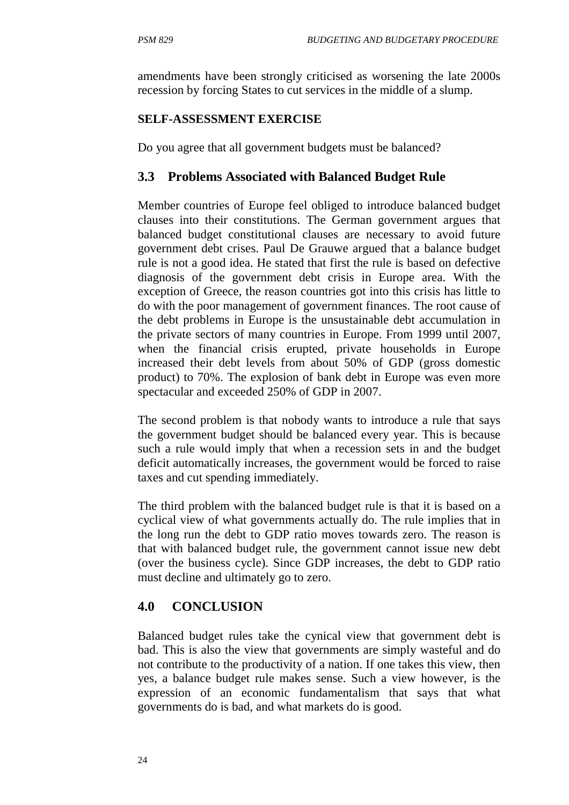amendments have been strongly criticised as worsening the late 2000s recession by forcing States to cut services in the middle of a slump.

#### **SELF-ASSESSMENT EXERCISE**

Do you agree that all government budgets must be balanced?

# **3.3 Problems Associated with Balanced Budget Rule**

Member countries of Europe feel obliged to introduce balanced budget clauses into their constitutions. The German government argues that balanced budget constitutional clauses are necessary to avoid future government debt crises. Paul De Grauwe argued that a balance budget rule is not a good idea. He stated that first the rule is based on defective diagnosis of the government debt crisis in Europe area. With the exception of Greece, the reason countries got into this crisis has little to do with the poor management of government finances. The root cause of the debt problems in Europe is the unsustainable debt accumulation in the private sectors of many countries in Europe. From 1999 until 2007, when the financial crisis erupted, private households in Europe increased their debt levels from about 50% of GDP (gross domestic product) to 70%. The explosion of bank debt in Europe was even more spectacular and exceeded 250% of GDP in 2007.

The second problem is that nobody wants to introduce a rule that says the government budget should be balanced every year. This is because such a rule would imply that when a recession sets in and the budget deficit automatically increases, the government would be forced to raise taxes and cut spending immediately.

The third problem with the balanced budget rule is that it is based on a cyclical view of what governments actually do. The rule implies that in the long run the debt to GDP ratio moves towards zero. The reason is that with balanced budget rule, the government cannot issue new debt (over the business cycle). Since GDP increases, the debt to GDP ratio must decline and ultimately go to zero.

## **4.0 CONCLUSION**

Balanced budget rules take the cynical view that government debt is bad. This is also the view that governments are simply wasteful and do not contribute to the productivity of a nation. If one takes this view, then yes, a balance budget rule makes sense. Such a view however, is the expression of an economic fundamentalism that says that what governments do is bad, and what markets do is good.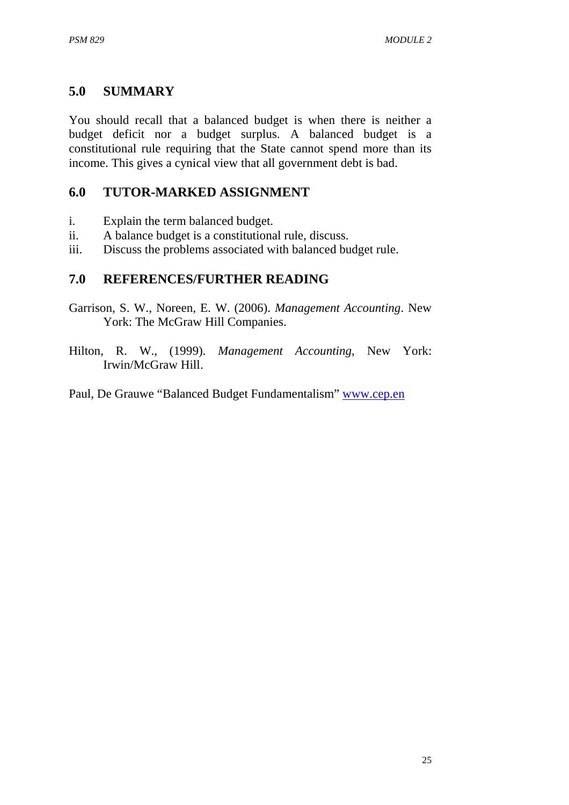# **5.0 SUMMARY**

You should recall that a balanced budget is when there is neither a budget deficit nor a budget surplus. A balanced budget is a constitutional rule requiring that the State cannot spend more than its income. This gives a cynical view that all government debt is bad.

# **6.0 TUTOR-MARKED ASSIGNMENT**

- i. Explain the term balanced budget.
- ii. A balance budget is a constitutional rule, discuss.
- iii. Discuss the problems associated with balanced budget rule.

## **7.0 REFERENCES/FURTHER READING**

- Garrison, S. W., Noreen, E. W. (2006). *Management Accounting*. New York: The McGraw Hill Companies.
- Hilton, R. W., (1999). *Management Accounting*, New York: Irwin/McGraw Hill.

Paul, De Grauwe "Balanced Budget Fundamentalism" www.cep.en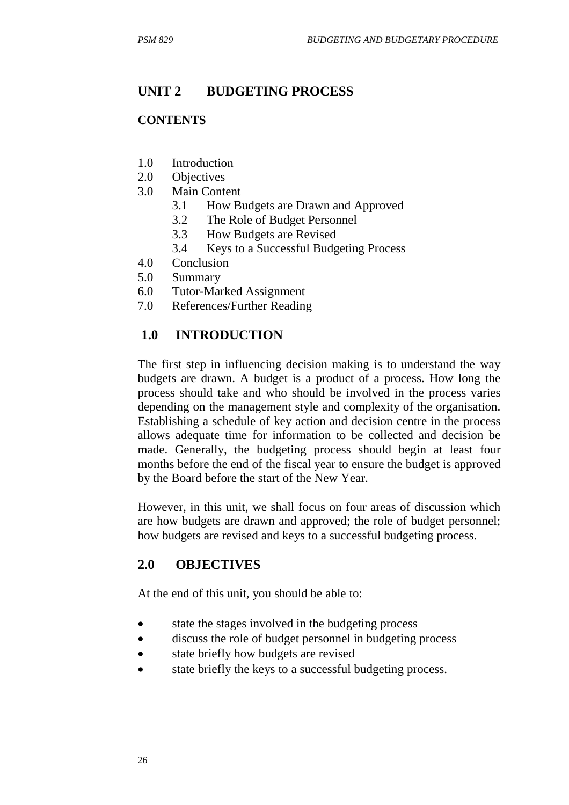# **UNIT 2 BUDGETING PROCESS**

#### **CONTENTS**

- 1.0 Introduction
- 2.0 Objectives
- 3.0 Main Content
	- 3.1 How Budgets are Drawn and Approved
	- 3.2 The Role of Budget Personnel
	- 3.3 How Budgets are Revised
	- 3.4 Keys to a Successful Budgeting Process
- 4.0 Conclusion
- 5.0 Summary
- 6.0 Tutor-Marked Assignment
- 7.0 References/Further Reading

#### **1.0 INTRODUCTION**

The first step in influencing decision making is to understand the way budgets are drawn. A budget is a product of a process. How long the process should take and who should be involved in the process varies depending on the management style and complexity of the organisation. Establishing a schedule of key action and decision centre in the process allows adequate time for information to be collected and decision be made. Generally, the budgeting process should begin at least four months before the end of the fiscal year to ensure the budget is approved by the Board before the start of the New Year.

However, in this unit, we shall focus on four areas of discussion which are how budgets are drawn and approved; the role of budget personnel; how budgets are revised and keys to a successful budgeting process.

## **2.0 OBJECTIVES**

At the end of this unit, you should be able to:

- state the stages involved in the budgeting process
- discuss the role of budget personnel in budgeting process
- state briefly how budgets are revised
- state briefly the keys to a successful budgeting process.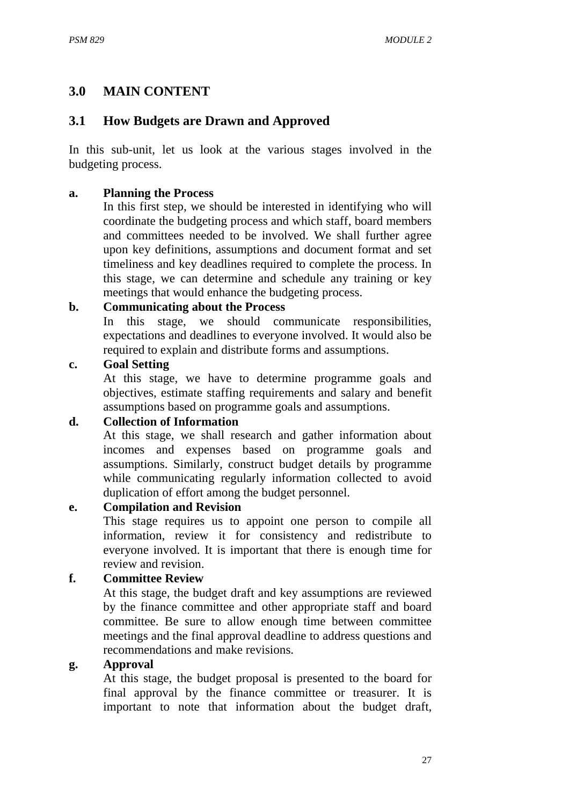# **3.0 MAIN CONTENT**

# **3.1 How Budgets are Drawn and Approved**

In this sub-unit, let us look at the various stages involved in the budgeting process.

#### **a. Planning the Process**

In this first step, we should be interested in identifying who will coordinate the budgeting process and which staff, board members and committees needed to be involved. We shall further agree upon key definitions, assumptions and document format and set timeliness and key deadlines required to complete the process. In this stage, we can determine and schedule any training or key meetings that would enhance the budgeting process.

#### **b. Communicating about the Process**

In this stage, we should communicate responsibilities, expectations and deadlines to everyone involved. It would also be required to explain and distribute forms and assumptions.

#### **c. Goal Setting**

At this stage, we have to determine programme goals and objectives, estimate staffing requirements and salary and benefit assumptions based on programme goals and assumptions.

#### **d. Collection of Information**

At this stage, we shall research and gather information about incomes and expenses based on programme goals and assumptions. Similarly, construct budget details by programme while communicating regularly information collected to avoid duplication of effort among the budget personnel.

#### **e. Compilation and Revision**

This stage requires us to appoint one person to compile all information, review it for consistency and redistribute to everyone involved. It is important that there is enough time for review and revision.

#### **f. Committee Review**

At this stage, the budget draft and key assumptions are reviewed by the finance committee and other appropriate staff and board committee. Be sure to allow enough time between committee meetings and the final approval deadline to address questions and recommendations and make revisions.

#### **g. Approval**

At this stage, the budget proposal is presented to the board for final approval by the finance committee or treasurer. It is important to note that information about the budget draft,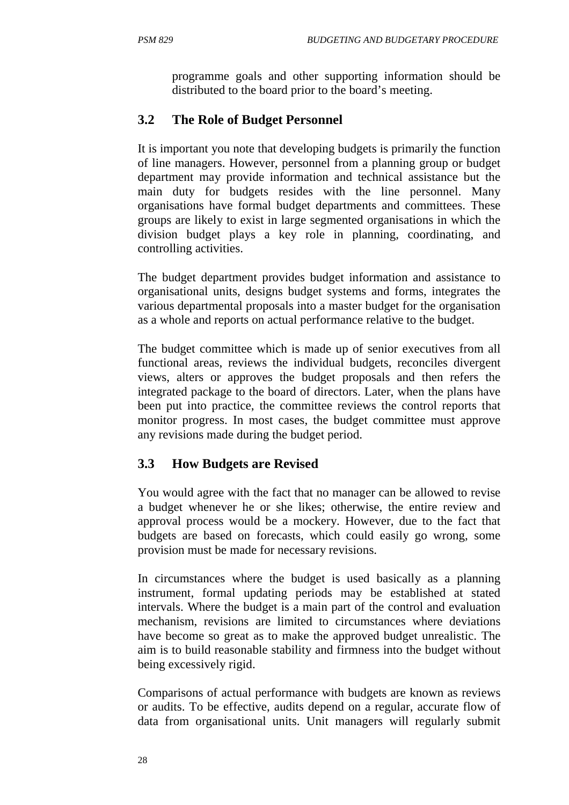programme goals and other supporting information should be distributed to the board prior to the board's meeting.

# **3.2 The Role of Budget Personnel**

It is important you note that developing budgets is primarily the function of line managers. However, personnel from a planning group or budget department may provide information and technical assistance but the main duty for budgets resides with the line personnel. Many organisations have formal budget departments and committees. These groups are likely to exist in large segmented organisations in which the division budget plays a key role in planning, coordinating, and controlling activities.

The budget department provides budget information and assistance to organisational units, designs budget systems and forms, integrates the various departmental proposals into a master budget for the organisation as a whole and reports on actual performance relative to the budget.

The budget committee which is made up of senior executives from all functional areas, reviews the individual budgets, reconciles divergent views, alters or approves the budget proposals and then refers the integrated package to the board of directors. Later, when the plans have been put into practice, the committee reviews the control reports that monitor progress. In most cases, the budget committee must approve any revisions made during the budget period.

# **3.3 How Budgets are Revised**

You would agree with the fact that no manager can be allowed to revise a budget whenever he or she likes; otherwise, the entire review and approval process would be a mockery. However, due to the fact that budgets are based on forecasts, which could easily go wrong, some provision must be made for necessary revisions.

In circumstances where the budget is used basically as a planning instrument, formal updating periods may be established at stated intervals. Where the budget is a main part of the control and evaluation mechanism, revisions are limited to circumstances where deviations have become so great as to make the approved budget unrealistic. The aim is to build reasonable stability and firmness into the budget without being excessively rigid.

Comparisons of actual performance with budgets are known as reviews or audits. To be effective, audits depend on a regular, accurate flow of data from organisational units. Unit managers will regularly submit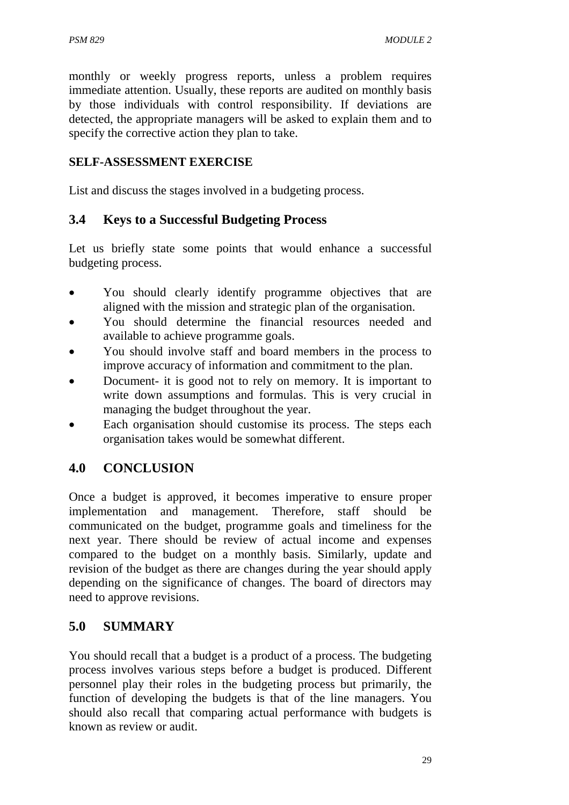monthly or weekly progress reports, unless a problem requires immediate attention. Usually, these reports are audited on monthly basis by those individuals with control responsibility. If deviations are detected, the appropriate managers will be asked to explain them and to specify the corrective action they plan to take.

#### **SELF-ASSESSMENT EXERCISE**

List and discuss the stages involved in a budgeting process.

## **3.4 Keys to a Successful Budgeting Process**

Let us briefly state some points that would enhance a successful budgeting process.

- You should clearly identify programme objectives that are aligned with the mission and strategic plan of the organisation.
- You should determine the financial resources needed and available to achieve programme goals.
- You should involve staff and board members in the process to improve accuracy of information and commitment to the plan.
- Document- it is good not to rely on memory. It is important to write down assumptions and formulas. This is very crucial in managing the budget throughout the year.
- Each organisation should customise its process. The steps each organisation takes would be somewhat different.

# **4.0 CONCLUSION**

Once a budget is approved, it becomes imperative to ensure proper implementation and management. Therefore, staff should be communicated on the budget, programme goals and timeliness for the next year. There should be review of actual income and expenses compared to the budget on a monthly basis. Similarly, update and revision of the budget as there are changes during the year should apply depending on the significance of changes. The board of directors may need to approve revisions.

## **5.0 SUMMARY**

You should recall that a budget is a product of a process. The budgeting process involves various steps before a budget is produced. Different personnel play their roles in the budgeting process but primarily, the function of developing the budgets is that of the line managers. You should also recall that comparing actual performance with budgets is known as review or audit.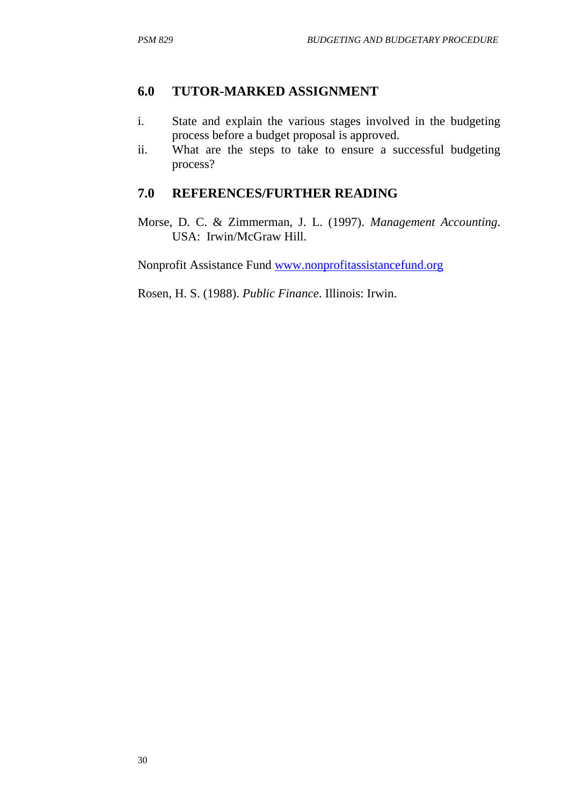### **6.0 TUTOR-MARKED ASSIGNMENT**

- i. State and explain the various stages involved in the budgeting process before a budget proposal is approved.
- ii. What are the steps to take to ensure a successful budgeting process?

### **7.0 REFERENCES/FURTHER READING**

Morse, D. C. & Zimmerman, J. L. (1997). *Management Accounting*. USA: Irwin/McGraw Hill.

Nonprofit Assistance Fund www.nonprofitassistancefund.org

Rosen, H. S. (1988). *Public Finance*. Illinois: Irwin.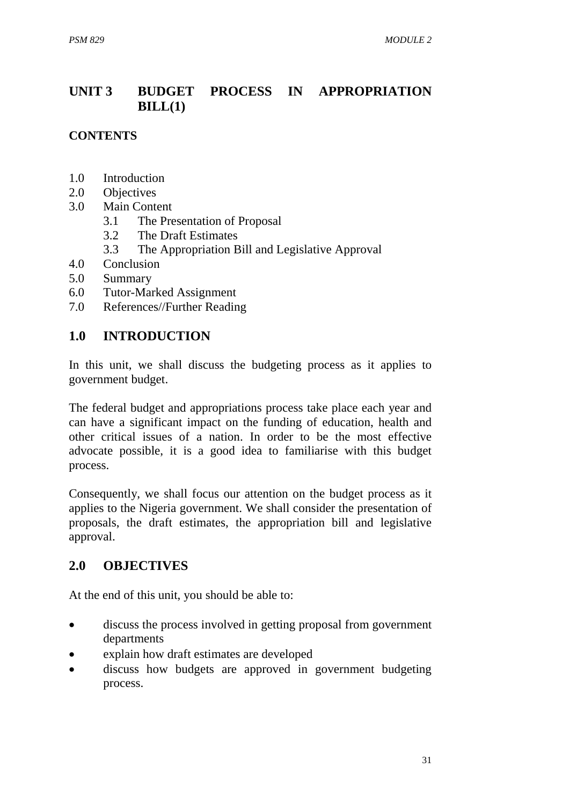## **UNIT 3 BUDGET PROCESS IN APPROPRIATION BILL(1)**

#### **CONTENTS**

- 1.0 Introduction
- 2.0 Objectives
- 3.0 Main Content
	- 3.1 The Presentation of Proposal
	- 3.2 The Draft Estimates
	- 3.3 The Appropriation Bill and Legislative Approval
- 4.0 Conclusion
- 5.0 Summary
- 6.0 Tutor-Marked Assignment
- 7.0 References//Further Reading

#### **1.0 INTRODUCTION**

In this unit, we shall discuss the budgeting process as it applies to government budget.

The federal budget and appropriations process take place each year and can have a significant impact on the funding of education, health and other critical issues of a nation. In order to be the most effective advocate possible, it is a good idea to familiarise with this budget process.

Consequently, we shall focus our attention on the budget process as it applies to the Nigeria government. We shall consider the presentation of proposals, the draft estimates, the appropriation bill and legislative approval.

### **2.0 OBJECTIVES**

At the end of this unit, you should be able to:

- discuss the process involved in getting proposal from government departments
- explain how draft estimates are developed
- discuss how budgets are approved in government budgeting process.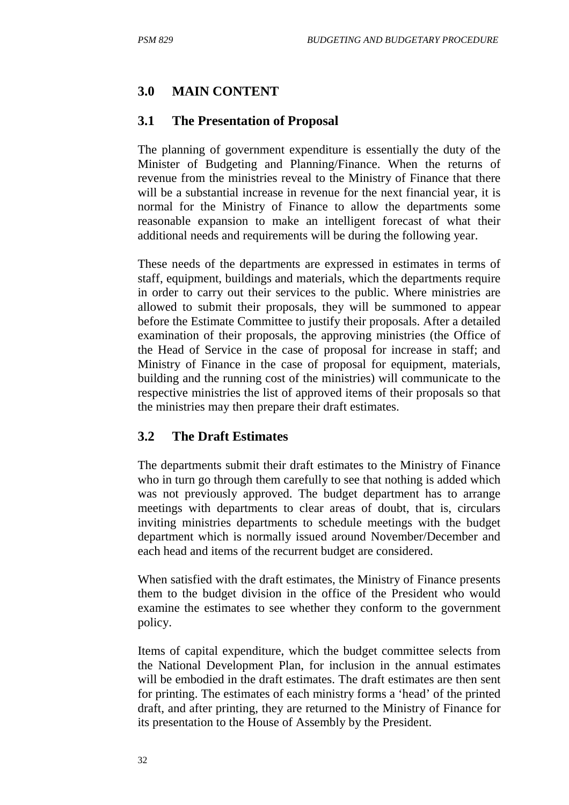### **3.0 MAIN CONTENT**

#### **3.1 The Presentation of Proposal**

The planning of government expenditure is essentially the duty of the Minister of Budgeting and Planning/Finance. When the returns of revenue from the ministries reveal to the Ministry of Finance that there will be a substantial increase in revenue for the next financial year, it is normal for the Ministry of Finance to allow the departments some reasonable expansion to make an intelligent forecast of what their additional needs and requirements will be during the following year.

These needs of the departments are expressed in estimates in terms of staff, equipment, buildings and materials, which the departments require in order to carry out their services to the public. Where ministries are allowed to submit their proposals, they will be summoned to appear before the Estimate Committee to justify their proposals. After a detailed examination of their proposals, the approving ministries (the Office of the Head of Service in the case of proposal for increase in staff; and Ministry of Finance in the case of proposal for equipment, materials, building and the running cost of the ministries) will communicate to the respective ministries the list of approved items of their proposals so that the ministries may then prepare their draft estimates.

### **3.2 The Draft Estimates**

The departments submit their draft estimates to the Ministry of Finance who in turn go through them carefully to see that nothing is added which was not previously approved. The budget department has to arrange meetings with departments to clear areas of doubt, that is, circulars inviting ministries departments to schedule meetings with the budget department which is normally issued around November/December and each head and items of the recurrent budget are considered.

When satisfied with the draft estimates, the Ministry of Finance presents them to the budget division in the office of the President who would examine the estimates to see whether they conform to the government policy.

Items of capital expenditure, which the budget committee selects from the National Development Plan, for inclusion in the annual estimates will be embodied in the draft estimates. The draft estimates are then sent for printing. The estimates of each ministry forms a 'head' of the printed draft, and after printing, they are returned to the Ministry of Finance for its presentation to the House of Assembly by the President.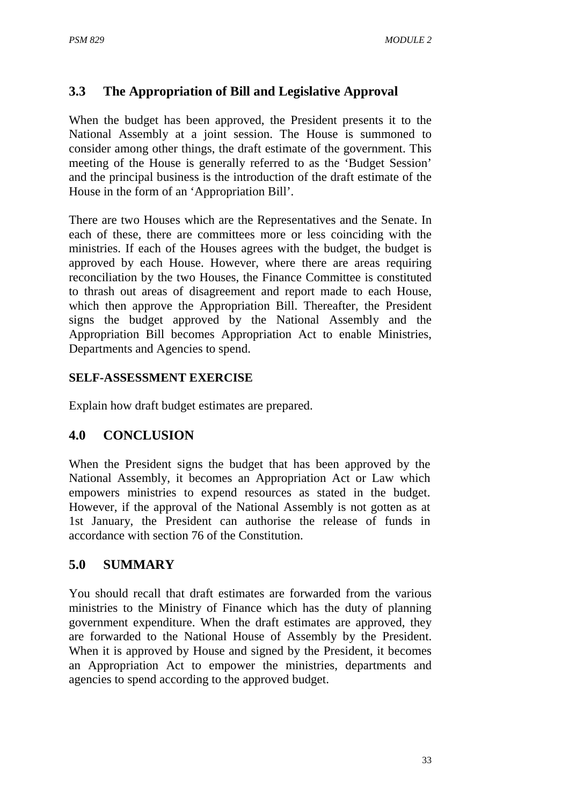## **3.3 The Appropriation of Bill and Legislative Approval**

When the budget has been approved, the President presents it to the National Assembly at a joint session. The House is summoned to consider among other things, the draft estimate of the government. This meeting of the House is generally referred to as the 'Budget Session' and the principal business is the introduction of the draft estimate of the House in the form of an 'Appropriation Bill'.

There are two Houses which are the Representatives and the Senate. In each of these, there are committees more or less coinciding with the ministries. If each of the Houses agrees with the budget, the budget is approved by each House. However, where there are areas requiring reconciliation by the two Houses, the Finance Committee is constituted to thrash out areas of disagreement and report made to each House, which then approve the Appropriation Bill. Thereafter, the President signs the budget approved by the National Assembly and the Appropriation Bill becomes Appropriation Act to enable Ministries, Departments and Agencies to spend.

### **SELF-ASSESSMENT EXERCISE**

Explain how draft budget estimates are prepared.

### **4.0 CONCLUSION**

When the President signs the budget that has been approved by the National Assembly, it becomes an Appropriation Act or Law which empowers ministries to expend resources as stated in the budget. However, if the approval of the National Assembly is not gotten as at 1st January, the President can authorise the release of funds in accordance with section 76 of the Constitution.

## **5.0 SUMMARY**

You should recall that draft estimates are forwarded from the various ministries to the Ministry of Finance which has the duty of planning government expenditure. When the draft estimates are approved, they are forwarded to the National House of Assembly by the President. When it is approved by House and signed by the President, it becomes an Appropriation Act to empower the ministries, departments and agencies to spend according to the approved budget.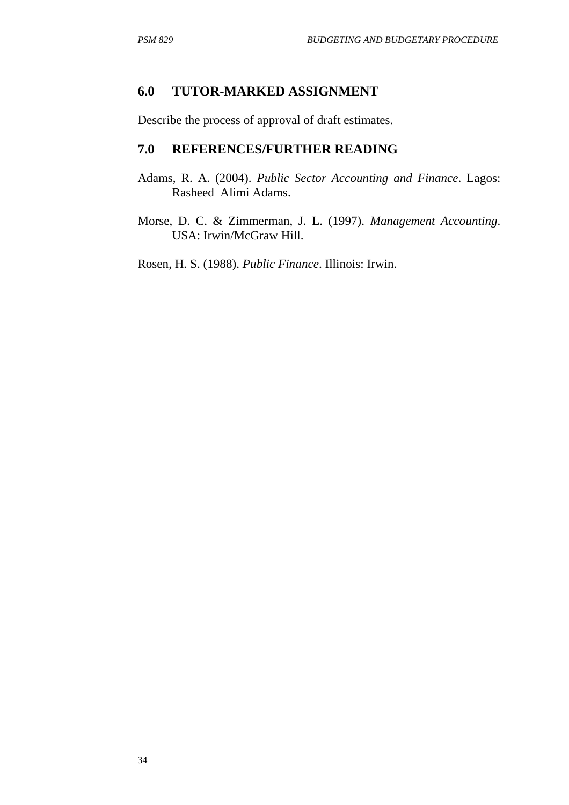### **6.0 TUTOR-MARKED ASSIGNMENT**

Describe the process of approval of draft estimates.

### **7.0 REFERENCES/FURTHER READING**

- Adams, R. A. (2004). *Public Sector Accounting and Finance*. Lagos: Rasheed Alimi Adams.
- Morse, D. C. & Zimmerman, J. L. (1997). *Management Accounting*. USA: Irwin/McGraw Hill.

Rosen, H. S. (1988). *Public Finance*. Illinois: Irwin.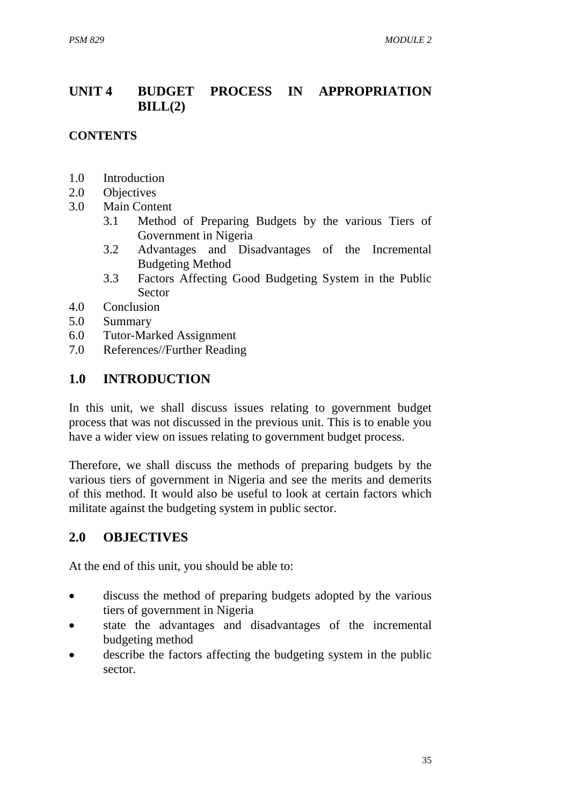## **UNIT 4 BUDGET PROCESS IN APPROPRIATION BILL(2)**

#### **CONTENTS**

- 1.0 Introduction
- 2.0 Objectives
- 3.0 Main Content
	- 3.1 Method of Preparing Budgets by the various Tiers of Government in Nigeria
	- 3.2 Advantages and Disadvantages of the Incremental Budgeting Method
	- 3.3 Factors Affecting Good Budgeting System in the Public Sector
- 4.0 Conclusion
- 5.0 Summary
- 6.0 Tutor-Marked Assignment
- 7.0 References//Further Reading

#### **1.0 INTRODUCTION**

In this unit, we shall discuss issues relating to government budget process that was not discussed in the previous unit. This is to enable you have a wider view on issues relating to government budget process.

Therefore, we shall discuss the methods of preparing budgets by the various tiers of government in Nigeria and see the merits and demerits of this method. It would also be useful to look at certain factors which militate against the budgeting system in public sector.

### **2.0 OBJECTIVES**

At the end of this unit, you should be able to:

- discuss the method of preparing budgets adopted by the various tiers of government in Nigeria
- state the advantages and disadvantages of the incremental budgeting method
- describe the factors affecting the budgeting system in the public sector.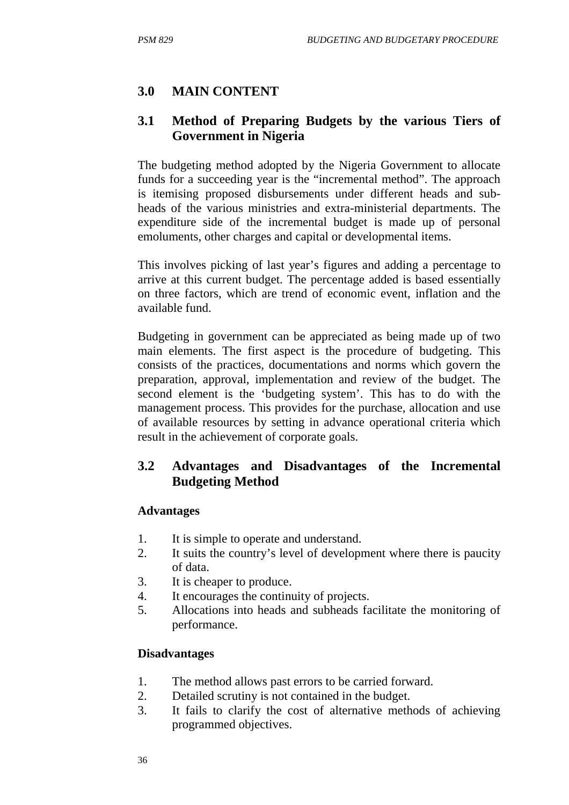### **3.0 MAIN CONTENT**

### **3.1 Method of Preparing Budgets by the various Tiers of Government in Nigeria**

The budgeting method adopted by the Nigeria Government to allocate funds for a succeeding year is the "incremental method". The approach is itemising proposed disbursements under different heads and subheads of the various ministries and extra-ministerial departments. The expenditure side of the incremental budget is made up of personal emoluments, other charges and capital or developmental items.

This involves picking of last year's figures and adding a percentage to arrive at this current budget. The percentage added is based essentially on three factors, which are trend of economic event, inflation and the available fund.

Budgeting in government can be appreciated as being made up of two main elements. The first aspect is the procedure of budgeting. This consists of the practices, documentations and norms which govern the preparation, approval, implementation and review of the budget. The second element is the 'budgeting system'. This has to do with the management process. This provides for the purchase, allocation and use of available resources by setting in advance operational criteria which result in the achievement of corporate goals.

### **3.2 Advantages and Disadvantages of the Incremental Budgeting Method**

#### **Advantages**

- 1. It is simple to operate and understand.
- 2. It suits the country's level of development where there is paucity of data.
- 3. It is cheaper to produce.
- 4. It encourages the continuity of projects.
- 5. Allocations into heads and subheads facilitate the monitoring of performance.

#### **Disadvantages**

- 1. The method allows past errors to be carried forward.
- 2. Detailed scrutiny is not contained in the budget.
- 3. It fails to clarify the cost of alternative methods of achieving programmed objectives.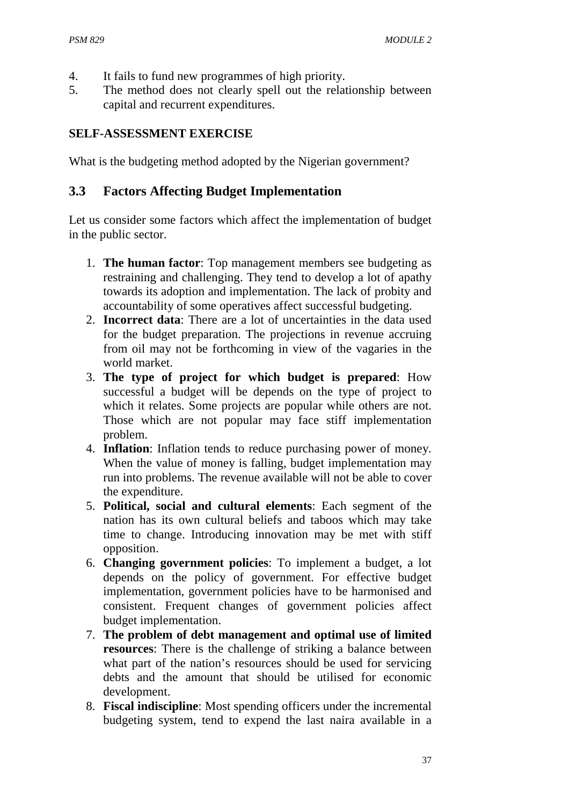- 4. It fails to fund new programmes of high priority.
- 5. The method does not clearly spell out the relationship between capital and recurrent expenditures.

#### **SELF-ASSESSMENT EXERCISE**

What is the budgeting method adopted by the Nigerian government?

#### **3.3 Factors Affecting Budget Implementation**

Let us consider some factors which affect the implementation of budget in the public sector.

- 1. **The human factor**: Top management members see budgeting as restraining and challenging. They tend to develop a lot of apathy towards its adoption and implementation. The lack of probity and accountability of some operatives affect successful budgeting.
- 2. **Incorrect data**: There are a lot of uncertainties in the data used for the budget preparation. The projections in revenue accruing from oil may not be forthcoming in view of the vagaries in the world market.
- 3. **The type of project for which budget is prepared**: How successful a budget will be depends on the type of project to which it relates. Some projects are popular while others are not. Those which are not popular may face stiff implementation problem.
- 4. **Inflation**: Inflation tends to reduce purchasing power of money. When the value of money is falling, budget implementation may run into problems. The revenue available will not be able to cover the expenditure.
- 5. **Political, social and cultural elements**: Each segment of the nation has its own cultural beliefs and taboos which may take time to change. Introducing innovation may be met with stiff opposition.
- 6. **Changing government policies**: To implement a budget, a lot depends on the policy of government. For effective budget implementation, government policies have to be harmonised and consistent. Frequent changes of government policies affect budget implementation.
- 7. **The problem of debt management and optimal use of limited resources**: There is the challenge of striking a balance between what part of the nation's resources should be used for servicing debts and the amount that should be utilised for economic development.
- 8. **Fiscal indiscipline**: Most spending officers under the incremental budgeting system, tend to expend the last naira available in a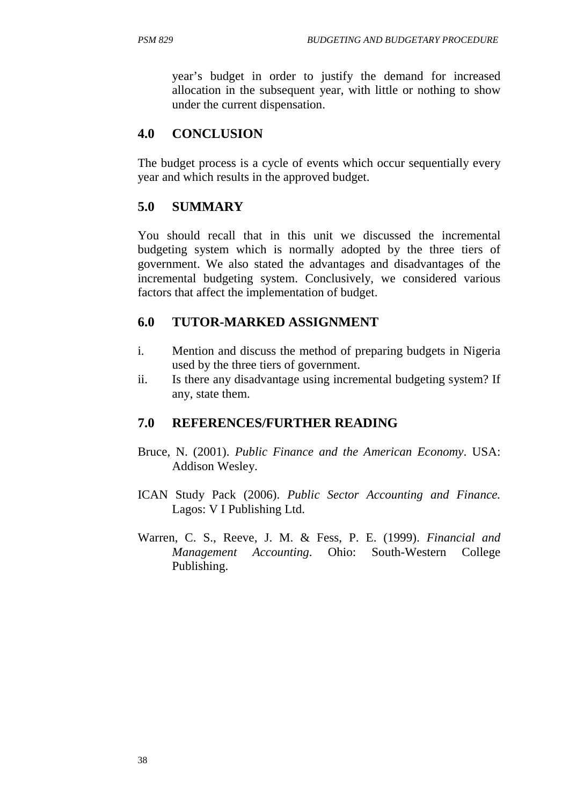year's budget in order to justify the demand for increased allocation in the subsequent year, with little or nothing to show under the current dispensation.

### **4.0 CONCLUSION**

The budget process is a cycle of events which occur sequentially every year and which results in the approved budget.

### **5.0 SUMMARY**

You should recall that in this unit we discussed the incremental budgeting system which is normally adopted by the three tiers of government. We also stated the advantages and disadvantages of the incremental budgeting system. Conclusively, we considered various factors that affect the implementation of budget.

### **6.0 TUTOR-MARKED ASSIGNMENT**

- i. Mention and discuss the method of preparing budgets in Nigeria used by the three tiers of government.
- ii. Is there any disadvantage using incremental budgeting system? If any, state them.

### **7.0 REFERENCES/FURTHER READING**

- Bruce, N. (2001). *Public Finance and the American Economy*. USA: Addison Wesley.
- ICAN Study Pack (2006). *Public Sector Accounting and Finance.* Lagos: V I Publishing Ltd.
- Warren, C. S., Reeve, J. M. & Fess, P. E. (1999). *Financial and Management Accounting*. Ohio: South-Western College Publishing.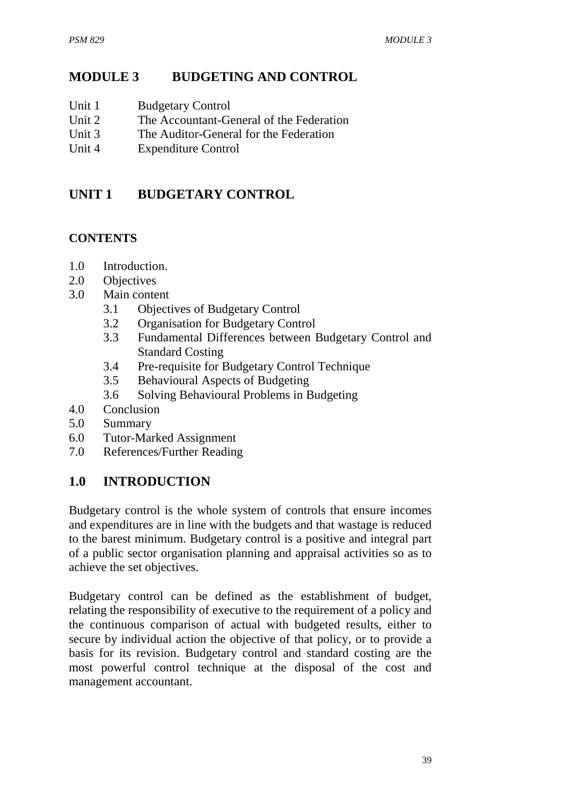## **MODULE 3 BUDGETING AND CONTROL**

- Unit 1 Budgetary Control
- Unit 2 The Accountant-General of the Federation
- Unit 3 The Auditor-General for the Federation
- Unit 4 Expenditure Control

# **UNIT 1 BUDGETARY CONTROL**

#### **CONTENTS**

- 1.0 Introduction.
- 2.0 Objectives
- 3.0 Main content
	- 3.1 Objectives of Budgetary Control
	- 3.2 Organisation for Budgetary Control
	- 3.3 Fundamental Differences between Budgetary Control and Standard Costing
	- 3.4 Pre-requisite for Budgetary Control Technique
	- 3.5 Behavioural Aspects of Budgeting
	- 3.6 Solving Behavioural Problems in Budgeting
- 4.0 Conclusion
- 5.0 Summary
- 6.0 Tutor-Marked Assignment
- 7.0 References/Further Reading

## **1.0 INTRODUCTION**

Budgetary control is the whole system of controls that ensure incomes and expenditures are in line with the budgets and that wastage is reduced to the barest minimum. Budgetary control is a positive and integral part of a public sector organisation planning and appraisal activities so as to achieve the set objectives.

Budgetary control can be defined as the establishment of budget, relating the responsibility of executive to the requirement of a policy and the continuous comparison of actual with budgeted results, either to secure by individual action the objective of that policy, or to provide a basis for its revision. Budgetary control and standard costing are the most powerful control technique at the disposal of the cost and management accountant.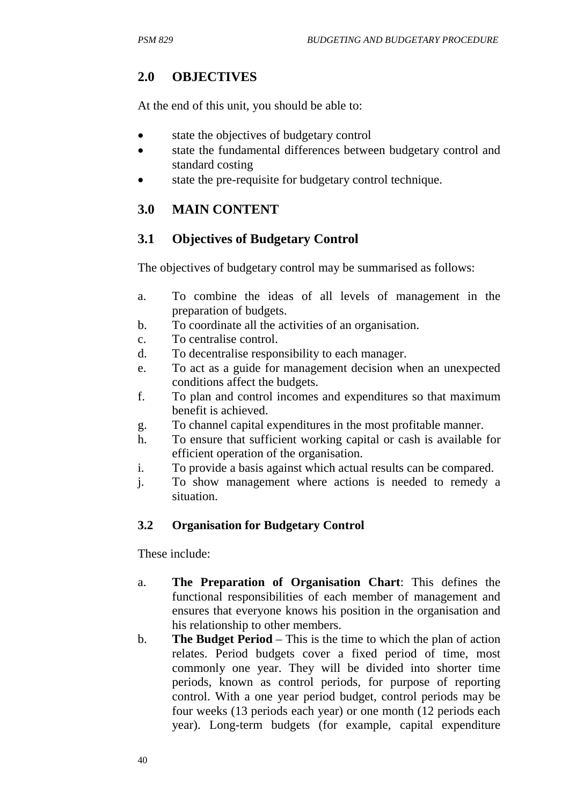# **2.0 OBJECTIVES**

At the end of this unit, you should be able to:

- state the objectives of budgetary control
- state the fundamental differences between budgetary control and standard costing
- state the pre-requisite for budgetary control technique.

# **3.0 MAIN CONTENT**

## **3.1 Objectives of Budgetary Control**

The objectives of budgetary control may be summarised as follows:

- a. To combine the ideas of all levels of management in the preparation of budgets.
- b. To coordinate all the activities of an organisation.
- c. To centralise control.
- d. To decentralise responsibility to each manager.
- e. To act as a guide for management decision when an unexpected conditions affect the budgets.
- f. To plan and control incomes and expenditures so that maximum benefit is achieved.
- g. To channel capital expenditures in the most profitable manner.
- h. To ensure that sufficient working capital or cash is available for efficient operation of the organisation.
- i. To provide a basis against which actual results can be compared.
- j. To show management where actions is needed to remedy a situation.

### **3.2 Organisation for Budgetary Control**

These include:

- a. **The Preparation of Organisation Chart**: This defines the functional responsibilities of each member of management and ensures that everyone knows his position in the organisation and his relationship to other members.
- b. **The Budget Period** This is the time to which the plan of action relates. Period budgets cover a fixed period of time, most commonly one year. They will be divided into shorter time periods, known as control periods, for purpose of reporting control. With a one year period budget, control periods may be four weeks (13 periods each year) or one month (12 periods each year). Long-term budgets (for example, capital expenditure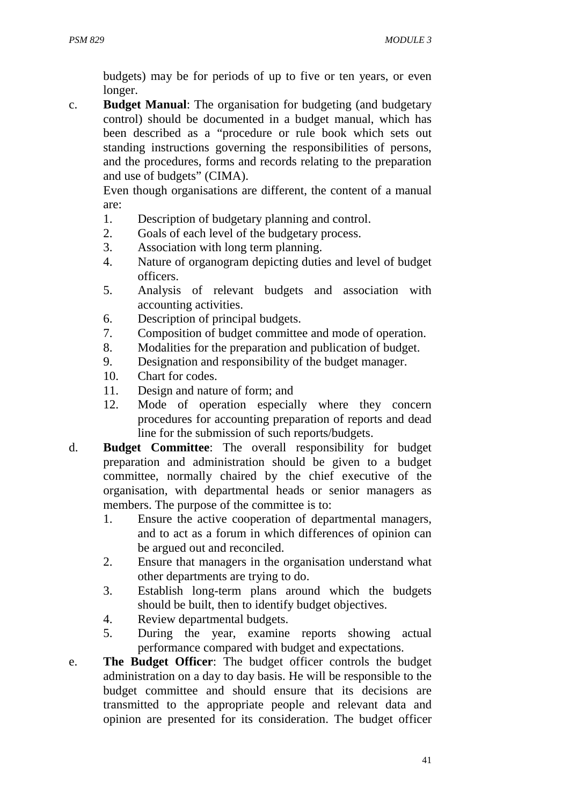budgets) may be for periods of up to five or ten years, or even longer.

c. **Budget Manual**: The organisation for budgeting (and budgetary control) should be documented in a budget manual, which has been described as a "procedure or rule book which sets out standing instructions governing the responsibilities of persons, and the procedures, forms and records relating to the preparation and use of budgets" (CIMA).

Even though organisations are different, the content of a manual are:

- 1. Description of budgetary planning and control.
- 2. Goals of each level of the budgetary process.
- 3. Association with long term planning.
- 4. Nature of organogram depicting duties and level of budget officers.
- 5. Analysis of relevant budgets and association with accounting activities.
- 6. Description of principal budgets.
- 7. Composition of budget committee and mode of operation.
- 8. Modalities for the preparation and publication of budget.
- 9. Designation and responsibility of the budget manager.
- 10. Chart for codes.
- 11. Design and nature of form; and
- 12. Mode of operation especially where they concern procedures for accounting preparation of reports and dead line for the submission of such reports/budgets.
- d. **Budget Committee**: The overall responsibility for budget preparation and administration should be given to a budget committee, normally chaired by the chief executive of the organisation, with departmental heads or senior managers as members. The purpose of the committee is to:
	- 1. Ensure the active cooperation of departmental managers, and to act as a forum in which differences of opinion can be argued out and reconciled.
	- 2. Ensure that managers in the organisation understand what other departments are trying to do.
	- 3. Establish long-term plans around which the budgets should be built, then to identify budget objectives.
	- 4. Review departmental budgets.
	- 5. During the year, examine reports showing actual performance compared with budget and expectations.
- e. **The Budget Officer**: The budget officer controls the budget administration on a day to day basis. He will be responsible to the budget committee and should ensure that its decisions are transmitted to the appropriate people and relevant data and opinion are presented for its consideration. The budget officer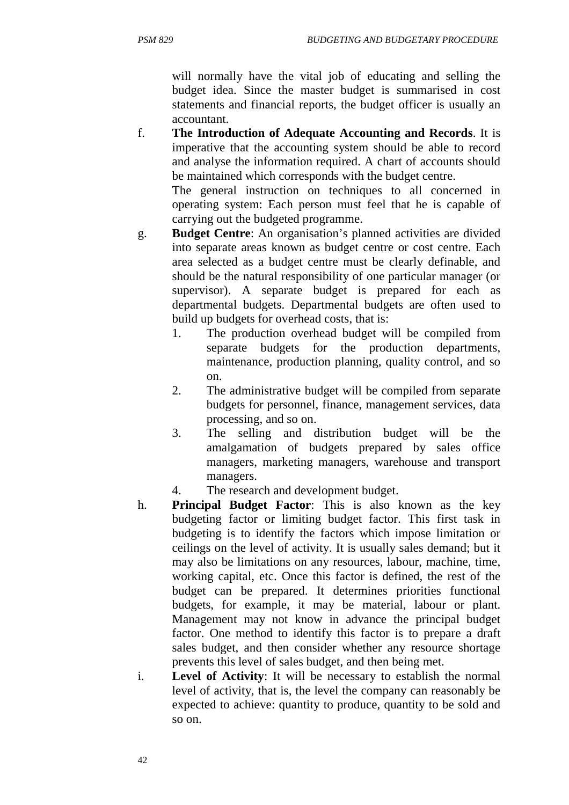will normally have the vital job of educating and selling the budget idea. Since the master budget is summarised in cost statements and financial reports, the budget officer is usually an accountant.

f. **The Introduction of Adequate Accounting and Records**. It is imperative that the accounting system should be able to record and analyse the information required. A chart of accounts should be maintained which corresponds with the budget centre.

The general instruction on techniques to all concerned in operating system: Each person must feel that he is capable of carrying out the budgeted programme.

- g. **Budget Centre**: An organisation's planned activities are divided into separate areas known as budget centre or cost centre. Each area selected as a budget centre must be clearly definable, and should be the natural responsibility of one particular manager (or supervisor). A separate budget is prepared for each as departmental budgets. Departmental budgets are often used to build up budgets for overhead costs, that is:
	- 1. The production overhead budget will be compiled from separate budgets for the production departments, maintenance, production planning, quality control, and so on.
	- 2. The administrative budget will be compiled from separate budgets for personnel, finance, management services, data processing, and so on.
	- 3. The selling and distribution budget will be the amalgamation of budgets prepared by sales office managers, marketing managers, warehouse and transport managers.
	- 4. The research and development budget.
- h. **Principal Budget Factor**: This is also known as the key budgeting factor or limiting budget factor. This first task in budgeting is to identify the factors which impose limitation or ceilings on the level of activity. It is usually sales demand; but it may also be limitations on any resources, labour, machine, time, working capital, etc. Once this factor is defined, the rest of the budget can be prepared. It determines priorities functional budgets, for example, it may be material, labour or plant. Management may not know in advance the principal budget factor. One method to identify this factor is to prepare a draft sales budget, and then consider whether any resource shortage prevents this level of sales budget, and then being met.
- i. **Level of Activity**: It will be necessary to establish the normal level of activity, that is, the level the company can reasonably be expected to achieve: quantity to produce, quantity to be sold and so on.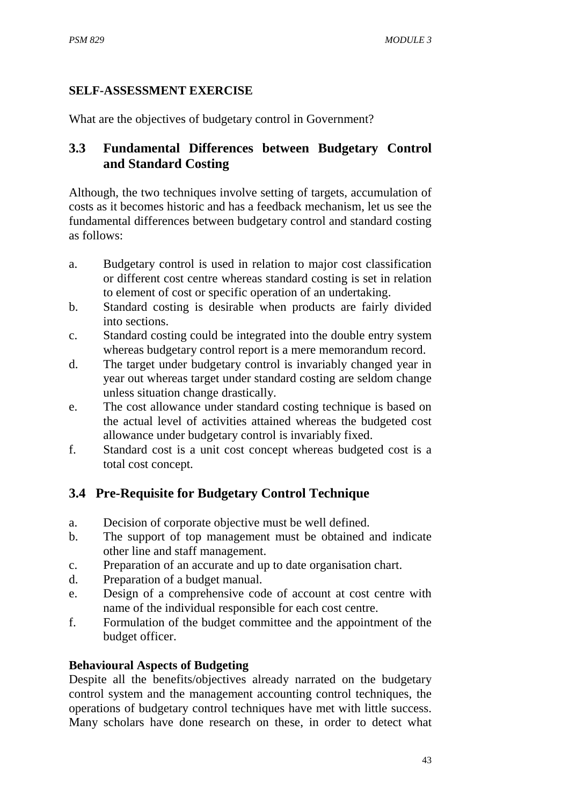### **SELF-ASSESSMENT EXERCISE**

What are the objectives of budgetary control in Government?

## **3.3 Fundamental Differences between Budgetary Control and Standard Costing**

Although, the two techniques involve setting of targets, accumulation of costs as it becomes historic and has a feedback mechanism, let us see the fundamental differences between budgetary control and standard costing as follows:

- a. Budgetary control is used in relation to major cost classification or different cost centre whereas standard costing is set in relation to element of cost or specific operation of an undertaking.
- b. Standard costing is desirable when products are fairly divided into sections.
- c. Standard costing could be integrated into the double entry system whereas budgetary control report is a mere memorandum record.
- d. The target under budgetary control is invariably changed year in year out whereas target under standard costing are seldom change unless situation change drastically.
- e. The cost allowance under standard costing technique is based on the actual level of activities attained whereas the budgeted cost allowance under budgetary control is invariably fixed.
- f. Standard cost is a unit cost concept whereas budgeted cost is a total cost concept.

## **3.4 Pre-Requisite for Budgetary Control Technique**

- a. Decision of corporate objective must be well defined.
- b. The support of top management must be obtained and indicate other line and staff management.
- c. Preparation of an accurate and up to date organisation chart.
- d. Preparation of a budget manual.
- e. Design of a comprehensive code of account at cost centre with name of the individual responsible for each cost centre.
- f. Formulation of the budget committee and the appointment of the budget officer.

### **Behavioural Aspects of Budgeting**

Despite all the benefits/objectives already narrated on the budgetary control system and the management accounting control techniques, the operations of budgetary control techniques have met with little success. Many scholars have done research on these, in order to detect what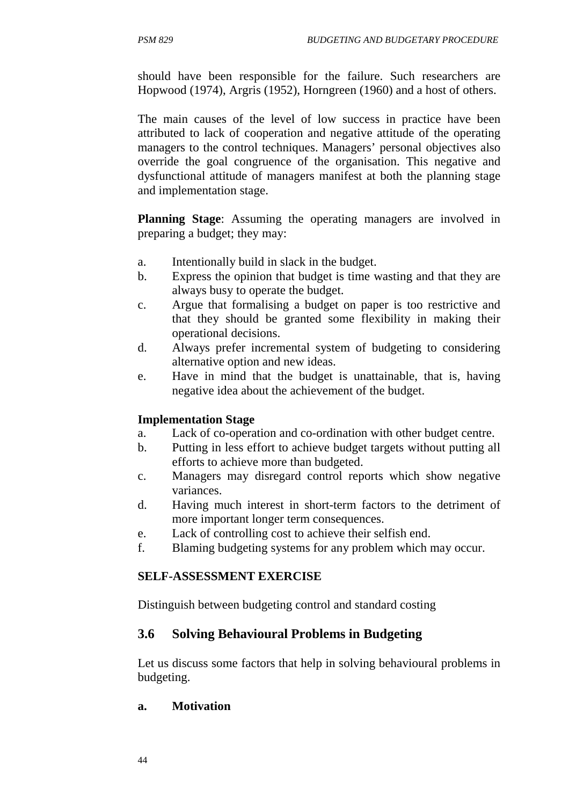should have been responsible for the failure. Such researchers are Hopwood (1974), Argris (1952), Horngreen (1960) and a host of others.

The main causes of the level of low success in practice have been attributed to lack of cooperation and negative attitude of the operating managers to the control techniques. Managers' personal objectives also override the goal congruence of the organisation. This negative and dysfunctional attitude of managers manifest at both the planning stage and implementation stage.

**Planning Stage**: Assuming the operating managers are involved in preparing a budget; they may:

- a. Intentionally build in slack in the budget.
- b. Express the opinion that budget is time wasting and that they are always busy to operate the budget.
- c. Argue that formalising a budget on paper is too restrictive and that they should be granted some flexibility in making their operational decisions.
- d. Always prefer incremental system of budgeting to considering alternative option and new ideas.
- e. Have in mind that the budget is unattainable, that is, having negative idea about the achievement of the budget.

#### **Implementation Stage**

- a. Lack of co-operation and co-ordination with other budget centre.
- b. Putting in less effort to achieve budget targets without putting all efforts to achieve more than budgeted.
- c. Managers may disregard control reports which show negative variances.
- d. Having much interest in short-term factors to the detriment of more important longer term consequences.
- e. Lack of controlling cost to achieve their selfish end.
- f. Blaming budgeting systems for any problem which may occur.

#### **SELF-ASSESSMENT EXERCISE**

Distinguish between budgeting control and standard costing

### **3.6 Solving Behavioural Problems in Budgeting**

Let us discuss some factors that help in solving behavioural problems in budgeting.

#### **a. Motivation**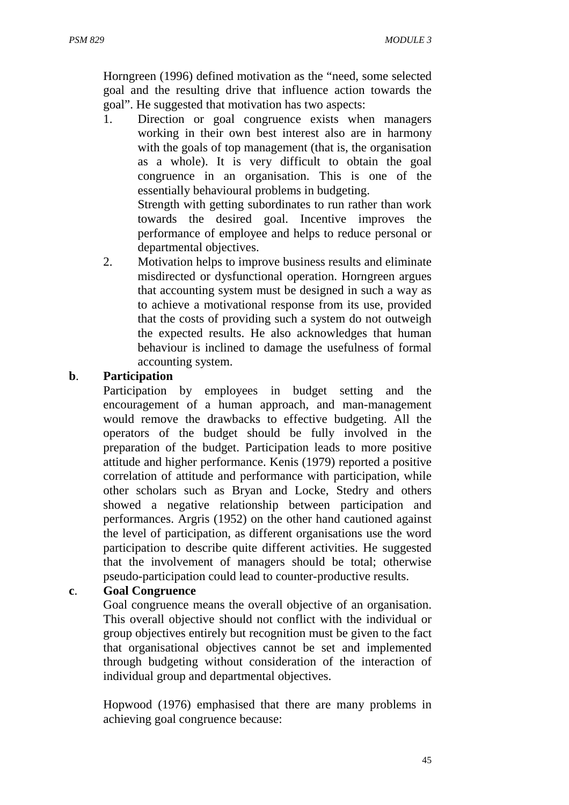Horngreen (1996) defined motivation as the "need, some selected goal and the resulting drive that influence action towards the goal". He suggested that motivation has two aspects:

1. Direction or goal congruence exists when managers working in their own best interest also are in harmony with the goals of top management (that is, the organisation as a whole). It is very difficult to obtain the goal congruence in an organisation. This is one of the essentially behavioural problems in budgeting.

Strength with getting subordinates to run rather than work towards the desired goal. Incentive improves the performance of employee and helps to reduce personal or departmental objectives.

2. Motivation helps to improve business results and eliminate misdirected or dysfunctional operation. Horngreen argues that accounting system must be designed in such a way as to achieve a motivational response from its use, provided that the costs of providing such a system do not outweigh the expected results. He also acknowledges that human behaviour is inclined to damage the usefulness of formal accounting system.

#### **b**. **Participation**

Participation by employees in budget setting and the encouragement of a human approach, and man-management would remove the drawbacks to effective budgeting. All the operators of the budget should be fully involved in the preparation of the budget. Participation leads to more positive attitude and higher performance. Kenis (1979) reported a positive correlation of attitude and performance with participation, while other scholars such as Bryan and Locke, Stedry and others showed a negative relationship between participation and performances. Argris (1952) on the other hand cautioned against the level of participation, as different organisations use the word participation to describe quite different activities. He suggested that the involvement of managers should be total; otherwise pseudo-participation could lead to counter-productive results.

#### **c**. **Goal Congruence**

Goal congruence means the overall objective of an organisation. This overall objective should not conflict with the individual or group objectives entirely but recognition must be given to the fact that organisational objectives cannot be set and implemented through budgeting without consideration of the interaction of individual group and departmental objectives.

Hopwood (1976) emphasised that there are many problems in achieving goal congruence because: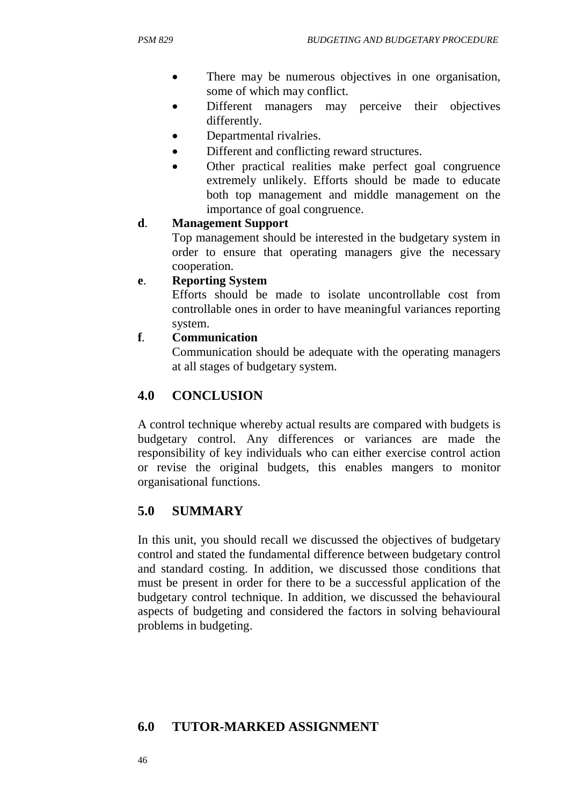- There may be numerous objectives in one organisation, some of which may conflict.
- Different managers may perceive their objectives differently.
- Departmental rivalries.
- Different and conflicting reward structures.
- Other practical realities make perfect goal congruence extremely unlikely. Efforts should be made to educate both top management and middle management on the importance of goal congruence.

#### **d**. **Management Support**

Top management should be interested in the budgetary system in order to ensure that operating managers give the necessary cooperation.

#### **e**. **Reporting System**

Efforts should be made to isolate uncontrollable cost from controllable ones in order to have meaningful variances reporting system.

#### **f**. **Communication**

Communication should be adequate with the operating managers at all stages of budgetary system.

### **4.0 CONCLUSION**

A control technique whereby actual results are compared with budgets is budgetary control. Any differences or variances are made the responsibility of key individuals who can either exercise control action or revise the original budgets, this enables mangers to monitor organisational functions.

### **5.0 SUMMARY**

In this unit, you should recall we discussed the objectives of budgetary control and stated the fundamental difference between budgetary control and standard costing. In addition, we discussed those conditions that must be present in order for there to be a successful application of the budgetary control technique. In addition, we discussed the behavioural aspects of budgeting and considered the factors in solving behavioural problems in budgeting.

### **6.0 TUTOR-MARKED ASSIGNMENT**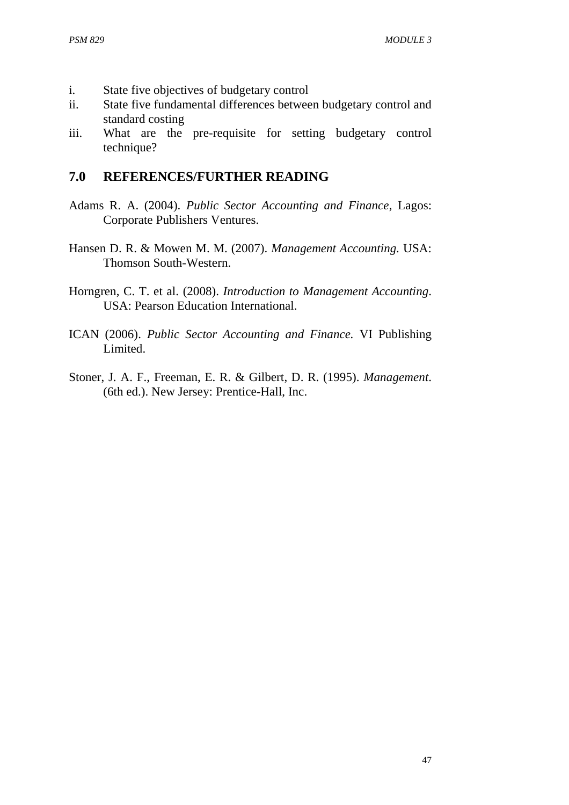- i. State five objectives of budgetary control
- ii. State five fundamental differences between budgetary control and standard costing
- iii. What are the pre-requisite for setting budgetary control technique?

# **7.0 REFERENCES/FURTHER READING**

- Adams R. A. (2004). *Public Sector Accounting and Finance*, Lagos: Corporate Publishers Ventures.
- Hansen D. R. & Mowen M. M. (2007). *Management Accounting.* USA: Thomson South-Western.
- Horngren, C. T. et al. (2008). *Introduction to Management Accounting*. USA: Pearson Education International.
- ICAN (2006). *Public Sector Accounting and Finance.* VI Publishing Limited.
- Stoner, J. A. F., Freeman, E. R. & Gilbert, D. R. (1995). *Management*. (6th ed.). New Jersey: Prentice-Hall, Inc.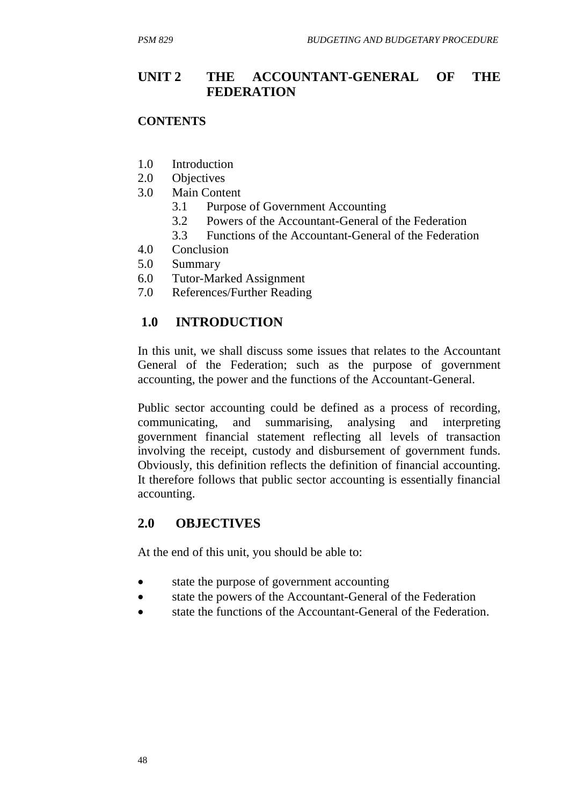## **UNIT 2 THE ACCOUNTANT-GENERAL OF THE FEDERATION**

#### **CONTENTS**

- 1.0 Introduction
- 2.0 Objectives
- 3.0 Main Content
	- 3.1 Purpose of Government Accounting
	- 3.2 Powers of the Accountant-General of the Federation
	- 3.3 Functions of the Accountant-General of the Federation
- 4.0 Conclusion
- 5.0 Summary
- 6.0 Tutor-Marked Assignment
- 7.0 References/Further Reading

## **1.0 INTRODUCTION**

In this unit, we shall discuss some issues that relates to the Accountant General of the Federation; such as the purpose of government accounting, the power and the functions of the Accountant-General.

Public sector accounting could be defined as a process of recording, communicating, and summarising, analysing and interpreting government financial statement reflecting all levels of transaction involving the receipt, custody and disbursement of government funds. Obviously, this definition reflects the definition of financial accounting. It therefore follows that public sector accounting is essentially financial accounting.

### **2.0 OBJECTIVES**

At the end of this unit, you should be able to:

- state the purpose of government accounting
- state the powers of the Accountant-General of the Federation
- state the functions of the Accountant-General of the Federation.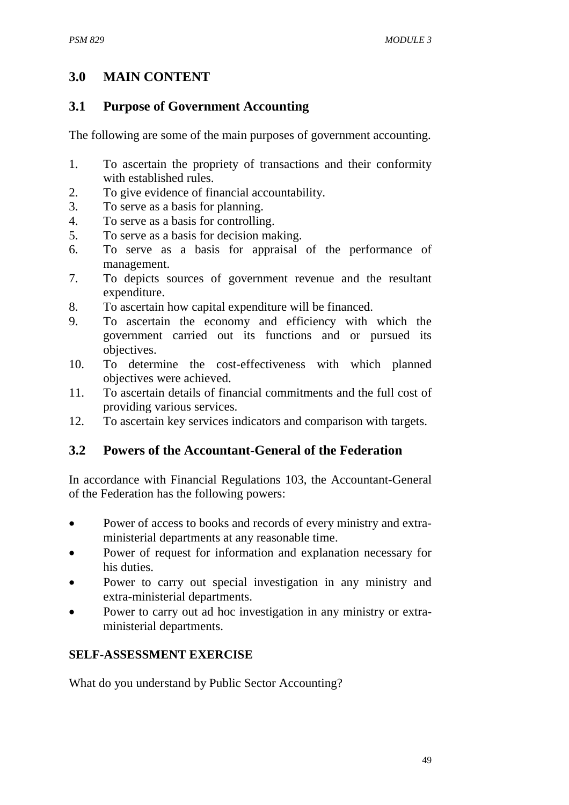# **3.0 MAIN CONTENT**

### **3.1 Purpose of Government Accounting**

The following are some of the main purposes of government accounting.

- 1. To ascertain the propriety of transactions and their conformity with established rules.
- 2. To give evidence of financial accountability.
- 3. To serve as a basis for planning.
- 4. To serve as a basis for controlling.
- 5. To serve as a basis for decision making.
- 6. To serve as a basis for appraisal of the performance of management.
- 7. To depicts sources of government revenue and the resultant expenditure.
- 8. To ascertain how capital expenditure will be financed.
- 9. To ascertain the economy and efficiency with which the government carried out its functions and or pursued its objectives.
- 10. To determine the cost-effectiveness with which planned objectives were achieved.
- 11. To ascertain details of financial commitments and the full cost of providing various services.
- 12. To ascertain key services indicators and comparison with targets.

## **3.2 Powers of the Accountant-General of the Federation**

In accordance with Financial Regulations 103, the Accountant-General of the Federation has the following powers:

- Power of access to books and records of every ministry and extraministerial departments at any reasonable time.
- Power of request for information and explanation necessary for his duties.
- Power to carry out special investigation in any ministry and extra-ministerial departments.
- Power to carry out ad hoc investigation in any ministry or extraministerial departments.

### **SELF-ASSESSMENT EXERCISE**

What do you understand by Public Sector Accounting?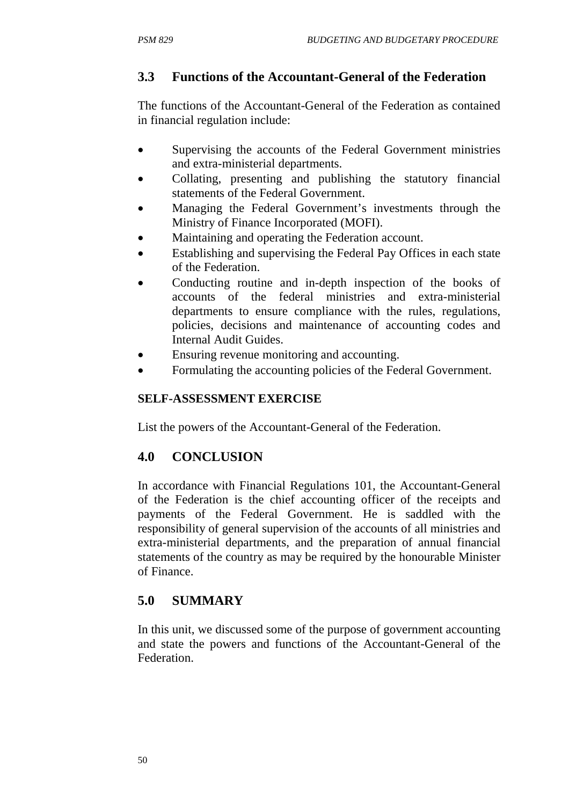### **3.3 Functions of the Accountant-General of the Federation**

The functions of the Accountant-General of the Federation as contained in financial regulation include:

- Supervising the accounts of the Federal Government ministries and extra-ministerial departments.
- Collating, presenting and publishing the statutory financial statements of the Federal Government.
- Managing the Federal Government's investments through the Ministry of Finance Incorporated (MOFI).
- Maintaining and operating the Federation account.
- Establishing and supervising the Federal Pay Offices in each state of the Federation.
- Conducting routine and in-depth inspection of the books of accounts of the federal ministries and extra-ministerial departments to ensure compliance with the rules, regulations, policies, decisions and maintenance of accounting codes and Internal Audit Guides.
- Ensuring revenue monitoring and accounting.
- Formulating the accounting policies of the Federal Government.

### **SELF-ASSESSMENT EXERCISE**

List the powers of the Accountant-General of the Federation.

## **4.0 CONCLUSION**

In accordance with Financial Regulations 101, the Accountant-General of the Federation is the chief accounting officer of the receipts and payments of the Federal Government. He is saddled with the responsibility of general supervision of the accounts of all ministries and extra-ministerial departments, and the preparation of annual financial statements of the country as may be required by the honourable Minister of Finance.

## **5.0 SUMMARY**

In this unit, we discussed some of the purpose of government accounting and state the powers and functions of the Accountant-General of the Federation.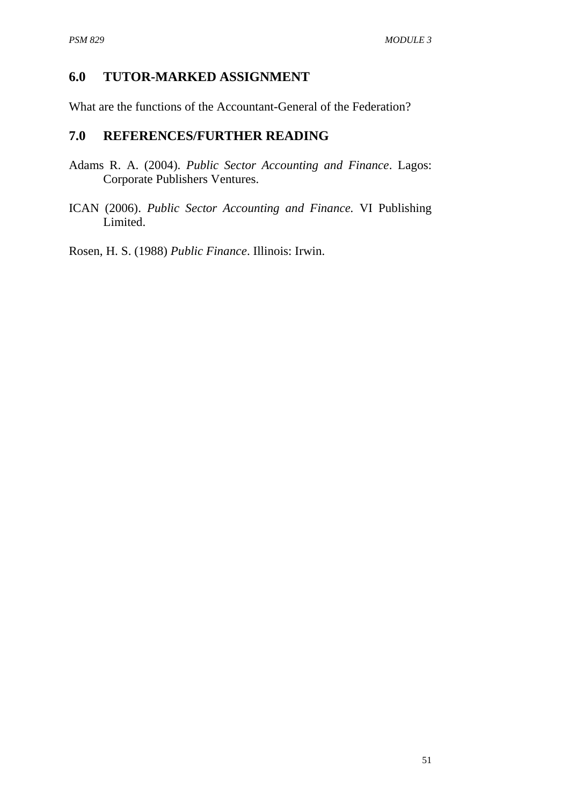#### **6.0 TUTOR-MARKED ASSIGNMENT**

What are the functions of the Accountant-General of the Federation?

#### **7.0 REFERENCES/FURTHER READING**

- Adams R. A. (2004). *Public Sector Accounting and Finance*. Lagos: Corporate Publishers Ventures.
- ICAN (2006). *Public Sector Accounting and Finance.* VI Publishing Limited.

Rosen, H. S. (1988) *Public Finance*. Illinois: Irwin.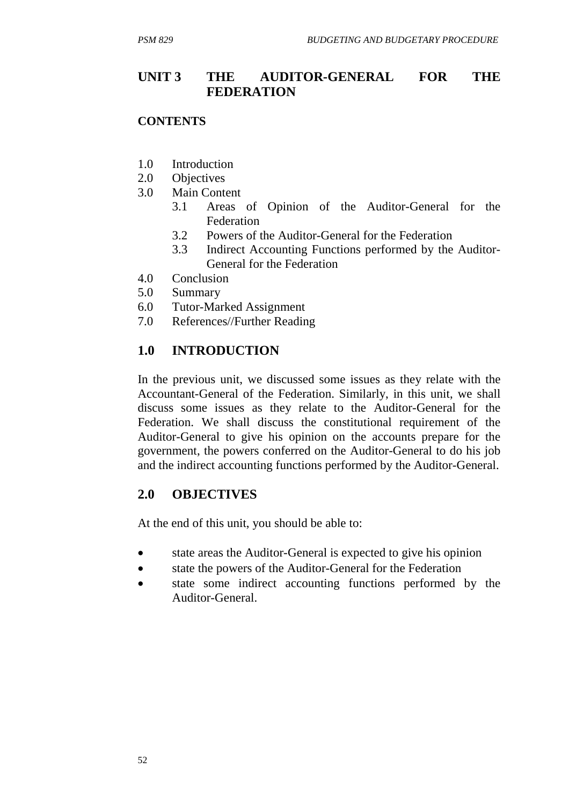### **UNIT 3 THE AUDITOR-GENERAL FOR THE FEDERATION**

#### **CONTENTS**

- 1.0 Introduction
- 2.0 Objectives
- 3.0 Main Content
	- 3.1 Areas of Opinion of the Auditor-General for the Federation
	- 3.2 Powers of the Auditor-General for the Federation
	- 3.3 Indirect Accounting Functions performed by the Auditor-General for the Federation
- 4.0 Conclusion
- 5.0 Summary
- 6.0 Tutor-Marked Assignment
- 7.0 References//Further Reading

### **1.0 INTRODUCTION**

In the previous unit, we discussed some issues as they relate with the Accountant-General of the Federation. Similarly, in this unit, we shall discuss some issues as they relate to the Auditor-General for the Federation. We shall discuss the constitutional requirement of the Auditor-General to give his opinion on the accounts prepare for the government, the powers conferred on the Auditor-General to do his job and the indirect accounting functions performed by the Auditor-General.

#### **2.0 OBJECTIVES**

At the end of this unit, you should be able to:

- state areas the Auditor-General is expected to give his opinion
- state the powers of the Auditor-General for the Federation
- state some indirect accounting functions performed by the Auditor-General.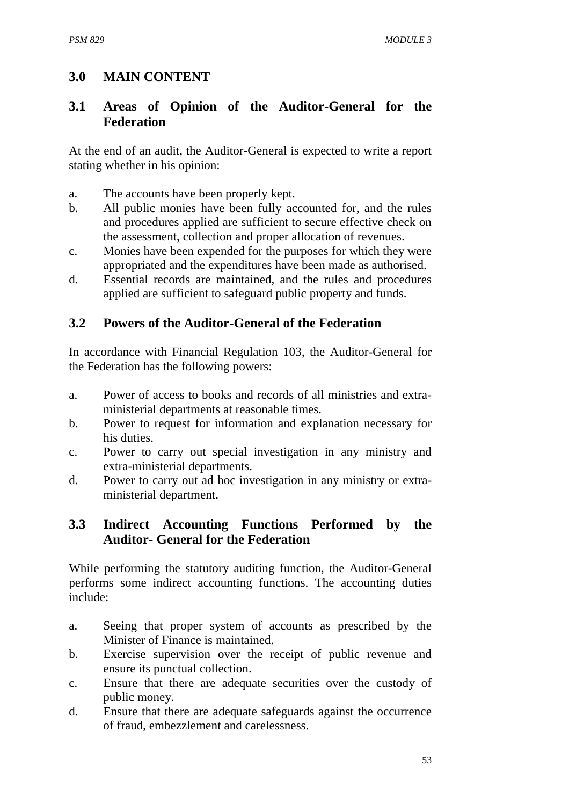# **3.0 MAIN CONTENT**

### **3.1 Areas of Opinion of the Auditor-General for the Federation**

At the end of an audit, the Auditor-General is expected to write a report stating whether in his opinion:

- a. The accounts have been properly kept.
- b. All public monies have been fully accounted for, and the rules and procedures applied are sufficient to secure effective check on the assessment, collection and proper allocation of revenues.
- c. Monies have been expended for the purposes for which they were appropriated and the expenditures have been made as authorised.
- d. Essential records are maintained, and the rules and procedures applied are sufficient to safeguard public property and funds.

### **3.2 Powers of the Auditor-General of the Federation**

In accordance with Financial Regulation 103, the Auditor-General for the Federation has the following powers:

- a. Power of access to books and records of all ministries and extraministerial departments at reasonable times.
- b. Power to request for information and explanation necessary for his duties.
- c. Power to carry out special investigation in any ministry and extra-ministerial departments.
- d. Power to carry out ad hoc investigation in any ministry or extraministerial department.

### **3.3 Indirect Accounting Functions Performed by the Auditor- General for the Federation**

While performing the statutory auditing function, the Auditor-General performs some indirect accounting functions. The accounting duties include:

- a. Seeing that proper system of accounts as prescribed by the Minister of Finance is maintained.
- b. Exercise supervision over the receipt of public revenue and ensure its punctual collection.
- c. Ensure that there are adequate securities over the custody of public money.
- d. Ensure that there are adequate safeguards against the occurrence of fraud, embezzlement and carelessness.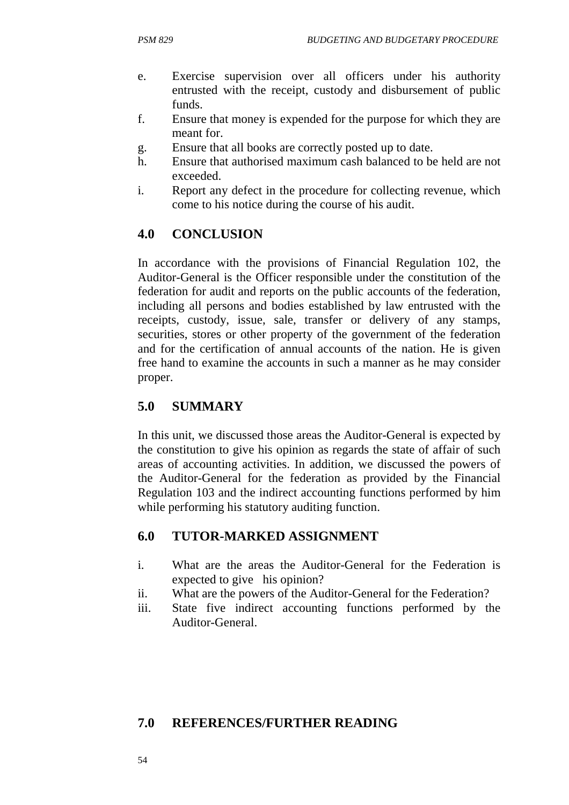- e. Exercise supervision over all officers under his authority entrusted with the receipt, custody and disbursement of public funds.
- f. Ensure that money is expended for the purpose for which they are meant for.
- g. Ensure that all books are correctly posted up to date.
- h. Ensure that authorised maximum cash balanced to be held are not exceeded.
- i. Report any defect in the procedure for collecting revenue, which come to his notice during the course of his audit.

## **4.0 CONCLUSION**

In accordance with the provisions of Financial Regulation 102, the Auditor-General is the Officer responsible under the constitution of the federation for audit and reports on the public accounts of the federation, including all persons and bodies established by law entrusted with the receipts, custody, issue, sale, transfer or delivery of any stamps, securities, stores or other property of the government of the federation and for the certification of annual accounts of the nation. He is given free hand to examine the accounts in such a manner as he may consider proper.

## **5.0 SUMMARY**

In this unit, we discussed those areas the Auditor-General is expected by the constitution to give his opinion as regards the state of affair of such areas of accounting activities. In addition, we discussed the powers of the Auditor-General for the federation as provided by the Financial Regulation 103 and the indirect accounting functions performed by him while performing his statutory auditing function.

## **6.0 TUTOR-MARKED ASSIGNMENT**

- i. What are the areas the Auditor-General for the Federation is expected to give his opinion?
- ii. What are the powers of the Auditor-General for the Federation?
- iii. State five indirect accounting functions performed by the Auditor-General.

### **7.0 REFERENCES/FURTHER READING**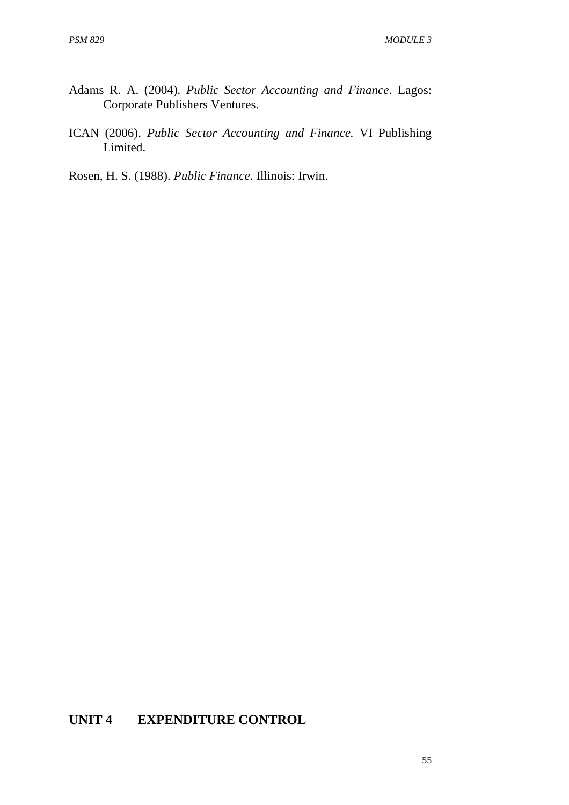- Adams R. A. (2004). *Public Sector Accounting and Finance*. Lagos: Corporate Publishers Ventures.
- ICAN (2006). *Public Sector Accounting and Finance.* VI Publishing Limited.

Rosen, H. S. (1988). *Public Finance*. Illinois: Irwin.

# **UNIT 4 EXPENDITURE CONTROL**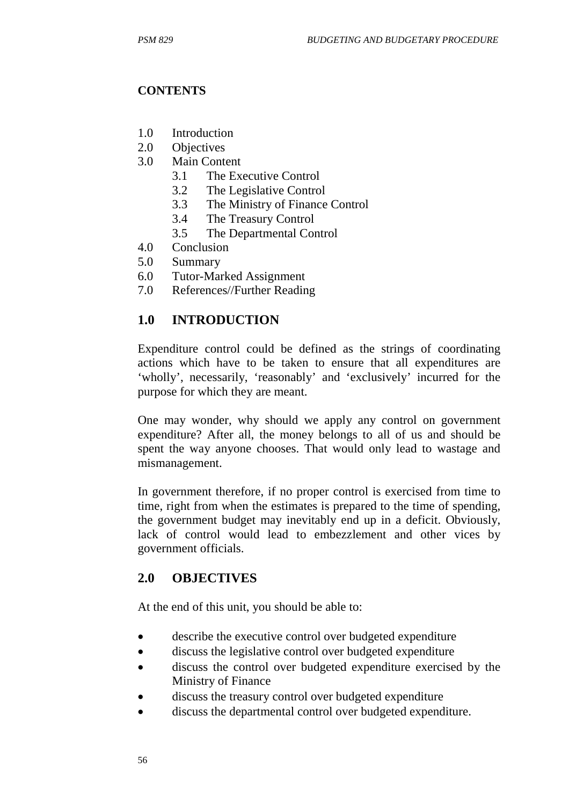#### **CONTENTS**

- 1.0 Introduction
- 2.0 Objectives
- 3.0 Main Content
	- 3.1 The Executive Control
	- 3.2 The Legislative Control
	- 3.3 The Ministry of Finance Control
	- 3.4 The Treasury Control
	- 3.5 The Departmental Control
- 4.0 Conclusion
- 5.0 Summary
- 6.0 Tutor-Marked Assignment
- 7.0 References//Further Reading

### **1.0 INTRODUCTION**

Expenditure control could be defined as the strings of coordinating actions which have to be taken to ensure that all expenditures are 'wholly', necessarily, 'reasonably' and 'exclusively' incurred for the purpose for which they are meant.

One may wonder, why should we apply any control on government expenditure? After all, the money belongs to all of us and should be spent the way anyone chooses. That would only lead to wastage and mismanagement.

In government therefore, if no proper control is exercised from time to time, right from when the estimates is prepared to the time of spending, the government budget may inevitably end up in a deficit. Obviously, lack of control would lead to embezzlement and other vices by government officials.

## **2.0 OBJECTIVES**

At the end of this unit, you should be able to:

- describe the executive control over budgeted expenditure
- discuss the legislative control over budgeted expenditure
- discuss the control over budgeted expenditure exercised by the Ministry of Finance
- discuss the treasury control over budgeted expenditure
- discuss the departmental control over budgeted expenditure.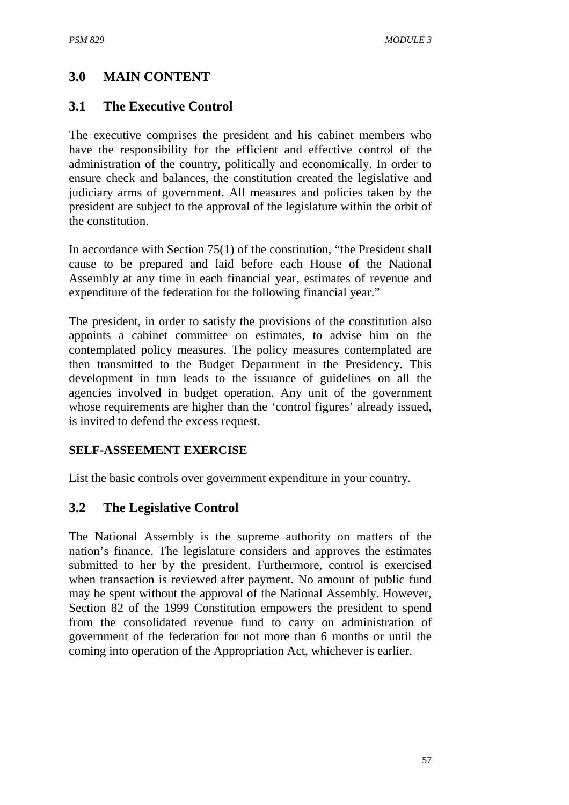## **3.0 MAIN CONTENT**

### **3.1 The Executive Control**

The executive comprises the president and his cabinet members who have the responsibility for the efficient and effective control of the administration of the country, politically and economically. In order to ensure check and balances, the constitution created the legislative and judiciary arms of government. All measures and policies taken by the president are subject to the approval of the legislature within the orbit of the constitution.

In accordance with Section 75(1) of the constitution, "the President shall cause to be prepared and laid before each House of the National Assembly at any time in each financial year, estimates of revenue and expenditure of the federation for the following financial year."

The president, in order to satisfy the provisions of the constitution also appoints a cabinet committee on estimates, to advise him on the contemplated policy measures. The policy measures contemplated are then transmitted to the Budget Department in the Presidency. This development in turn leads to the issuance of guidelines on all the agencies involved in budget operation. Any unit of the government whose requirements are higher than the 'control figures' already issued, is invited to defend the excess request.

### **SELF-ASSEEMENT EXERCISE**

List the basic controls over government expenditure in your country.

## **3.2 The Legislative Control**

The National Assembly is the supreme authority on matters of the nation's finance. The legislature considers and approves the estimates submitted to her by the president. Furthermore, control is exercised when transaction is reviewed after payment. No amount of public fund may be spent without the approval of the National Assembly. However, Section 82 of the 1999 Constitution empowers the president to spend from the consolidated revenue fund to carry on administration of government of the federation for not more than 6 months or until the coming into operation of the Appropriation Act, whichever is earlier.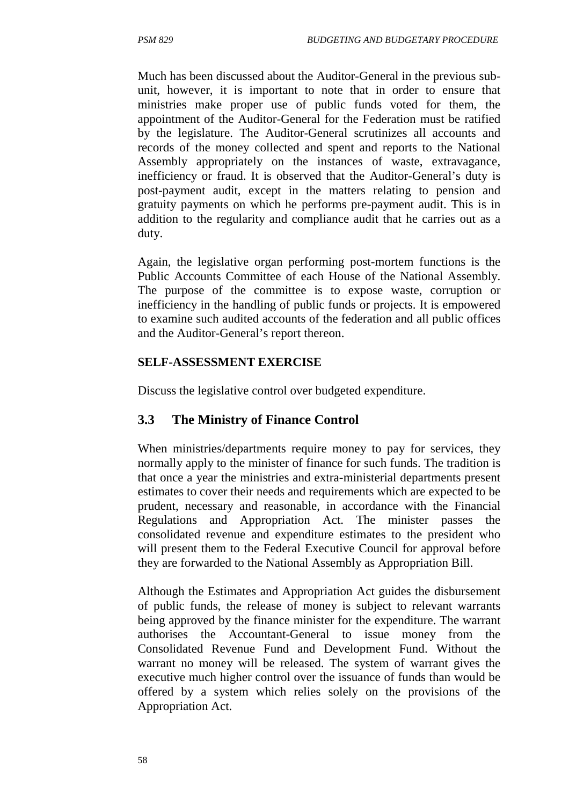Much has been discussed about the Auditor-General in the previous subunit, however, it is important to note that in order to ensure that ministries make proper use of public funds voted for them, the appointment of the Auditor-General for the Federation must be ratified by the legislature. The Auditor-General scrutinizes all accounts and records of the money collected and spent and reports to the National Assembly appropriately on the instances of waste, extravagance, inefficiency or fraud. It is observed that the Auditor-General's duty is post-payment audit, except in the matters relating to pension and gratuity payments on which he performs pre-payment audit. This is in addition to the regularity and compliance audit that he carries out as a duty.

Again, the legislative organ performing post-mortem functions is the Public Accounts Committee of each House of the National Assembly. The purpose of the committee is to expose waste, corruption or inefficiency in the handling of public funds or projects. It is empowered to examine such audited accounts of the federation and all public offices and the Auditor-General's report thereon.

#### **SELF-ASSESSMENT EXERCISE**

Discuss the legislative control over budgeted expenditure.

### **3.3 The Ministry of Finance Control**

When ministries/departments require money to pay for services, they normally apply to the minister of finance for such funds. The tradition is that once a year the ministries and extra-ministerial departments present estimates to cover their needs and requirements which are expected to be prudent, necessary and reasonable, in accordance with the Financial Regulations and Appropriation Act. The minister passes the consolidated revenue and expenditure estimates to the president who will present them to the Federal Executive Council for approval before they are forwarded to the National Assembly as Appropriation Bill.

Although the Estimates and Appropriation Act guides the disbursement of public funds, the release of money is subject to relevant warrants being approved by the finance minister for the expenditure. The warrant authorises the Accountant-General to issue money from the Consolidated Revenue Fund and Development Fund. Without the warrant no money will be released. The system of warrant gives the executive much higher control over the issuance of funds than would be offered by a system which relies solely on the provisions of the Appropriation Act.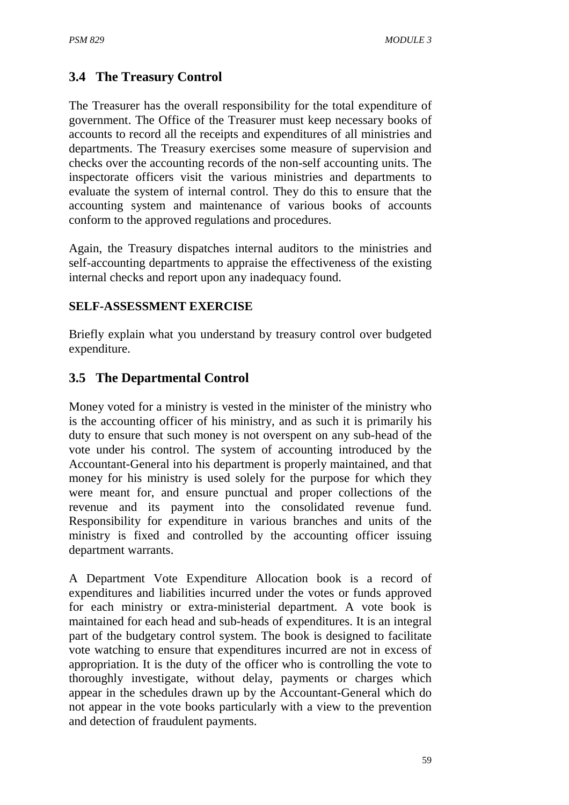### **3.4 The Treasury Control**

The Treasurer has the overall responsibility for the total expenditure of government. The Office of the Treasurer must keep necessary books of accounts to record all the receipts and expenditures of all ministries and departments. The Treasury exercises some measure of supervision and checks over the accounting records of the non-self accounting units. The inspectorate officers visit the various ministries and departments to evaluate the system of internal control. They do this to ensure that the accounting system and maintenance of various books of accounts conform to the approved regulations and procedures.

Again, the Treasury dispatches internal auditors to the ministries and self-accounting departments to appraise the effectiveness of the existing internal checks and report upon any inadequacy found.

#### **SELF-ASSESSMENT EXERCISE**

Briefly explain what you understand by treasury control over budgeted expenditure.

#### **3.5 The Departmental Control**

Money voted for a ministry is vested in the minister of the ministry who is the accounting officer of his ministry, and as such it is primarily his duty to ensure that such money is not overspent on any sub-head of the vote under his control. The system of accounting introduced by the Accountant-General into his department is properly maintained, and that money for his ministry is used solely for the purpose for which they were meant for, and ensure punctual and proper collections of the revenue and its payment into the consolidated revenue fund. Responsibility for expenditure in various branches and units of the ministry is fixed and controlled by the accounting officer issuing department warrants.

A Department Vote Expenditure Allocation book is a record of expenditures and liabilities incurred under the votes or funds approved for each ministry or extra-ministerial department. A vote book is maintained for each head and sub-heads of expenditures. It is an integral part of the budgetary control system. The book is designed to facilitate vote watching to ensure that expenditures incurred are not in excess of appropriation. It is the duty of the officer who is controlling the vote to thoroughly investigate, without delay, payments or charges which appear in the schedules drawn up by the Accountant-General which do not appear in the vote books particularly with a view to the prevention and detection of fraudulent payments.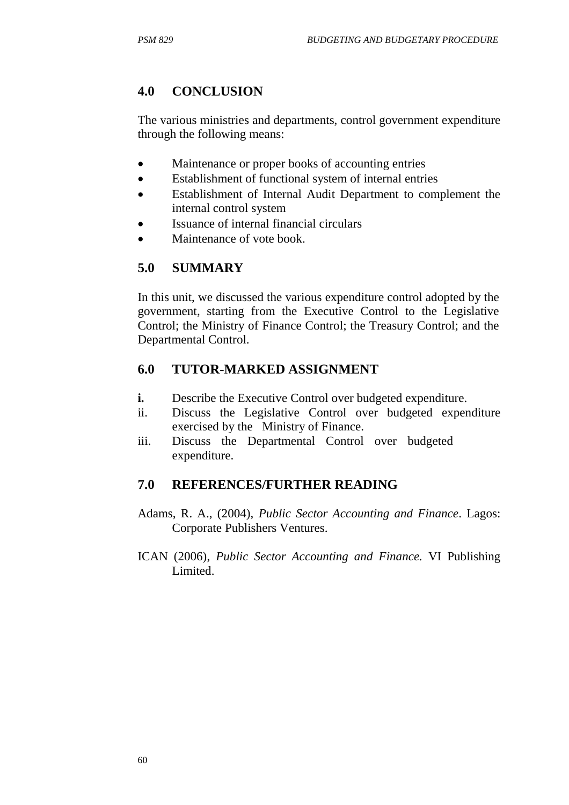## **4.0 CONCLUSION**

The various ministries and departments, control government expenditure through the following means:

- Maintenance or proper books of accounting entries
- Establishment of functional system of internal entries
- Establishment of Internal Audit Department to complement the internal control system
- Issuance of internal financial circulars
- Maintenance of vote book.

# **5.0 SUMMARY**

In this unit, we discussed the various expenditure control adopted by the government, starting from the Executive Control to the Legislative Control; the Ministry of Finance Control; the Treasury Control; and the Departmental Control.

### **6.0 TUTOR-MARKED ASSIGNMENT**

- **i.** Describe the Executive Control over budgeted expenditure.
- ii. Discuss the Legislative Control over budgeted expenditure exercised by the Ministry of Finance.
- iii. Discuss the Departmental Control over budgeted expenditure.

## **7.0 REFERENCES/FURTHER READING**

- Adams, R. A., (2004), *Public Sector Accounting and Finance*. Lagos: Corporate Publishers Ventures.
- ICAN (2006), *Public Sector Accounting and Finance.* VI Publishing Limited.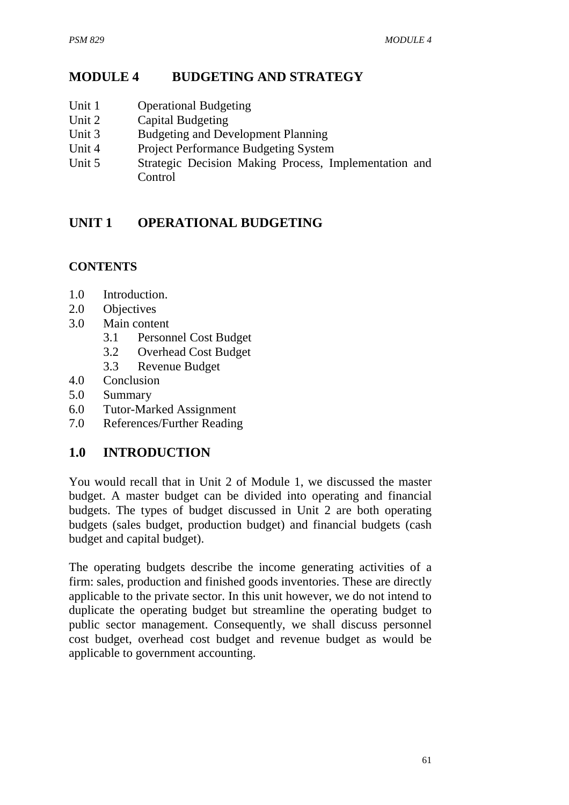### **MODULE 4 BUDGETING AND STRATEGY**

- Unit 1 Operational Budgeting
- Unit 2 Capital Budgeting
- Unit 3 Budgeting and Development Planning
- Unit 4 Project Performance Budgeting System
- Unit 5 Strategic Decision Making Process, Implementation and **Control**

# **UNIT 1 OPERATIONAL BUDGETING**

### **CONTENTS**

- 1.0 Introduction.
- 2.0 Objectives
- 3.0 Main content
	- 3.1 Personnel Cost Budget
	- 3.2 Overhead Cost Budget
	- 3.3 Revenue Budget
- 4.0 Conclusion
- 5.0 Summary
- 6.0 Tutor-Marked Assignment
- 7.0 References/Further Reading

### **1.0 INTRODUCTION**

You would recall that in Unit 2 of Module 1, we discussed the master budget. A master budget can be divided into operating and financial budgets. The types of budget discussed in Unit 2 are both operating budgets (sales budget, production budget) and financial budgets (cash budget and capital budget).

The operating budgets describe the income generating activities of a firm: sales, production and finished goods inventories. These are directly applicable to the private sector. In this unit however, we do not intend to duplicate the operating budget but streamline the operating budget to public sector management. Consequently, we shall discuss personnel cost budget, overhead cost budget and revenue budget as would be applicable to government accounting.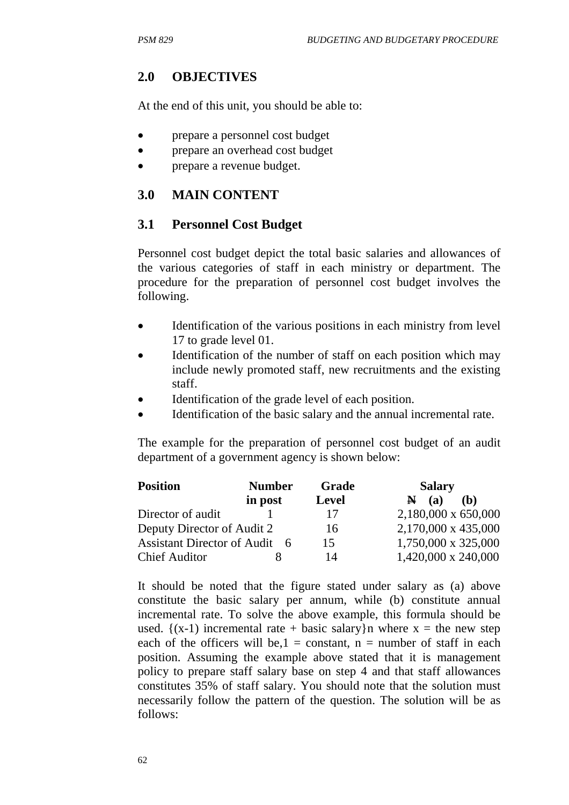# **2.0 OBJECTIVES**

At the end of this unit, you should be able to:

- prepare a personnel cost budget
- prepare an overhead cost budget
- prepare a revenue budget.

### **3.0 MAIN CONTENT**

### **3.1 Personnel Cost Budget**

Personnel cost budget depict the total basic salaries and allowances of the various categories of staff in each ministry or department. The procedure for the preparation of personnel cost budget involves the following.

- Identification of the various positions in each ministry from level 17 to grade level 01.
- Identification of the number of staff on each position which may include newly promoted staff, new recruitments and the existing staff.
- Identification of the grade level of each position.
- Identification of the basic salary and the annual incremental rate.

The example for the preparation of personnel cost budget of an audit department of a government agency is shown below:

| <b>Position</b>               | <b>Number</b> | Grade        | <b>Salary</b>       |  |
|-------------------------------|---------------|--------------|---------------------|--|
|                               | in post       | <b>Level</b> | (a)<br>N<br>(b)     |  |
| Director of audit             |               | 17           | 2,180,000 x 650,000 |  |
| Deputy Director of Audit 2    |               | 16           | 2,170,000 x 435,000 |  |
| Assistant Director of Audit 6 |               | 15           | 1,750,000 x 325,000 |  |
| <b>Chief Auditor</b>          |               | 14           | 1,420,000 x 240,000 |  |

It should be noted that the figure stated under salary as (a) above constitute the basic salary per annum, while (b) constitute annual incremental rate. To solve the above example, this formula should be used.  $\{(x-1)$  incremental rate + basic salary}n where  $x =$  the new step each of the officers will be,  $1 =$  constant,  $n =$  number of staff in each position. Assuming the example above stated that it is management policy to prepare staff salary base on step 4 and that staff allowances constitutes 35% of staff salary. You should note that the solution must necessarily follow the pattern of the question. The solution will be as follows: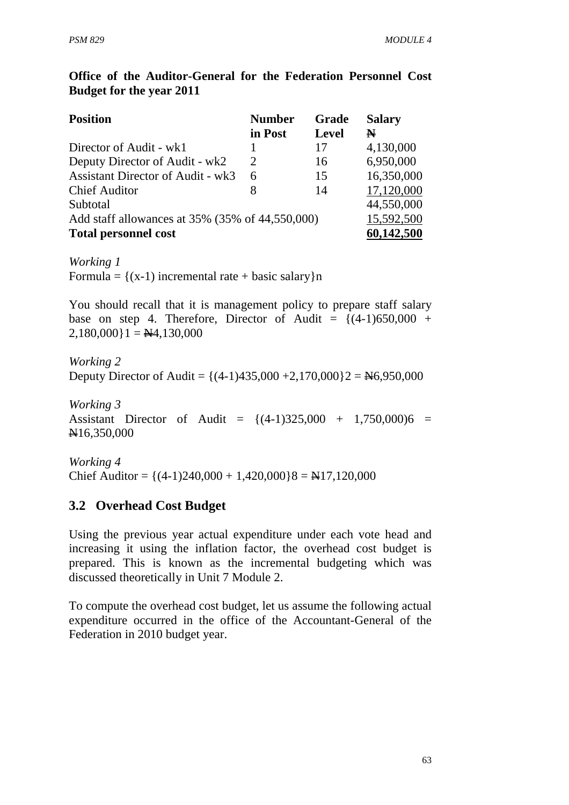#### **Office of the Auditor-General for the Federation Personnel Cost Budget for the year 2011**

| <b>Position</b>                                 | <b>Number</b>               | Grade        | <b>Salary</b> |
|-------------------------------------------------|-----------------------------|--------------|---------------|
|                                                 | in Post                     | <b>Level</b> | N             |
| Director of Audit - wk1                         |                             | 17           | 4,130,000     |
| Deputy Director of Audit - wk2                  | $\mathcal{D}_{\mathcal{L}}$ | 16           | 6,950,000     |
| <b>Assistant Director of Audit - wk3</b>        | 6                           | 15           | 16,350,000    |
| <b>Chief Auditor</b>                            | 8                           | 14           | 17,120,000    |
| Subtotal                                        |                             |              | 44,550,000    |
| Add staff allowances at 35% (35% of 44,550,000) | 15,592,500                  |              |               |
| <b>Total personnel cost</b>                     | 60,142,500                  |              |               |

*Working 1*  Formula =  $\{(x-1)$  incremental rate + basic salary }n

You should recall that it is management policy to prepare staff salary base on step 4. Therefore, Director of Audit =  $\{(4-1)650,000 +$  $2,180,000$ } $1 = \text{N}4,130,000$ 

*Working 2*  Deputy Director of Audit =  $\{(4-1)435,000 + 2,170,000\}$  2 =  $\text{\textless}\,6.950,000$ 

*Working 3*  Assistant Director of Audit =  $\{(4-1)325,000 + 1,750,000\}$  = N16,350,000

*Working 4*  Chief Auditor =  $\{(4-1)240,000 + 1,420,000\}$  8 =  $\text{N}17,120,000$ 

## **3.2 Overhead Cost Budget**

Using the previous year actual expenditure under each vote head and increasing it using the inflation factor, the overhead cost budget is prepared. This is known as the incremental budgeting which was discussed theoretically in Unit 7 Module 2.

To compute the overhead cost budget, let us assume the following actual expenditure occurred in the office of the Accountant-General of the Federation in 2010 budget year.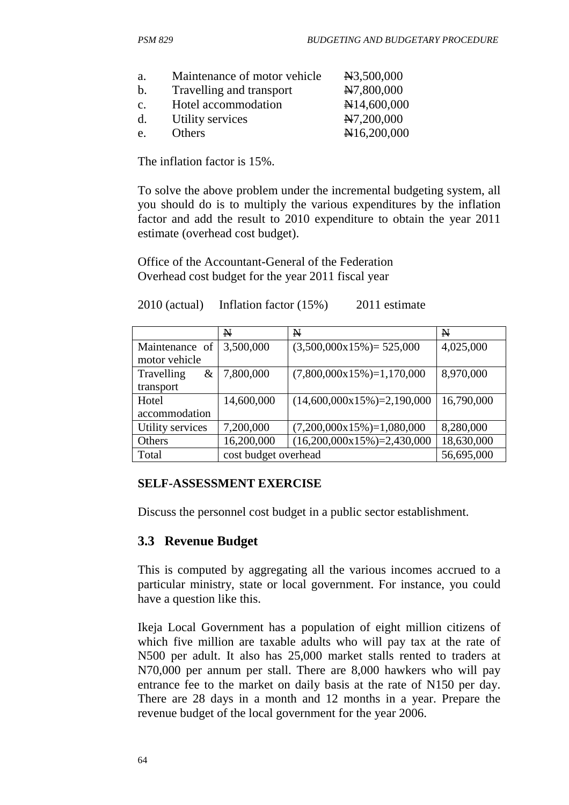- a. Maintenance of motor vehicle N3,500,000
- b. Travelling and transport  $\overline{N7,800,000}$
- c. Hotel accommodation  $\mathbb{H}14,600,000$
- d. Utility services  $\cancel{N7,200,000}$
- e. Others N16,200,000

The inflation factor is 15%.

To solve the above problem under the incremental budgeting system, all you should do is to multiply the various expenditures by the inflation factor and add the result to 2010 expenditure to obtain the year 2011 estimate (overhead cost budget).

Office of the Accountant-General of the Federation Overhead cost budget for the year 2011 fiscal year

2010 (actual) Inflation factor (15%) 2011 estimate

|                    | N                    | $\mathbf N$                     | $\mathbb N$ |
|--------------------|----------------------|---------------------------------|-------------|
| Maintenance of     | 3,500,000            | $(3,500,000x15%) = 525,000$     | 4,025,000   |
| motor vehicle      |                      |                                 |             |
| Travelling<br>$\&$ | 7,800,000            | $(7,800,000x15\%)=1,170,000$    | 8,970,000   |
| transport          |                      |                                 |             |
| Hotel              | 14,600,000           | $(14,600,000x15\%) = 2,190,000$ | 16,790,000  |
| accommodation      |                      |                                 |             |
| Utility services   | 7,200,000            | $(7,200,000x15\%) = 1,080,000$  | 8,280,000   |
| Others             | 16,200,000           | $(16,200,000x15\%) = 2,430,000$ | 18,630,000  |
| Total              | cost budget overhead |                                 | 56,695,000  |

#### **SELF-ASSESSMENT EXERCISE**

Discuss the personnel cost budget in a public sector establishment.

### **3.3 Revenue Budget**

This is computed by aggregating all the various incomes accrued to a particular ministry, state or local government. For instance, you could have a question like this.

Ikeja Local Government has a population of eight million citizens of which five million are taxable adults who will pay tax at the rate of N500 per adult. It also has 25,000 market stalls rented to traders at N70,000 per annum per stall. There are 8,000 hawkers who will pay entrance fee to the market on daily basis at the rate of N150 per day. There are 28 days in a month and 12 months in a year. Prepare the revenue budget of the local government for the year 2006.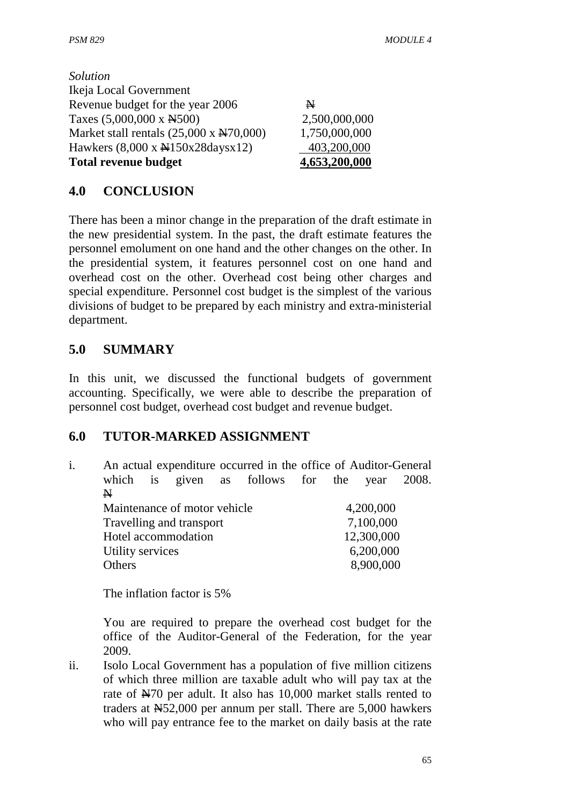| <b>Total revenue budget</b>                           | 4,653,200,000 |
|-------------------------------------------------------|---------------|
| Hawkers (8,000 x N150x28daysx12)                      | 403,200,000   |
| Market stall rentals $(25,000 \times \text{N70},000)$ | 1,750,000,000 |
| Taxes $(5,000,000 \times \text{H}_2500)$              | 2,500,000,000 |
| Revenue budget for the year 2006                      | N             |
| Ikeja Local Government                                |               |
| Solution                                              |               |

### **4.0 CONCLUSION**

There has been a minor change in the preparation of the draft estimate in the new presidential system. In the past, the draft estimate features the personnel emolument on one hand and the other changes on the other. In the presidential system, it features personnel cost on one hand and overhead cost on the other. Overhead cost being other charges and special expenditure. Personnel cost budget is the simplest of the various divisions of budget to be prepared by each ministry and extra-ministerial department.

### **5.0 SUMMARY**

In this unit, we discussed the functional budgets of government accounting. Specifically, we were able to describe the preparation of personnel cost budget, overhead cost budget and revenue budget.

### **6.0 TUTOR-MARKED ASSIGNMENT**

i. An actual expenditure occurred in the office of Auditor-General which is given as follows for the year 2008. N Maintenance of motor vehicle 4,200,000

Travelling and transport 7,100,000 Hotel accommodation 12,300,000 Utility services 6,200,000 Others 8,900,000

The inflation factor is 5%

You are required to prepare the overhead cost budget for the office of the Auditor-General of the Federation, for the year 2009.

ii. Isolo Local Government has a population of five million citizens of which three million are taxable adult who will pay tax at the rate of N70 per adult. It also has 10,000 market stalls rented to traders at N52,000 per annum per stall. There are 5,000 hawkers who will pay entrance fee to the market on daily basis at the rate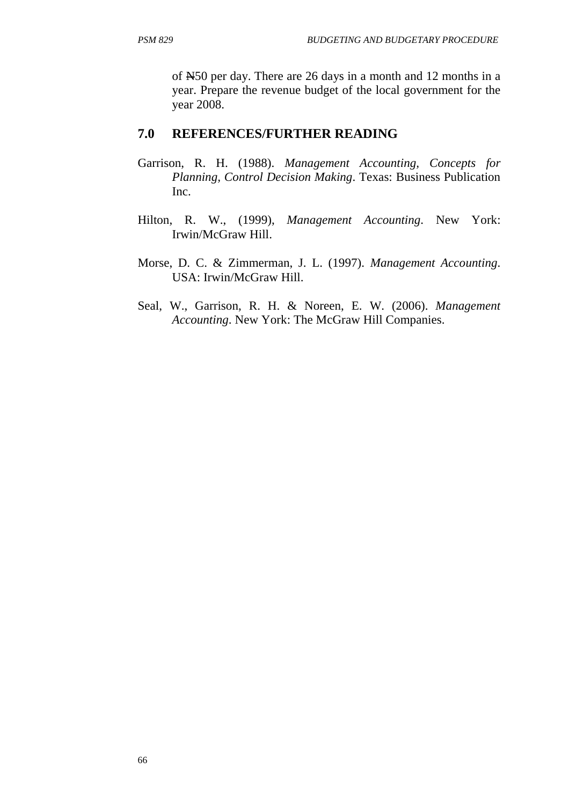of N50 per day. There are 26 days in a month and 12 months in a year. Prepare the revenue budget of the local government for the year 2008.

### **7.0 REFERENCES/FURTHER READING**

- Garrison, R. H. (1988). *Management Accounting, Concepts for Planning, Control Decision Making*. Texas: Business Publication Inc.
- Hilton, R. W., (1999), *Management Accounting*. New York: Irwin/McGraw Hill.
- Morse, D. C. & Zimmerman, J. L. (1997). *Management Accounting*. USA: Irwin/McGraw Hill.
- Seal, W., Garrison, R. H. & Noreen, E. W. (2006). *Management Accounting*. New York: The McGraw Hill Companies.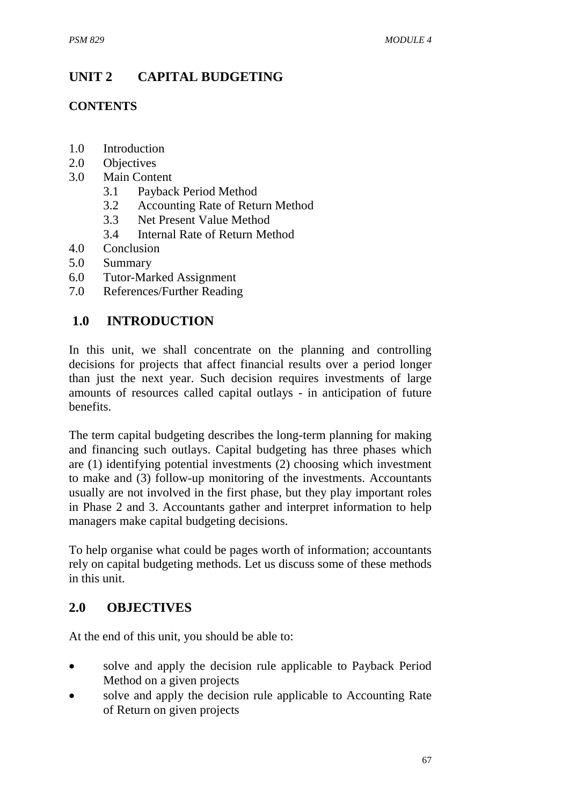# **UNIT 2 CAPITAL BUDGETING**

### **CONTENTS**

- 1.0 Introduction
- 2.0 Objectives
- 3.0 Main Content
	- 3.1 Payback Period Method
	- 3.2 Accounting Rate of Return Method
	- 3.3 Net Present Value Method
	- 3.4 Internal Rate of Return Method
- 4.0 Conclusion
- 5.0 Summary
- 6.0 Tutor-Marked Assignment
- 7.0 References/Further Reading

## **1.0 INTRODUCTION**

In this unit, we shall concentrate on the planning and controlling decisions for projects that affect financial results over a period longer than just the next year. Such decision requires investments of large amounts of resources called capital outlays - in anticipation of future benefits.

The term capital budgeting describes the long-term planning for making and financing such outlays. Capital budgeting has three phases which are (1) identifying potential investments (2) choosing which investment to make and (3) follow-up monitoring of the investments. Accountants usually are not involved in the first phase, but they play important roles in Phase 2 and 3. Accountants gather and interpret information to help managers make capital budgeting decisions.

To help organise what could be pages worth of information; accountants rely on capital budgeting methods. Let us discuss some of these methods in this unit.

# **2.0 OBJECTIVES**

At the end of this unit, you should be able to:

- solve and apply the decision rule applicable to Payback Period Method on a given projects
- solve and apply the decision rule applicable to Accounting Rate of Return on given projects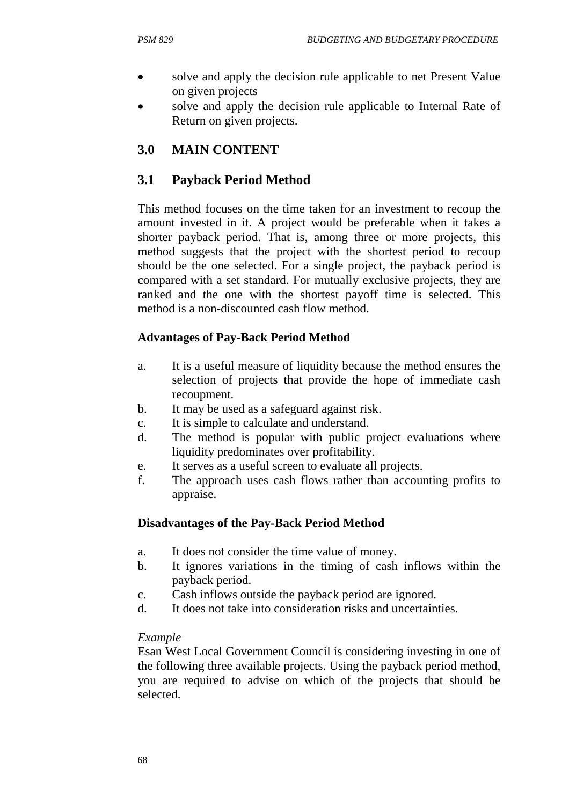- solve and apply the decision rule applicable to net Present Value on given projects
- solve and apply the decision rule applicable to Internal Rate of Return on given projects.

# **3.0 MAIN CONTENT**

## **3.1 Payback Period Method**

This method focuses on the time taken for an investment to recoup the amount invested in it. A project would be preferable when it takes a shorter payback period. That is, among three or more projects, this method suggests that the project with the shortest period to recoup should be the one selected. For a single project, the payback period is compared with a set standard. For mutually exclusive projects, they are ranked and the one with the shortest payoff time is selected. This method is a non-discounted cash flow method.

### **Advantages of Pay-Back Period Method**

- a. It is a useful measure of liquidity because the method ensures the selection of projects that provide the hope of immediate cash recoupment.
- b. It may be used as a safeguard against risk.
- c. It is simple to calculate and understand.
- d. The method is popular with public project evaluations where liquidity predominates over profitability.
- e. It serves as a useful screen to evaluate all projects.
- f. The approach uses cash flows rather than accounting profits to appraise.

### **Disadvantages of the Pay-Back Period Method**

- a. It does not consider the time value of money.
- b. It ignores variations in the timing of cash inflows within the payback period.
- c. Cash inflows outside the payback period are ignored.
- d. It does not take into consideration risks and uncertainties.

### *Example*

Esan West Local Government Council is considering investing in one of the following three available projects. Using the payback period method, you are required to advise on which of the projects that should be selected.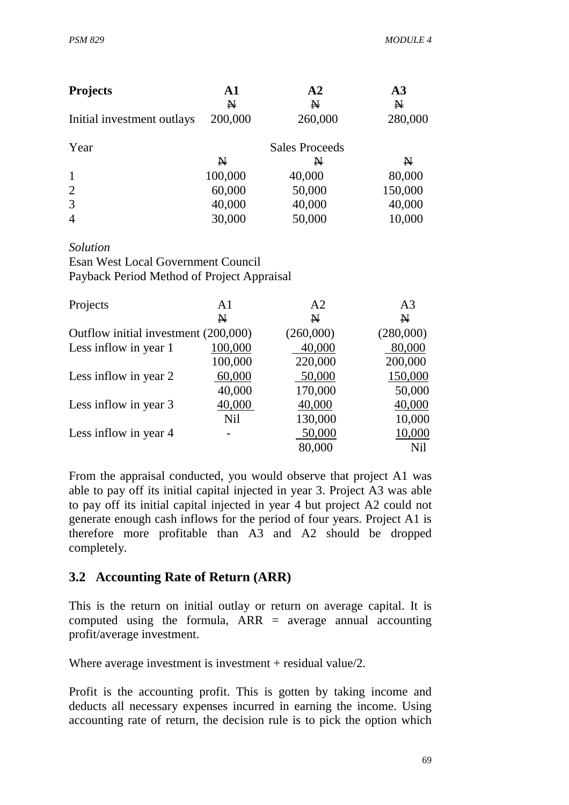| <b>Projects</b>            | A1           | ${\bf A2}$            | $\mathbf{A}3$ |
|----------------------------|--------------|-----------------------|---------------|
|                            | $\mathbf N$  | N                     | $\mathbf{N}$  |
| Initial investment outlays | 200,000      | 260,000               | 280,000       |
|                            |              |                       |               |
| Year                       |              | <b>Sales Proceeds</b> |               |
|                            | $\mathbf{N}$ | N                     | N             |
| $\mathbf{1}$               | 100,000      | 40,000                | 80,000        |
| $\overline{2}$             | 60,000       | 50,000                | 150,000       |
| 3                          | 40,000       | 40,000                | 40,000        |
| $\overline{4}$             | 30,000       | 50,000                | 10,000        |

#### *Solution*

Esan West Local Government Council Payback Period Method of Project Appraisal

| Projects                             | A1         | A <sub>2</sub> | A <sub>3</sub> |
|--------------------------------------|------------|----------------|----------------|
|                                      | N          | N              | $\mathbf{N}$   |
| Outflow initial investment (200,000) |            | (260,000)      | (280,000)      |
| Less inflow in year 1                | 100,000    | 40,000         | 80,000         |
|                                      | 100,000    | 220,000        | 200,000        |
| Less inflow in year 2                | 60,000     | 50,000         | 150,000        |
|                                      | 40,000     | 170,000        | 50,000         |
| Less inflow in year 3                | 40,000     | 40,000         | 40,000         |
|                                      | <b>Nil</b> | 130,000        | 10,000         |
| Less inflow in year 4                |            | 50,000         | 10,000         |
|                                      |            | 80,000         | Nil            |

From the appraisal conducted, you would observe that project A1 was able to pay off its initial capital injected in year 3. Project A3 was able to pay off its initial capital injected in year 4 but project A2 could not generate enough cash inflows for the period of four years. Project A1 is therefore more profitable than A3 and A2 should be dropped completely.

### **3.2 Accounting Rate of Return (ARR)**

This is the return on initial outlay or return on average capital. It is computed using the formula,  $ARR = average$  annual accounting profit/average investment.

Where average investment is investment + residual value/2.

Profit is the accounting profit. This is gotten by taking income and deducts all necessary expenses incurred in earning the income. Using accounting rate of return, the decision rule is to pick the option which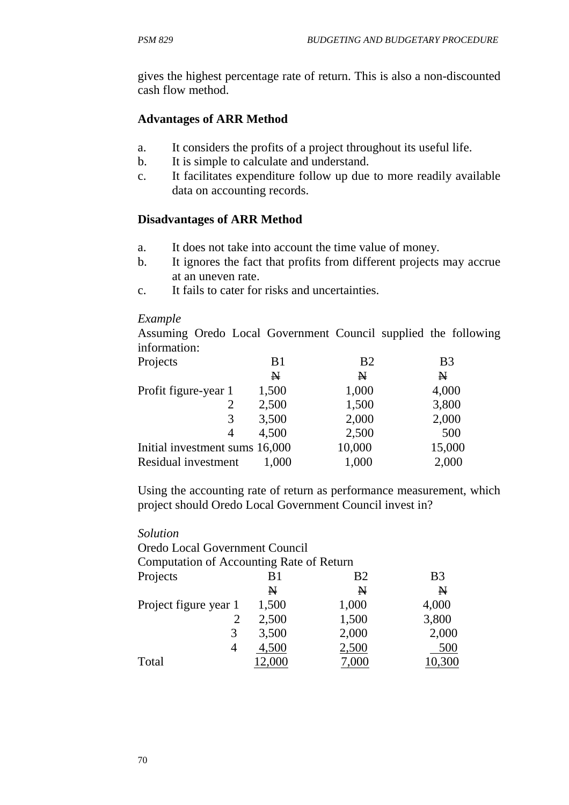gives the highest percentage rate of return. This is also a non-discounted cash flow method.

### **Advantages of ARR Method**

- a. It considers the profits of a project throughout its useful life.
- b. It is simple to calculate and understand.
- c. It facilitates expenditure follow up due to more readily available data on accounting records.

### **Disadvantages of ARR Method**

- a. It does not take into account the time value of money.
- b. It ignores the fact that profits from different projects may accrue at an uneven rate.
- c. It fails to cater for risks and uncertainties.

### *Example*

Assuming Oredo Local Government Council supplied the following information:

| Projects                       | B <sub>1</sub> | B <sub>2</sub> | B <sub>3</sub> |
|--------------------------------|----------------|----------------|----------------|
|                                | $\mathbf{N}$   | N              | $\mathbf{N}$   |
| Profit figure-year 1           | 1,500          | 1,000          | 4,000          |
|                                | 2,500          | 1,500          | 3,800          |
| 3                              | 3,500          | 2,000          | 2,000          |
| 4                              | 4,500          | 2,500          | 500            |
| Initial investment sums 16,000 |                | 10,000         | 15,000         |
| Residual investment            | 1,000          | 1,000          | 2,000          |

Using the accounting rate of return as performance measurement, which project should Oredo Local Government Council invest in?

### *Solution*

Oredo Local Government Council Computation of Accounting Rate of Return Projects B1 B2 B3 N N N

| 1,000<br>1,500<br>Project figure year 1<br>2,500<br>1,500<br>2,000<br>3,500<br>3<br>2,500<br>4,500<br>4 |       | N      | $\mathbb{N}$ | $\mathbb{N}$ |
|---------------------------------------------------------------------------------------------------------|-------|--------|--------------|--------------|
|                                                                                                         |       |        |              | 4,000        |
|                                                                                                         |       |        |              | 3,800        |
|                                                                                                         |       |        |              | 2,000        |
|                                                                                                         |       |        |              | 500          |
|                                                                                                         | Total | 12,000 | 7.000        | 10,300       |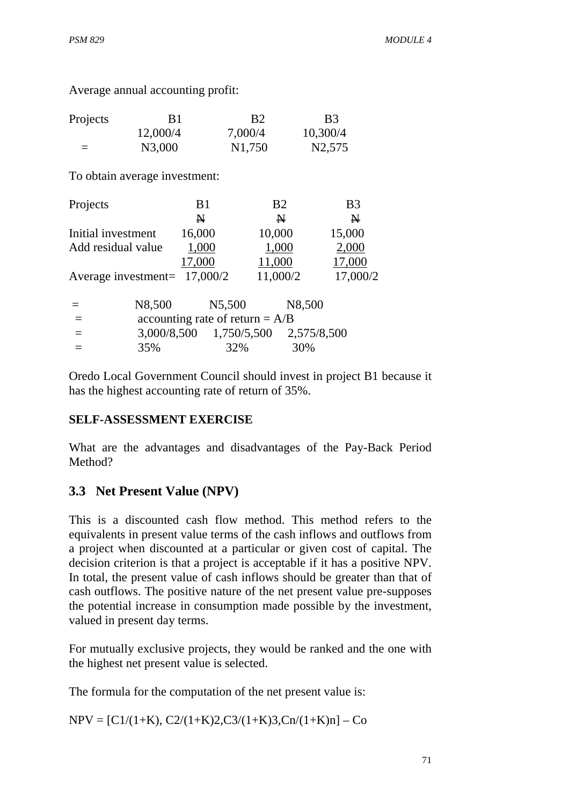Average annual accounting profit:

| Projects            | B <sub>1</sub>                    |          |         | B <sub>2</sub> |             | B <sub>3</sub>      |  |
|---------------------|-----------------------------------|----------|---------|----------------|-------------|---------------------|--|
|                     | 12,000/4                          |          | 7,000/4 |                | 10,300/4    |                     |  |
| $=$                 | N3,000                            |          | N1,750  |                |             | N <sub>2</sub> ,575 |  |
|                     | To obtain average investment:     |          |         |                |             |                     |  |
| Projects            |                                   | B1       |         | B <sub>2</sub> |             | B <sub>3</sub>      |  |
|                     |                                   | N        |         | $\mathbf N$    |             | N                   |  |
| Initial investment  |                                   | 16,000   |         | 10,000         |             | 15,000              |  |
| Add residual value  |                                   | 1,000    |         | 1,000          |             | 2,000               |  |
|                     |                                   | 17,000   |         | 11,000         |             | 17,000              |  |
| Average investment= |                                   | 17,000/2 |         | 11,000/2       |             | 17,000/2            |  |
|                     | N <sub>8</sub> ,500               |          | N5,500  |                | N8,500      |                     |  |
|                     | accounting rate of return = $A/B$ |          |         |                |             |                     |  |
| $=$                 | 3,000/8,500 1,750/5,500           |          |         |                | 2,575/8,500 |                     |  |
|                     | 35%                               |          | 32%     |                | 30%         |                     |  |

Oredo Local Government Council should invest in project B1 because it has the highest accounting rate of return of 35%.

### **SELF-ASSESSMENT EXERCISE**

What are the advantages and disadvantages of the Pay-Back Period Method?

### **3.3 Net Present Value (NPV)**

This is a discounted cash flow method. This method refers to the equivalents in present value terms of the cash inflows and outflows from a project when discounted at a particular or given cost of capital. The decision criterion is that a project is acceptable if it has a positive NPV. In total, the present value of cash inflows should be greater than that of cash outflows. The positive nature of the net present value pre-supposes the potential increase in consumption made possible by the investment, valued in present day terms.

For mutually exclusive projects, they would be ranked and the one with the highest net present value is selected.

The formula for the computation of the net present value is:

 $NPV = [C1/(1+K), C2/(1+K)2, C3/(1+K)3, Cn/(1+K)n] - Co$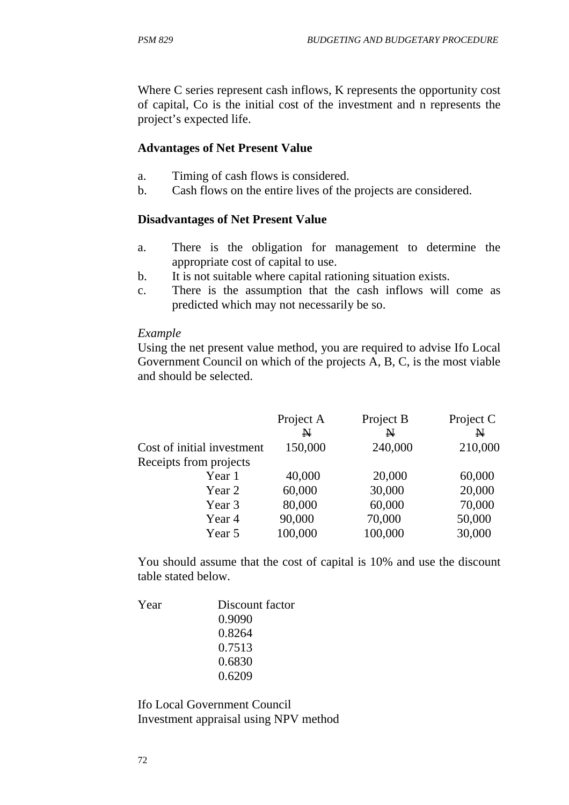Where C series represent cash inflows, K represents the opportunity cost of capital, Co is the initial cost of the investment and n represents the project's expected life.

### **Advantages of Net Present Value**

- a. Timing of cash flows is considered.
- b. Cash flows on the entire lives of the projects are considered.

### **Disadvantages of Net Present Value**

- a. There is the obligation for management to determine the appropriate cost of capital to use.
- b. It is not suitable where capital rationing situation exists.
- c. There is the assumption that the cash inflows will come as predicted which may not necessarily be so.

#### *Example*

Using the net present value method, you are required to advise Ifo Local Government Council on which of the projects A, B, C, is the most viable and should be selected.

|                            | Project A<br>$\mathbf{N}$ | Project B<br>$\mathbf{N}$ | Project C<br>$\mathbb{N}$ |
|----------------------------|---------------------------|---------------------------|---------------------------|
| Cost of initial investment | 150,000                   | 240,000                   | 210,000                   |
| Receipts from projects     |                           |                           |                           |
| Year 1                     | 40,000                    | 20,000                    | 60,000                    |
| Year 2                     | 60,000                    | 30,000                    | 20,000                    |
| Year 3                     | 80,000                    | 60,000                    | 70,000                    |
| Year 4                     | 90,000                    | 70,000                    | 50,000                    |
| Year 5                     | 100,000                   | 100,000                   | 30,000                    |
|                            |                           |                           |                           |

You should assume that the cost of capital is 10% and use the discount table stated below.

Year Discount factor 0.9090 0.8264 0.7513 0.6830 0.6209

Ifo Local Government Council Investment appraisal using NPV method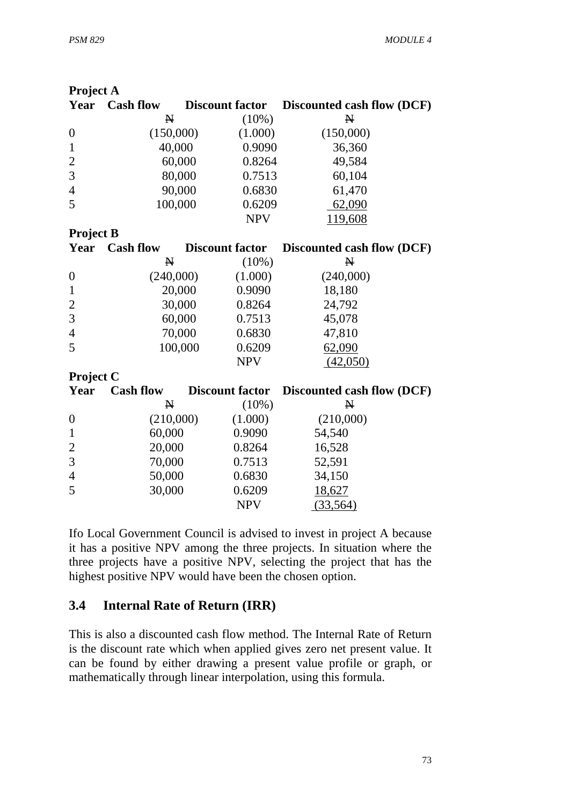| <b>Project A</b> |                  |                        |                            |
|------------------|------------------|------------------------|----------------------------|
| Year             | <b>Cash flow</b> | <b>Discount factor</b> | Discounted cash flow (DCF) |
|                  | $\mathbf N$      | $(10\%)$               | $\mathbf{N}$               |
| $\boldsymbol{0}$ | (150,000)        | (1.000)                | (150,000)                  |
| $\mathbf{1}$     | 40,000           | 0.9090                 | 36,360                     |
| $\overline{c}$   | 60,000           | 0.8264                 | 49,584                     |
| 3                | 80,000           | 0.7513                 | 60,104                     |
| $\overline{4}$   | 90,000           | 0.6830                 | 61,470                     |
| 5                | 100,000          | 0.6209                 | 62,090                     |
|                  |                  | <b>NPV</b>             | 119,608                    |
| <b>Project B</b> |                  |                        |                            |
| Year             | <b>Cash flow</b> | <b>Discount factor</b> | Discounted cash flow (DCF) |
|                  | $\mathbb N$      | $(10\%)$               | $\mathbf{N}$               |
| $\boldsymbol{0}$ | (240,000)        | (1.000)                | (240,000)                  |
| $\mathbf{1}$     | 20,000           | 0.9090                 | 18,180                     |
| $\overline{c}$   | 30,000           | 0.8264                 | 24,792                     |
| 3                | 60,000           | 0.7513                 | 45,078                     |
| $\overline{4}$   | 70,000           | 0.6830                 | 47,810                     |
| 5                | 100,000          | 0.6209                 | 62,090                     |
|                  |                  | <b>NPV</b>             | (42,050)                   |
| <b>Project C</b> |                  |                        |                            |
| Year             | <b>Cash flow</b> | <b>Discount factor</b> | Discounted cash flow (DCF) |
|                  | $\mathbb N$      | $(10\%)$               | N                          |
| $\boldsymbol{0}$ | (210,000)        | (1.000)                | (210,000)                  |
| $\mathbf{1}$     | 60,000           | 0.9090                 | 54,540                     |
| $\overline{c}$   | 20,000           | 0.8264                 | 16,528                     |
| 3                | 70,000           | 0.7513                 | 52,591                     |
| $\overline{4}$   | 50,000           | 0.6830                 | 34,150                     |
| 5                | 30,000           | 0.6209                 | 18,627                     |
|                  |                  | <b>NPV</b>             | (33, 564)                  |

Ifo Local Government Council is advised to invest in project A because it has a positive NPV among the three projects. In situation where the three projects have a positive NPV, selecting the project that has the highest positive NPV would have been the chosen option.

### **3.4 Internal Rate of Return (IRR)**

This is also a discounted cash flow method. The Internal Rate of Return is the discount rate which when applied gives zero net present value. It can be found by either drawing a present value profile or graph, or mathematically through linear interpolation, using this formula.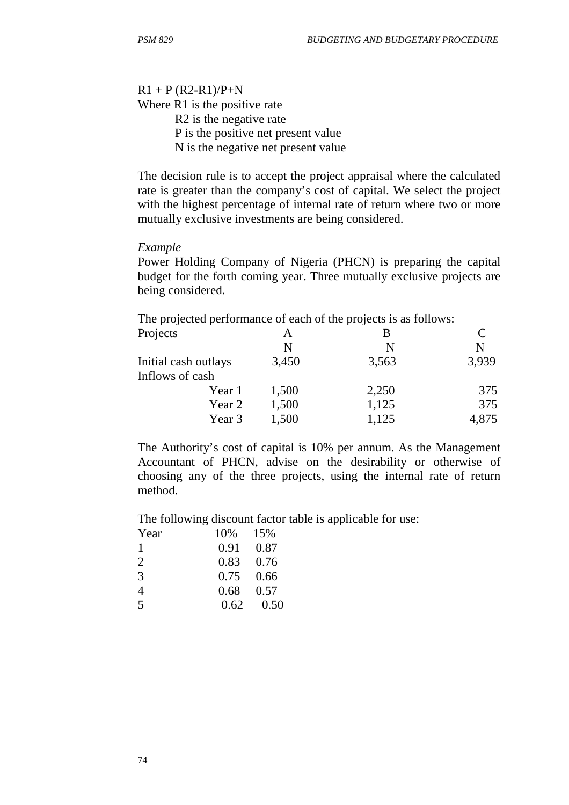$R1 + P (R2-R1)/P+N$ Where R1 is the positive rate R2 is the negative rate P is the positive net present value N is the negative net present value

The decision rule is to accept the project appraisal where the calculated rate is greater than the company's cost of capital. We select the project with the highest percentage of internal rate of return where two or more mutually exclusive investments are being considered.

#### *Example*

Power Holding Company of Nigeria (PHCN) is preparing the capital budget for the forth coming year. Three mutually exclusive projects are being considered.

The projected performance of each of the projects is as follows:

| Projects             | A     | В     |              |
|----------------------|-------|-------|--------------|
|                      | N     | N     | $\mathbb{N}$ |
| Initial cash outlays | 3,450 | 3,563 | 3,939        |
| Inflows of cash      |       |       |              |
| Year 1               | 1,500 | 2,250 | 375          |
| Year 2               | 1,500 | 1,125 | 375          |
| Year 3               | 1,500 | 1,125 | 4,875        |

The Authority's cost of capital is 10% per annum. As the Management Accountant of PHCN, advise on the desirability or otherwise of choosing any of the three projects, using the internal rate of return method.

The following discount factor table is applicable for use:

| Year           | 10%  | 15%  |
|----------------|------|------|
| 1              | 0.91 | 0.87 |
| $\overline{2}$ | 0.83 | 0.76 |
| 3              | 0.75 | 0.66 |
| 4              | 0.68 | 0.57 |
| 5              | 0.62 | 0.50 |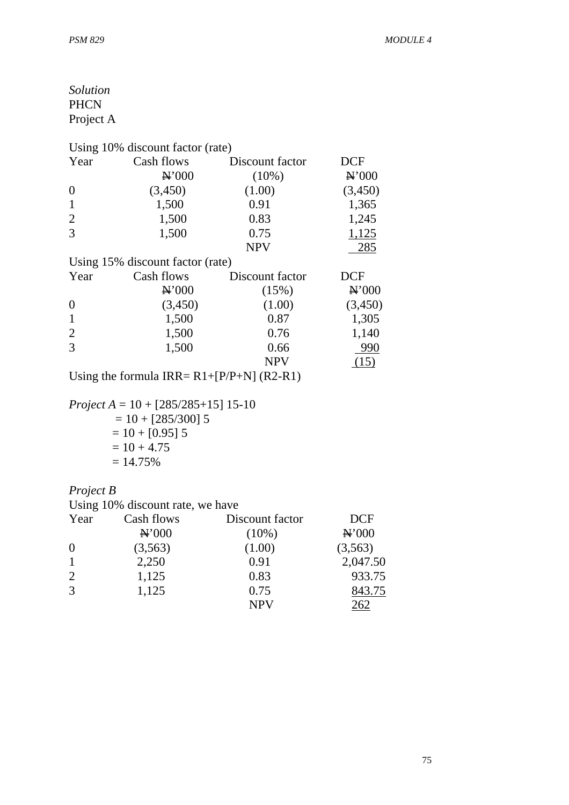| Solution    |
|-------------|
| <b>PHCN</b> |
| Project A   |

|                | Using 10% discount factor (rate) |                 |                   |
|----------------|----------------------------------|-----------------|-------------------|
| Year           | Cash flows                       | Discount factor | <b>DCF</b>        |
|                | $\mathbf{H}^2000$                | $(10\%)$        | N'000             |
| $\overline{0}$ | (3,450)                          | (1.00)          | (3,450)           |
| $\mathbf{1}$   | 1,500                            | 0.91            | 1,365             |
| $\overline{2}$ | 1,500                            | 0.83            | 1,245             |
| 3              | 1,500                            | 0.75            | 1,125             |
|                |                                  | <b>NPV</b>      | 285               |
|                | Using 15% discount factor (rate) |                 |                   |
| Year           | Cash flows                       | Discount factor | <b>DCF</b>        |
|                | $\mathbf{H}^2000$                | (15%)           | $\mathbf{N}$ '000 |
| $\overline{0}$ | (3,450)                          | (1.00)          | (3,450)           |
| $\mathbf{1}$   | 1,500                            | 0.87            | 1,305             |
| $\overline{2}$ | 1,500                            | 0.76            | 1,140             |
| 3              | 1,500                            | 0.66            | 990               |
|                |                                  | <b>NPV</b>      | (15)              |

Using the formula  $IRR = R1 + [P/P+N]$  (R2-R1)

*Project A* = 10 + [285/285+15] 15-10  $= 10 + [285/300]$  5  $= 10 + [0.95]$  5  $= 10 + 4.75$  $= 14.75%$ 

*Project B* 

Using 10% discount rate, we have

| Year           | Cash flows | Discount factor | <b>DCF</b>        |
|----------------|------------|-----------------|-------------------|
|                | N'000      | $(10\%)$        | $\mathbf{H}$ '000 |
| $\overline{0}$ | (3,563)    | (1.00)          | (3,563)           |
|                | 2,250      | 0.91            | 2,047.50          |
| $\overline{2}$ | 1,125      | 0.83            | 933.75            |
| 3              | 1,125      | 0.75            | 843.75            |
|                |            | <b>NPV</b>      | 262               |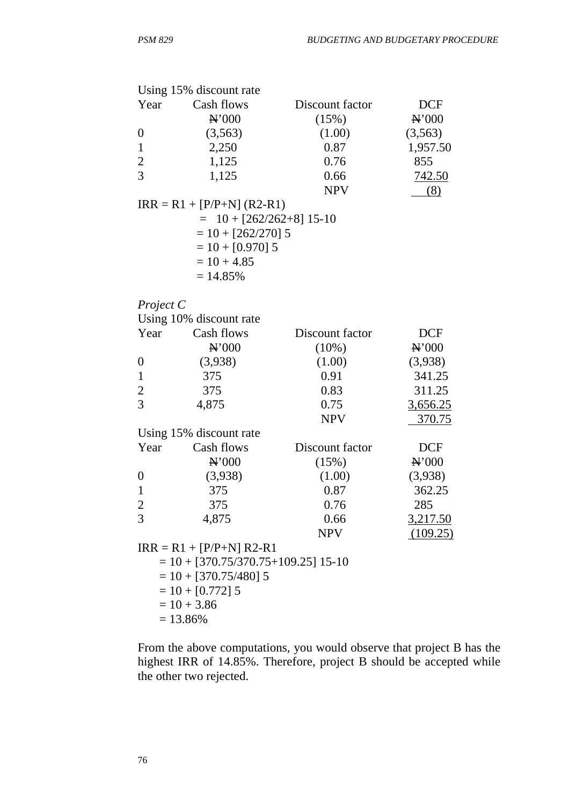|                    | Using 15% discount rate                 |                 |                               |  |  |  |
|--------------------|-----------------------------------------|-----------------|-------------------------------|--|--|--|
| Year               | Cash flows                              | Discount factor | <b>DCF</b>                    |  |  |  |
|                    | $\mathbb{H}^2000$                       | (15%)           | $\mathbf{H}$ <sup>2</sup> 000 |  |  |  |
| $\boldsymbol{0}$   | (3,563)                                 | (1.00)          | (3,563)                       |  |  |  |
| 1                  | 2,250                                   | 0.87            | 1,957.50                      |  |  |  |
| $\overline{2}$     | 1,125                                   | 0.76            | 855                           |  |  |  |
| 3                  | 1,125                                   | 0.66            | <u>742.50</u>                 |  |  |  |
|                    |                                         | <b>NPV</b>      | (8)                           |  |  |  |
|                    | $IRR = R1 + [P/P+N] (R2-R1)$            |                 |                               |  |  |  |
|                    | $= 10 + [262/262+8] 15-10$              |                 |                               |  |  |  |
|                    | $= 10 + [262/270]$ 5                    |                 |                               |  |  |  |
|                    | $= 10 + [0.970]$ 5                      |                 |                               |  |  |  |
|                    | $= 10 + 4.85$                           |                 |                               |  |  |  |
|                    | $= 14.85%$                              |                 |                               |  |  |  |
|                    |                                         |                 |                               |  |  |  |
| Project C          |                                         |                 |                               |  |  |  |
|                    | Using 10% discount rate                 |                 |                               |  |  |  |
| Year               | Cash flows                              | Discount factor | <b>DCF</b>                    |  |  |  |
|                    | $\mathbf{N}$ '000                       | $(10\%)$        | $\mathbf{H}$ '000             |  |  |  |
| $\boldsymbol{0}$   | (3,938)                                 | (1.00)          | (3,938)                       |  |  |  |
| $\mathbf{1}$       | 375                                     | 0.91            | 341.25                        |  |  |  |
| $\overline{c}$     | 375                                     | 0.83            | 311.25                        |  |  |  |
| $\overline{3}$     | 4,875                                   | 0.75            | <u>3,656.25</u>               |  |  |  |
|                    |                                         | <b>NPV</b>      | 370.75                        |  |  |  |
|                    | Using 15% discount rate                 |                 |                               |  |  |  |
| Year               | Cash flows                              | Discount factor | <b>DCF</b>                    |  |  |  |
|                    | N'000                                   | (15%)           | $\mathbf{N}$ '000             |  |  |  |
| $\boldsymbol{0}$   | (3,938)                                 | (1.00)          | (3,938)                       |  |  |  |
| 1                  | 375                                     | 0.87            | 362.25                        |  |  |  |
| $\overline{2}$     | 375                                     | 0.76            | 285                           |  |  |  |
| 3                  | 4,875                                   | 0.66            | 3,217.50                      |  |  |  |
|                    |                                         | <b>NPV</b>      | (109.25)                      |  |  |  |
|                    | $IRR = R1 + [P/P+N] R2-R1$              |                 |                               |  |  |  |
|                    | $= 10 + [370.75/370.75 + 109.25]$ 15-10 |                 |                               |  |  |  |
|                    | $= 10 + [370.75/480]$ 5                 |                 |                               |  |  |  |
| $= 10 + [0.772]$ 5 |                                         |                 |                               |  |  |  |
| $= 10 + 3.86$      |                                         |                 |                               |  |  |  |
|                    | $= 13.86\%$                             |                 |                               |  |  |  |

From the above computations, you would observe that project B has the highest IRR of 14.85%. Therefore, project B should be accepted while the other two rejected.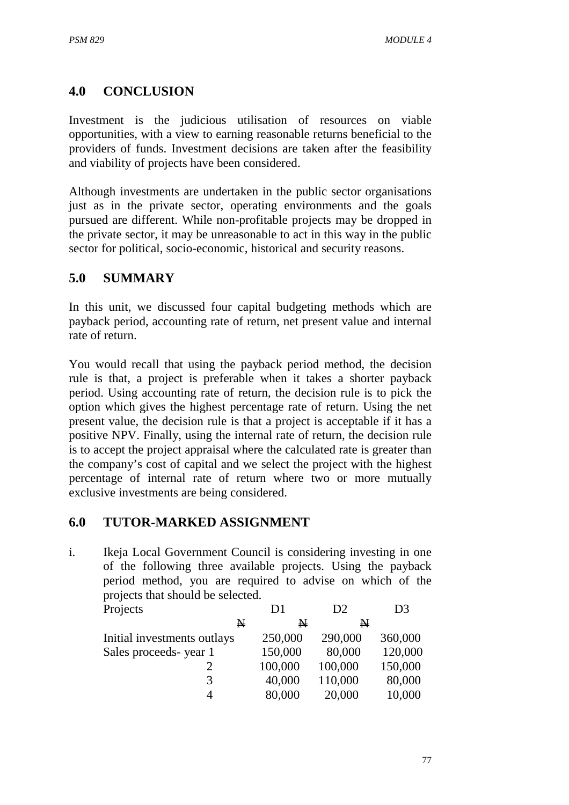## **4.0 CONCLUSION**

Investment is the judicious utilisation of resources on viable opportunities, with a view to earning reasonable returns beneficial to the providers of funds. Investment decisions are taken after the feasibility and viability of projects have been considered.

Although investments are undertaken in the public sector organisations just as in the private sector, operating environments and the goals pursued are different. While non-profitable projects may be dropped in the private sector, it may be unreasonable to act in this way in the public sector for political, socio-economic, historical and security reasons.

## **5.0 SUMMARY**

In this unit, we discussed four capital budgeting methods which are payback period, accounting rate of return, net present value and internal rate of return.

You would recall that using the payback period method, the decision rule is that, a project is preferable when it takes a shorter payback period. Using accounting rate of return, the decision rule is to pick the option which gives the highest percentage rate of return. Using the net present value, the decision rule is that a project is acceptable if it has a positive NPV. Finally, using the internal rate of return, the decision rule is to accept the project appraisal where the calculated rate is greater than the company's cost of capital and we select the project with the highest percentage of internal rate of return where two or more mutually exclusive investments are being considered.

### **6.0 TUTOR-MARKED ASSIGNMENT**

i. Ikeja Local Government Council is considering investing in one of the following three available projects. Using the payback period method, you are required to advise on which of the projects that should be selected.

| Projects                    |   | D1      | D2      | D3      |
|-----------------------------|---|---------|---------|---------|
|                             | N | N       | N       |         |
| Initial investments outlays |   | 250,000 | 290,000 | 360,000 |
| Sales proceeds-year 1       |   | 150,000 | 80,000  | 120,000 |
|                             |   | 100,000 | 100,000 | 150,000 |
| 3                           |   | 40,000  | 110,000 | 80,000  |
|                             |   | 80,000  | 20,000  | 10,000  |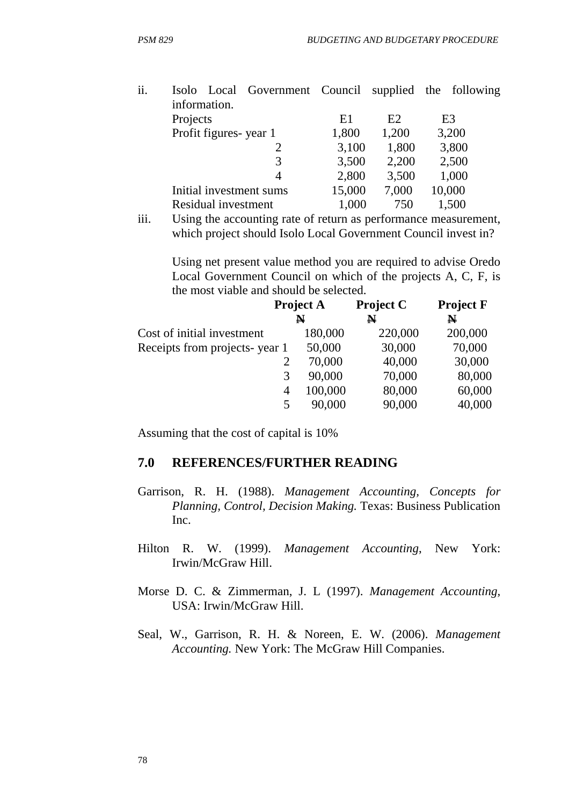| ii. |                       | Isolo Local Government Council supplied the following |        |       |                |  |
|-----|-----------------------|-------------------------------------------------------|--------|-------|----------------|--|
|     | information.          |                                                       |        |       |                |  |
|     | Projects              |                                                       | E1     | E2    | E <sub>3</sub> |  |
|     | Profit figures-year 1 |                                                       | 1,800  | 1,200 | 3,200          |  |
|     |                       |                                                       | 3,100  | 1,800 | 3,800          |  |
|     |                       | 3                                                     | 3,500  | 2,200 | 2,500          |  |
|     |                       | 4                                                     | 2,800  | 3,500 | 1,000          |  |
|     |                       | Initial investment sums                               | 15,000 | 7,000 | 10,000         |  |
|     | Residual investment   |                                                       | 1,000  | 750   | 1,500          |  |
|     |                       |                                                       |        |       |                |  |

iii. Using the accounting rate of return as performance measurement, which project should Isolo Local Government Council invest in?

Using net present value method you are required to advise Oredo Local Government Council on which of the projects A, C, F, is the most viable and should be selected.

|                               | <b>Project A</b> |             | <b>Project C</b> | <b>Project F</b> |  |
|-------------------------------|------------------|-------------|------------------|------------------|--|
|                               |                  | $\mathbb N$ | N                | $\mathbf N$      |  |
| Cost of initial investment    |                  | 180,000     | 220,000          | 200,000          |  |
| Receipts from projects-year 1 |                  | 50,000      | 30,000           | 70,000           |  |
|                               |                  | 70,000      | 40,000           | 30,000           |  |
|                               | 3                | 90,000      | 70,000           | 80,000           |  |
|                               | 4                | 100,000     | 80,000           | 60,000           |  |
|                               |                  | 90,000      | 90,000           | 40,000           |  |

Assuming that the cost of capital is 10%

#### **7.0 REFERENCES/FURTHER READING**

- Garrison, R. H. (1988). *Management Accounting, Concepts for Planning, Control, Decision Making.* Texas: Business Publication Inc.
- Hilton R. W. (1999). *Management Accounting*, New York: Irwin/McGraw Hill.
- Morse D. C. & Zimmerman, J. L (1997). *Management Accounting,* USA: Irwin/McGraw Hill.
- Seal, W., Garrison, R. H. & Noreen, E. W. (2006). *Management Accounting.* New York: The McGraw Hill Companies.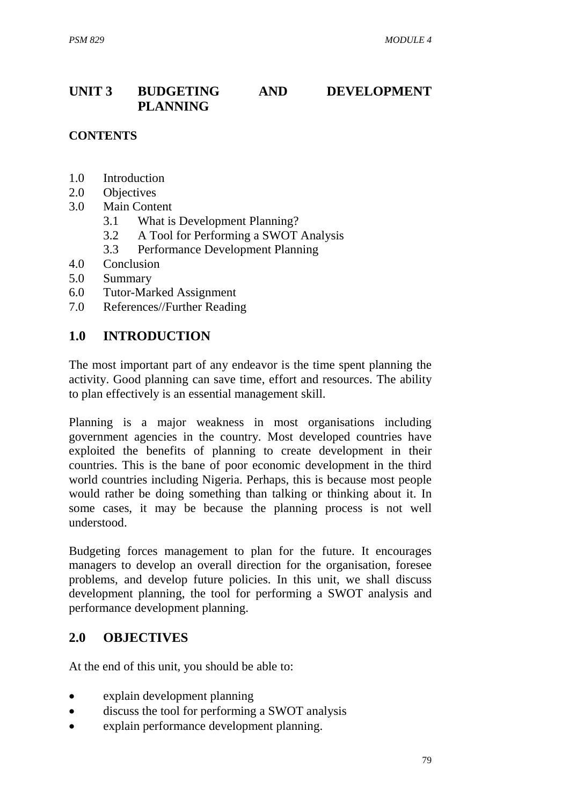# **UNIT 3 BUDGETING AND DEVELOPMENT PLANNING**

### **CONTENTS**

- 1.0 Introduction
- 2.0 Objectives
- 3.0 Main Content
	- 3.1 What is Development Planning?
	- 3.2 A Tool for Performing a SWOT Analysis
	- 3.3 Performance Development Planning
- 4.0 Conclusion
- 5.0 Summary
- 6.0 Tutor-Marked Assignment
- 7.0 References//Further Reading

### **1.0 INTRODUCTION**

The most important part of any endeavor is the time spent planning the activity. Good planning can save time, effort and resources. The ability to plan effectively is an essential management skill.

Planning is a major weakness in most organisations including government agencies in the country. Most developed countries have exploited the benefits of planning to create development in their countries. This is the bane of poor economic development in the third world countries including Nigeria. Perhaps, this is because most people would rather be doing something than talking or thinking about it. In some cases, it may be because the planning process is not well understood.

Budgeting forces management to plan for the future. It encourages managers to develop an overall direction for the organisation, foresee problems, and develop future policies. In this unit, we shall discuss development planning, the tool for performing a SWOT analysis and performance development planning.

### **2.0 OBJECTIVES**

At the end of this unit, you should be able to:

- explain development planning
- discuss the tool for performing a SWOT analysis
- explain performance development planning.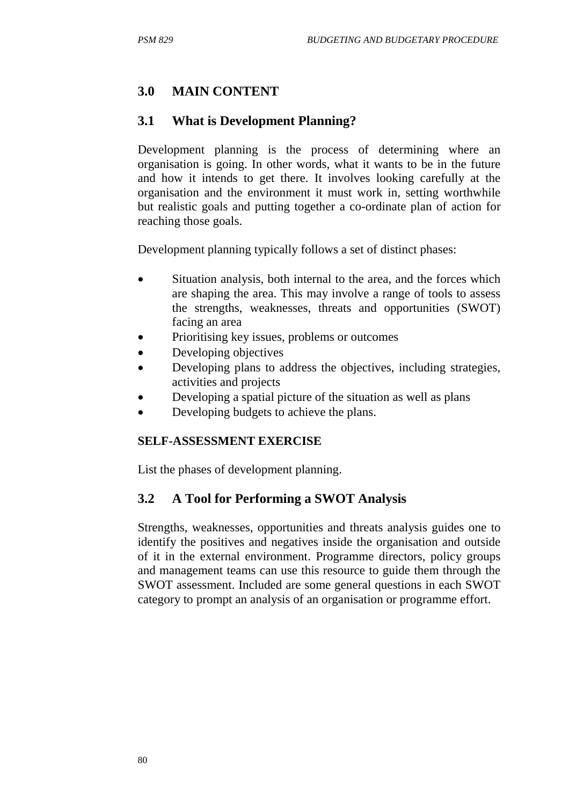## **3.0 MAIN CONTENT**

### **3.1 What is Development Planning?**

Development planning is the process of determining where an organisation is going. In other words, what it wants to be in the future and how it intends to get there. It involves looking carefully at the organisation and the environment it must work in, setting worthwhile but realistic goals and putting together a co-ordinate plan of action for reaching those goals.

Development planning typically follows a set of distinct phases:

- Situation analysis, both internal to the area, and the forces which are shaping the area. This may involve a range of tools to assess the strengths, weaknesses, threats and opportunities (SWOT) facing an area
- Prioritising key issues, problems or outcomes
- Developing objectives
- Developing plans to address the objectives, including strategies, activities and projects
- Developing a spatial picture of the situation as well as plans
- Developing budgets to achieve the plans.

### **SELF-ASSESSMENT EXERCISE**

List the phases of development planning.

### **3.2 A Tool for Performing a SWOT Analysis**

Strengths, weaknesses, opportunities and threats analysis guides one to identify the positives and negatives inside the organisation and outside of it in the external environment. Programme directors, policy groups and management teams can use this resource to guide them through the SWOT assessment. Included are some general questions in each SWOT category to prompt an analysis of an organisation or programme effort.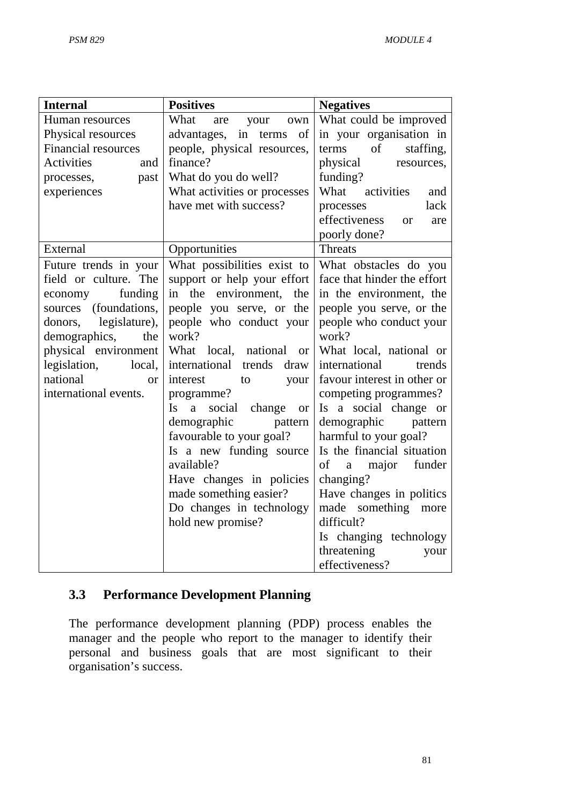| <b>Internal</b>          | <b>Positives</b>                                    | <b>Negatives</b>                      |  |
|--------------------------|-----------------------------------------------------|---------------------------------------|--|
| Human resources          | What<br>your<br>are<br>own                          | What could be improved                |  |
| Physical resources       | in<br>of<br>advantages,<br>terms                    | in your organisation in               |  |
| Financial resources      | people, physical resources,                         | of<br>staffing,<br>terms              |  |
| <b>Activities</b><br>and | finance?                                            | physical<br>resources,                |  |
| processes,<br>past       | What do you do well?                                | funding?                              |  |
| experiences              | What activities or processes                        | What activities<br>and                |  |
|                          | have met with success?                              | lack<br>processes                     |  |
|                          |                                                     | effectiveness<br>$\alpha$<br>are      |  |
|                          |                                                     | poorly done?                          |  |
| External                 | Opportunities                                       | Threats                               |  |
| Future trends in your    | What possibilities exist to                         | What obstacles do you                 |  |
| field or culture. The    | support or help your effort                         | face that hinder the effort           |  |
| funding<br>economy       | the environment,<br>in<br>the                       | in the environment, the               |  |
| (foundations,<br>sources | people you serve, or the                            | people you serve, or the              |  |
| legislature),<br>donors, | people who conduct your<br>people who conduct your  |                                       |  |
| demographics,<br>the     | work?                                               | work?                                 |  |
| physical environment     | What local, national<br><b>or</b>                   | What local, national or               |  |
| legislation,<br>local,   | international<br>trends<br>draw                     | international<br>trends               |  |
| national<br><b>or</b>    | interest<br>to<br>your                              | favour interest in other or           |  |
| international events.    | programme?                                          | competing programmes?                 |  |
|                          | Is<br>$\mathbf{a}$<br>social<br>change<br><b>or</b> | Is a social change or                 |  |
|                          | demographic<br>pattern                              | demographic<br>pattern                |  |
|                          | favourable to your goal?                            | harmful to your goal?                 |  |
|                          | Is a new funding source                             | Is the financial situation            |  |
|                          | available?                                          | of<br>funder<br>major<br>$\mathbf{a}$ |  |
|                          | Have changes in policies                            | changing?                             |  |
|                          | made something easier?                              | Have changes in politics              |  |
|                          | Do changes in technology                            | made something more                   |  |
|                          | hold new promise?                                   | difficult?                            |  |
|                          |                                                     | Is changing technology                |  |
|                          |                                                     | threatening<br>your                   |  |
|                          |                                                     | effectiveness?                        |  |

# **3.3 Performance Development Planning**

The performance development planning (PDP) process enables the manager and the people who report to the manager to identify their personal and business goals that are most significant to their organisation's success.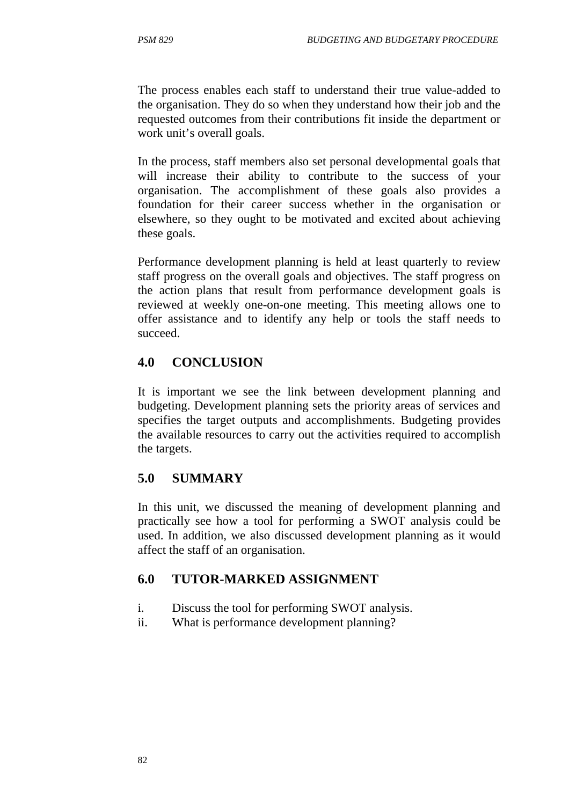The process enables each staff to understand their true value-added to the organisation. They do so when they understand how their job and the requested outcomes from their contributions fit inside the department or work unit's overall goals.

In the process, staff members also set personal developmental goals that will increase their ability to contribute to the success of your organisation. The accomplishment of these goals also provides a foundation for their career success whether in the organisation or elsewhere, so they ought to be motivated and excited about achieving these goals.

Performance development planning is held at least quarterly to review staff progress on the overall goals and objectives. The staff progress on the action plans that result from performance development goals is reviewed at weekly one-on-one meeting. This meeting allows one to offer assistance and to identify any help or tools the staff needs to succeed.

# **4.0 CONCLUSION**

It is important we see the link between development planning and budgeting. Development planning sets the priority areas of services and specifies the target outputs and accomplishments. Budgeting provides the available resources to carry out the activities required to accomplish the targets.

# **5.0 SUMMARY**

In this unit, we discussed the meaning of development planning and practically see how a tool for performing a SWOT analysis could be used. In addition, we also discussed development planning as it would affect the staff of an organisation.

# **6.0 TUTOR-MARKED ASSIGNMENT**

- i. Discuss the tool for performing SWOT analysis.
- ii. What is performance development planning?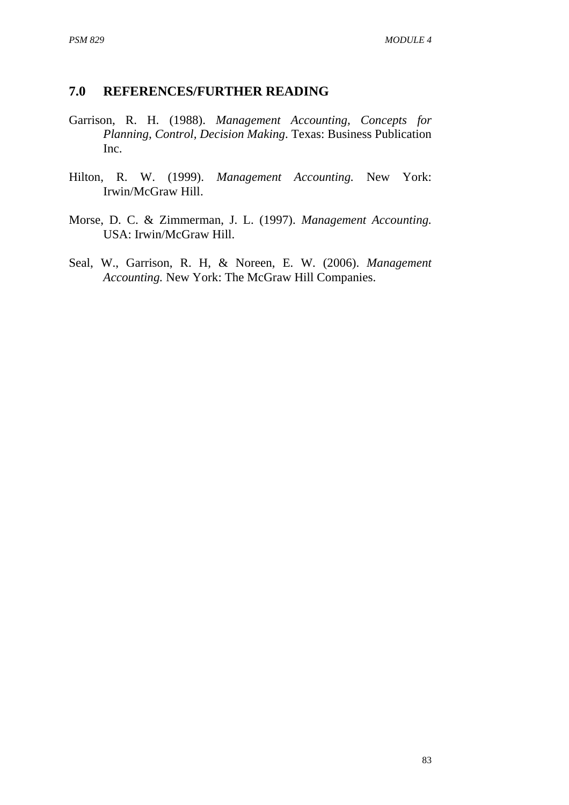## **7.0 REFERENCES/FURTHER READING**

- Garrison, R. H. (1988). *Management Accounting, Concepts for Planning, Control, Decision Making*. Texas: Business Publication Inc.
- Hilton, R. W. (1999). *Management Accounting.* New York: Irwin/McGraw Hill.
- Morse, D. C. & Zimmerman, J. L. (1997). *Management Accounting.* USA: Irwin/McGraw Hill.
- Seal, W., Garrison, R. H, & Noreen, E. W. (2006). *Management Accounting.* New York: The McGraw Hill Companies.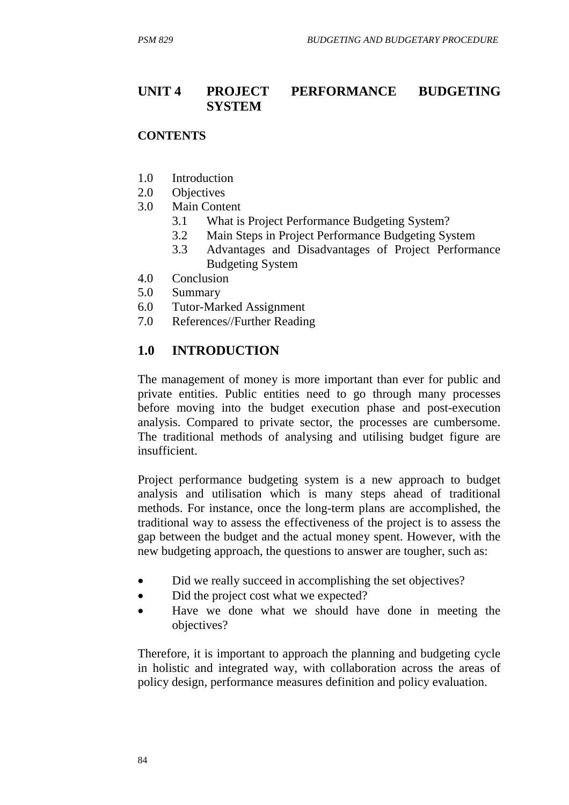## **UNIT 4 PROJECT PERFORMANCE BUDGETING SYSTEM**

### **CONTENTS**

- 1.0 Introduction
- 2.0 Objectives
- 3.0 Main Content
	- 3.1 What is Project Performance Budgeting System?
	- 3.2 Main Steps in Project Performance Budgeting System
	- 3.3 Advantages and Disadvantages of Project Performance Budgeting System
- 4.0 Conclusion
- 5.0 Summary
- 6.0 Tutor-Marked Assignment
- 7.0 References//Further Reading

### **1.0 INTRODUCTION**

The management of money is more important than ever for public and private entities. Public entities need to go through many processes before moving into the budget execution phase and post-execution analysis. Compared to private sector, the processes are cumbersome. The traditional methods of analysing and utilising budget figure are insufficient.

Project performance budgeting system is a new approach to budget analysis and utilisation which is many steps ahead of traditional methods. For instance, once the long-term plans are accomplished, the traditional way to assess the effectiveness of the project is to assess the gap between the budget and the actual money spent. However, with the new budgeting approach, the questions to answer are tougher, such as:

- Did we really succeed in accomplishing the set objectives?
- Did the project cost what we expected?
- Have we done what we should have done in meeting the objectives?

Therefore, it is important to approach the planning and budgeting cycle in holistic and integrated way, with collaboration across the areas of policy design, performance measures definition and policy evaluation.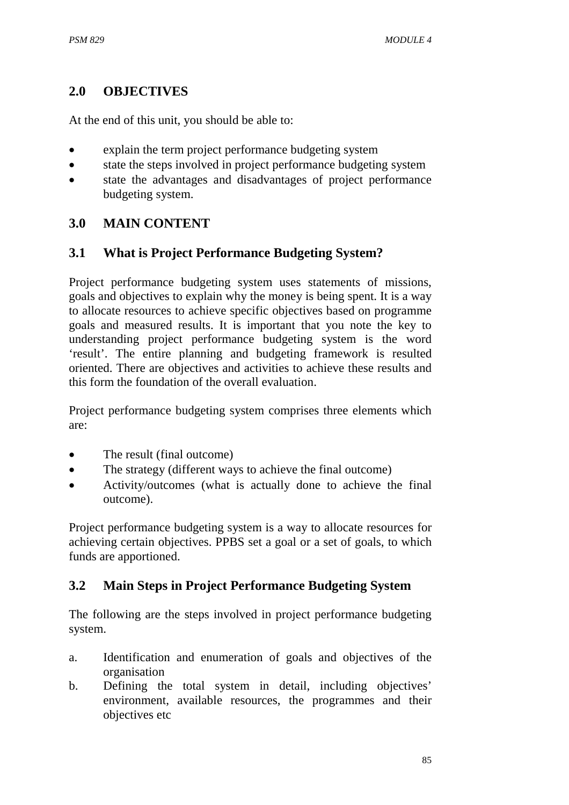## **2.0 OBJECTIVES**

At the end of this unit, you should be able to:

- explain the term project performance budgeting system
- state the steps involved in project performance budgeting system
- state the advantages and disadvantages of project performance budgeting system.

# **3.0 MAIN CONTENT**

# **3.1 What is Project Performance Budgeting System?**

Project performance budgeting system uses statements of missions, goals and objectives to explain why the money is being spent. It is a way to allocate resources to achieve specific objectives based on programme goals and measured results. It is important that you note the key to understanding project performance budgeting system is the word 'result'. The entire planning and budgeting framework is resulted oriented. There are objectives and activities to achieve these results and this form the foundation of the overall evaluation.

Project performance budgeting system comprises three elements which are:

- The result (final outcome)
- The strategy (different ways to achieve the final outcome)
- Activity/outcomes (what is actually done to achieve the final outcome).

Project performance budgeting system is a way to allocate resources for achieving certain objectives. PPBS set a goal or a set of goals, to which funds are apportioned.

# **3.2 Main Steps in Project Performance Budgeting System**

The following are the steps involved in project performance budgeting system.

- a. Identification and enumeration of goals and objectives of the organisation
- b. Defining the total system in detail, including objectives' environment, available resources, the programmes and their objectives etc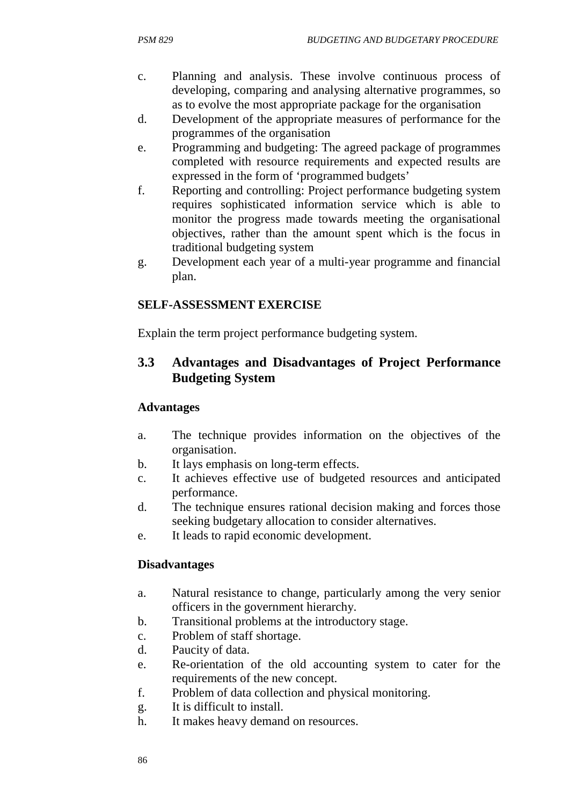- c. Planning and analysis. These involve continuous process of developing, comparing and analysing alternative programmes, so as to evolve the most appropriate package for the organisation
- d. Development of the appropriate measures of performance for the programmes of the organisation
- e. Programming and budgeting: The agreed package of programmes completed with resource requirements and expected results are expressed in the form of 'programmed budgets'
- f. Reporting and controlling: Project performance budgeting system requires sophisticated information service which is able to monitor the progress made towards meeting the organisational objectives, rather than the amount spent which is the focus in traditional budgeting system
- g. Development each year of a multi-year programme and financial plan.

### **SELF-ASSESSMENT EXERCISE**

Explain the term project performance budgeting system.

## **3.3 Advantages and Disadvantages of Project Performance Budgeting System**

### **Advantages**

- a. The technique provides information on the objectives of the organisation.
- b. It lays emphasis on long-term effects.
- c. It achieves effective use of budgeted resources and anticipated performance.
- d. The technique ensures rational decision making and forces those seeking budgetary allocation to consider alternatives.
- e. It leads to rapid economic development.

### **Disadvantages**

- a. Natural resistance to change, particularly among the very senior officers in the government hierarchy.
- b. Transitional problems at the introductory stage.
- c. Problem of staff shortage.
- d. Paucity of data.
- e. Re-orientation of the old accounting system to cater for the requirements of the new concept.
- f. Problem of data collection and physical monitoring.
- g. It is difficult to install.
- h. It makes heavy demand on resources.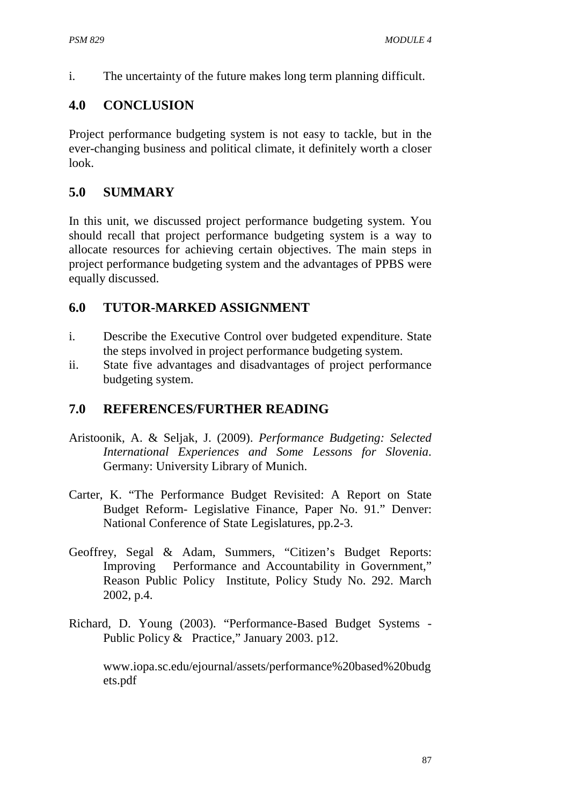i. The uncertainty of the future makes long term planning difficult.

## **4.0 CONCLUSION**

Project performance budgeting system is not easy to tackle, but in the ever-changing business and political climate, it definitely worth a closer look.

## **5.0 SUMMARY**

In this unit, we discussed project performance budgeting system. You should recall that project performance budgeting system is a way to allocate resources for achieving certain objectives. The main steps in project performance budgeting system and the advantages of PPBS were equally discussed.

## **6.0 TUTOR-MARKED ASSIGNMENT**

- i. Describe the Executive Control over budgeted expenditure. State the steps involved in project performance budgeting system.
- ii. State five advantages and disadvantages of project performance budgeting system.

## **7.0 REFERENCES/FURTHER READING**

- Aristoonik, A. & Seljak, J. (2009). *Performance Budgeting: Selected International Experiences and Some Lessons for Slovenia*. Germany: University Library of Munich.
- Carter, K. "The Performance Budget Revisited: A Report on State Budget Reform- Legislative Finance, Paper No. 91." Denver: National Conference of State Legislatures, pp.2-3.
- Geoffrey, Segal & Adam, Summers, "Citizen's Budget Reports: Improving Performance and Accountability in Government," Reason Public Policy Institute, Policy Study No. 292. March 2002, p.4.
- Richard, D. Young (2003). "Performance-Based Budget Systems Public Policy & Practice," January 2003. p12.

www.iopa.sc.edu/ejournal/assets/performance%20based%20budg ets.pdf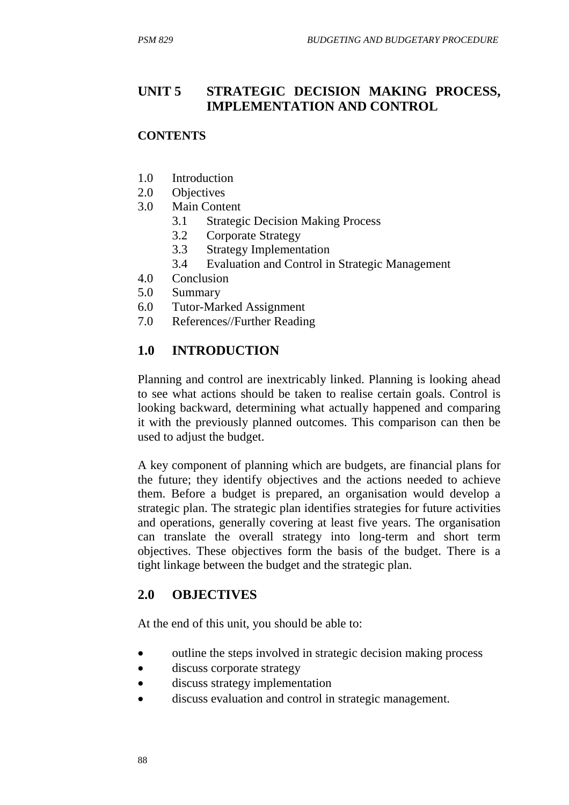## **UNIT 5 STRATEGIC DECISION MAKING PROCESS, IMPLEMENTATION AND CONTROL**

### **CONTENTS**

- 1.0 Introduction
- 2.0 Objectives
- 3.0 Main Content
	- 3.1 Strategic Decision Making Process
	- 3.2 Corporate Strategy
	- 3.3 Strategy Implementation
	- 3.4 Evaluation and Control in Strategic Management
- 4.0 Conclusion
- 5.0 Summary
- 6.0 Tutor-Marked Assignment
- 7.0 References//Further Reading

# **1.0 INTRODUCTION**

Planning and control are inextricably linked. Planning is looking ahead to see what actions should be taken to realise certain goals. Control is looking backward, determining what actually happened and comparing it with the previously planned outcomes. This comparison can then be used to adjust the budget.

A key component of planning which are budgets, are financial plans for the future; they identify objectives and the actions needed to achieve them. Before a budget is prepared, an organisation would develop a strategic plan. The strategic plan identifies strategies for future activities and operations, generally covering at least five years. The organisation can translate the overall strategy into long-term and short term objectives. These objectives form the basis of the budget. There is a tight linkage between the budget and the strategic plan.

# **2.0 OBJECTIVES**

At the end of this unit, you should be able to:

- outline the steps involved in strategic decision making process
- discuss corporate strategy
- discuss strategy implementation
- discuss evaluation and control in strategic management.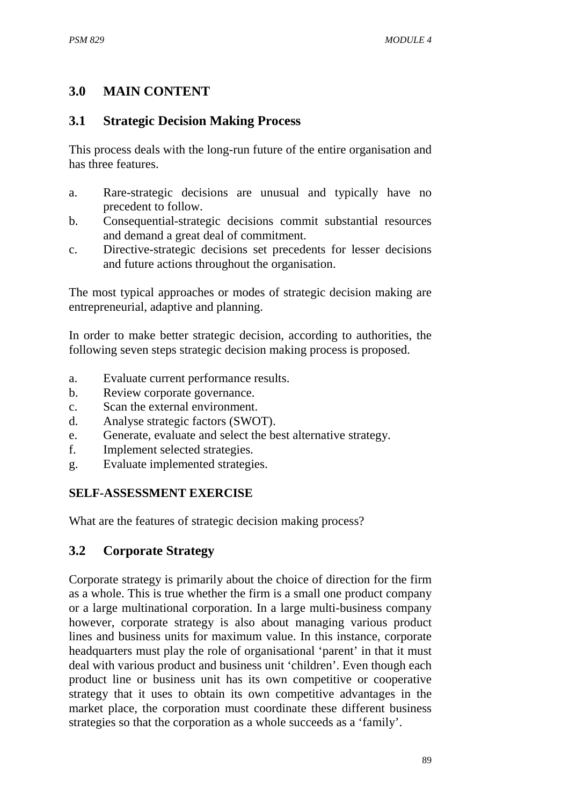# **3.0 MAIN CONTENT**

## **3.1 Strategic Decision Making Process**

This process deals with the long-run future of the entire organisation and has three features.

- a. Rare-strategic decisions are unusual and typically have no precedent to follow.
- b. Consequential-strategic decisions commit substantial resources and demand a great deal of commitment.
- c. Directive-strategic decisions set precedents for lesser decisions and future actions throughout the organisation.

The most typical approaches or modes of strategic decision making are entrepreneurial, adaptive and planning.

In order to make better strategic decision, according to authorities, the following seven steps strategic decision making process is proposed.

- a. Evaluate current performance results.
- b. Review corporate governance.
- c. Scan the external environment.
- d. Analyse strategic factors (SWOT).
- e. Generate, evaluate and select the best alternative strategy.
- f. Implement selected strategies.
- g. Evaluate implemented strategies.

### **SELF-ASSESSMENT EXERCISE**

What are the features of strategic decision making process?

# **3.2 Corporate Strategy**

Corporate strategy is primarily about the choice of direction for the firm as a whole. This is true whether the firm is a small one product company or a large multinational corporation. In a large multi-business company however, corporate strategy is also about managing various product lines and business units for maximum value. In this instance, corporate headquarters must play the role of organisational 'parent' in that it must deal with various product and business unit 'children'. Even though each product line or business unit has its own competitive or cooperative strategy that it uses to obtain its own competitive advantages in the market place, the corporation must coordinate these different business strategies so that the corporation as a whole succeeds as a 'family'.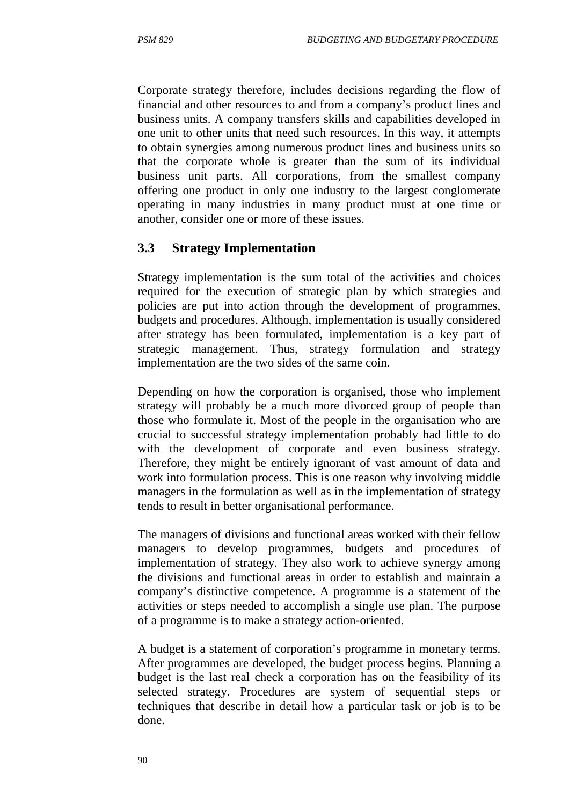Corporate strategy therefore, includes decisions regarding the flow of financial and other resources to and from a company's product lines and business units. A company transfers skills and capabilities developed in one unit to other units that need such resources. In this way, it attempts to obtain synergies among numerous product lines and business units so that the corporate whole is greater than the sum of its individual business unit parts. All corporations, from the smallest company offering one product in only one industry to the largest conglomerate operating in many industries in many product must at one time or another, consider one or more of these issues.

### **3.3 Strategy Implementation**

Strategy implementation is the sum total of the activities and choices required for the execution of strategic plan by which strategies and policies are put into action through the development of programmes, budgets and procedures. Although, implementation is usually considered after strategy has been formulated, implementation is a key part of strategic management. Thus, strategy formulation and strategy implementation are the two sides of the same coin.

Depending on how the corporation is organised, those who implement strategy will probably be a much more divorced group of people than those who formulate it. Most of the people in the organisation who are crucial to successful strategy implementation probably had little to do with the development of corporate and even business strategy. Therefore, they might be entirely ignorant of vast amount of data and work into formulation process. This is one reason why involving middle managers in the formulation as well as in the implementation of strategy tends to result in better organisational performance.

The managers of divisions and functional areas worked with their fellow managers to develop programmes, budgets and procedures of implementation of strategy. They also work to achieve synergy among the divisions and functional areas in order to establish and maintain a company's distinctive competence. A programme is a statement of the activities or steps needed to accomplish a single use plan. The purpose of a programme is to make a strategy action-oriented.

A budget is a statement of corporation's programme in monetary terms. After programmes are developed, the budget process begins. Planning a budget is the last real check a corporation has on the feasibility of its selected strategy. Procedures are system of sequential steps or techniques that describe in detail how a particular task or job is to be done.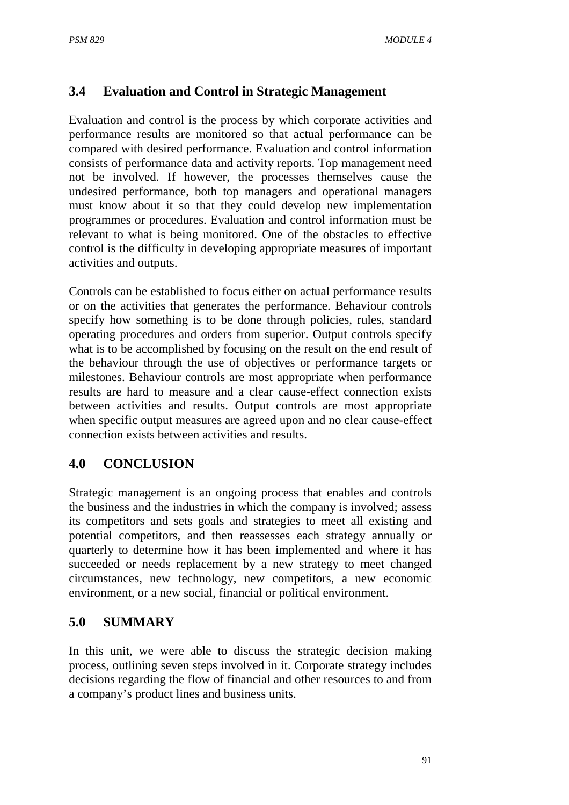## **3.4 Evaluation and Control in Strategic Management**

Evaluation and control is the process by which corporate activities and performance results are monitored so that actual performance can be compared with desired performance. Evaluation and control information consists of performance data and activity reports. Top management need not be involved. If however, the processes themselves cause the undesired performance, both top managers and operational managers must know about it so that they could develop new implementation programmes or procedures. Evaluation and control information must be relevant to what is being monitored. One of the obstacles to effective control is the difficulty in developing appropriate measures of important activities and outputs.

Controls can be established to focus either on actual performance results or on the activities that generates the performance. Behaviour controls specify how something is to be done through policies, rules, standard operating procedures and orders from superior. Output controls specify what is to be accomplished by focusing on the result on the end result of the behaviour through the use of objectives or performance targets or milestones. Behaviour controls are most appropriate when performance results are hard to measure and a clear cause-effect connection exists between activities and results. Output controls are most appropriate when specific output measures are agreed upon and no clear cause-effect connection exists between activities and results.

# **4.0 CONCLUSION**

Strategic management is an ongoing process that enables and controls the business and the industries in which the company is involved; assess its competitors and sets goals and strategies to meet all existing and potential competitors, and then reassesses each strategy annually or quarterly to determine how it has been implemented and where it has succeeded or needs replacement by a new strategy to meet changed circumstances, new technology, new competitors, a new economic environment, or a new social, financial or political environment.

### **5.0 SUMMARY**

In this unit, we were able to discuss the strategic decision making process, outlining seven steps involved in it. Corporate strategy includes decisions regarding the flow of financial and other resources to and from a company's product lines and business units.